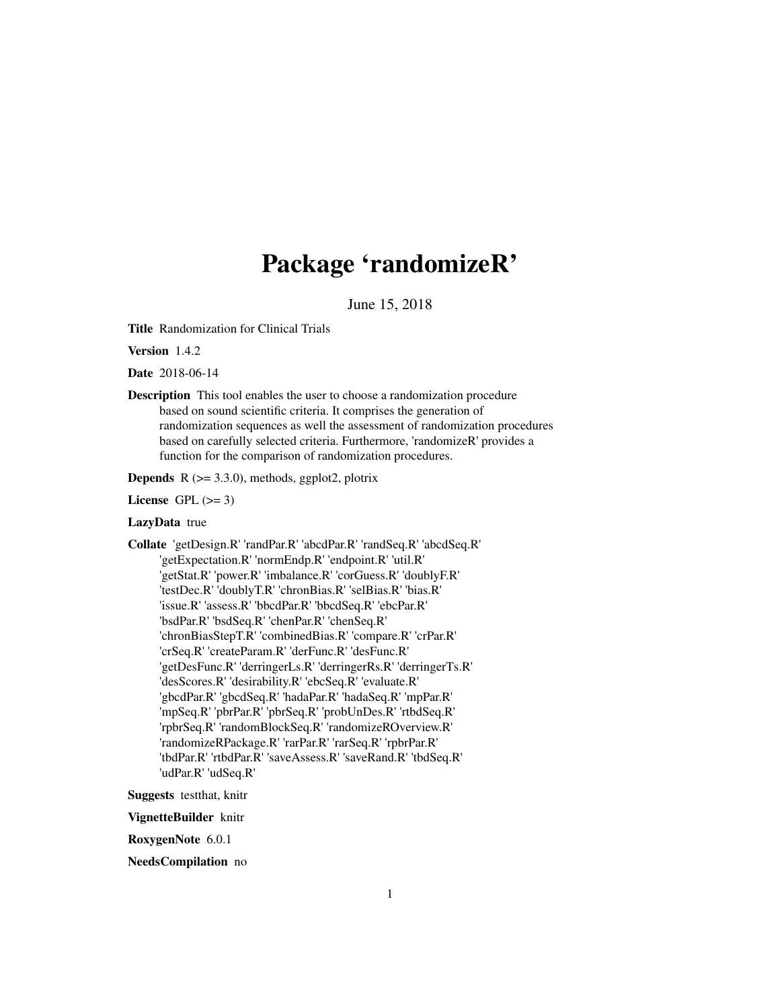# Package 'randomizeR'

June 15, 2018

Title Randomization for Clinical Trials

Version 1.4.2

Date 2018-06-14

Description This tool enables the user to choose a randomization procedure based on sound scientific criteria. It comprises the generation of randomization sequences as well the assessment of randomization procedures based on carefully selected criteria. Furthermore, 'randomizeR' provides a function for the comparison of randomization procedures.

**Depends** R  $(>= 3.3.0)$ , methods, ggplot2, plotrix

License GPL  $(>= 3)$ 

# LazyData true

Collate 'getDesign.R' 'randPar.R' 'abcdPar.R' 'randSeq.R' 'abcdSeq.R' 'getExpectation.R' 'normEndp.R' 'endpoint.R' 'util.R' 'getStat.R' 'power.R' 'imbalance.R' 'corGuess.R' 'doublyF.R' 'testDec.R' 'doublyT.R' 'chronBias.R' 'selBias.R' 'bias.R' 'issue.R' 'assess.R' 'bbcdPar.R' 'bbcdSeq.R' 'ebcPar.R' 'bsdPar.R' 'bsdSeq.R' 'chenPar.R' 'chenSeq.R' 'chronBiasStepT.R' 'combinedBias.R' 'compare.R' 'crPar.R' 'crSeq.R' 'createParam.R' 'derFunc.R' 'desFunc.R' 'getDesFunc.R' 'derringerLs.R' 'derringerRs.R' 'derringerTs.R' 'desScores.R' 'desirability.R' 'ebcSeq.R' 'evaluate.R' 'gbcdPar.R' 'gbcdSeq.R' 'hadaPar.R' 'hadaSeq.R' 'mpPar.R' 'mpSeq.R' 'pbrPar.R' 'pbrSeq.R' 'probUnDes.R' 'rtbdSeq.R' 'rpbrSeq.R' 'randomBlockSeq.R' 'randomizeROverview.R' 'randomizeRPackage.R' 'rarPar.R' 'rarSeq.R' 'rpbrPar.R' 'tbdPar.R' 'rtbdPar.R' 'saveAssess.R' 'saveRand.R' 'tbdSeq.R' 'udPar.R' 'udSeq.R'

Suggests testthat, knitr

VignetteBuilder knitr

RoxygenNote 6.0.1

NeedsCompilation no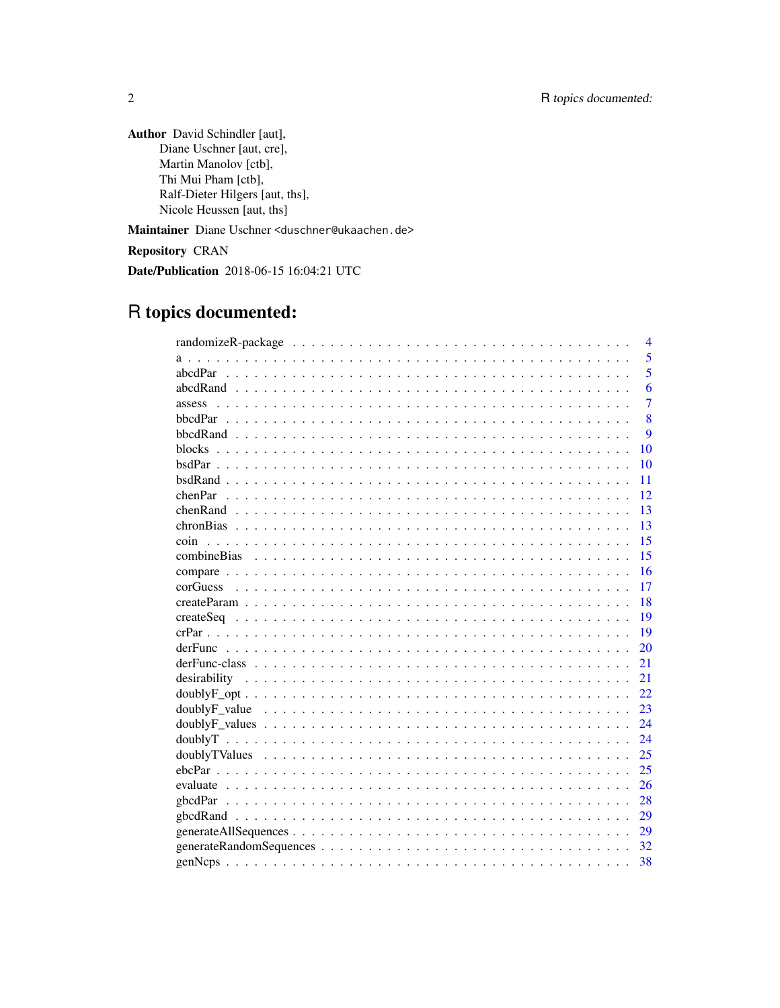Author David Schindler [aut], Diane Uschner [aut, cre], Martin Manolov [ctb], Thi Mui Pham [ctb], Ralf-Dieter Hilgers [aut, ths], Nicole Heussen [aut, ths]

Maintainer Diane Uschner <duschner@ukaachen.de>

Repository CRAN

Date/Publication 2018-06-15 16:04:21 UTC

# R topics documented: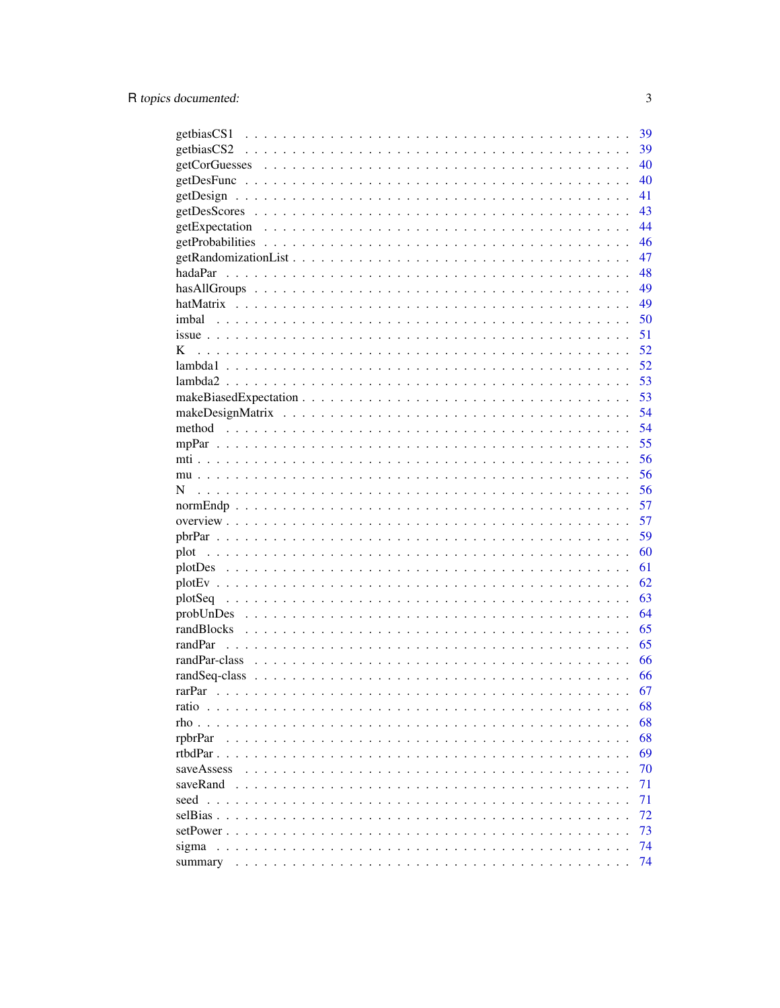|                                              | 39 |
|----------------------------------------------|----|
|                                              | 39 |
|                                              | 40 |
|                                              | 40 |
|                                              | 41 |
|                                              | 43 |
|                                              | 44 |
|                                              | 46 |
|                                              | 47 |
|                                              | 48 |
|                                              | 49 |
|                                              | 49 |
| imbal                                        | 50 |
|                                              | 51 |
| K                                            | 52 |
|                                              | 52 |
|                                              | 53 |
|                                              | 53 |
|                                              | 54 |
|                                              | 54 |
|                                              | 55 |
|                                              | 56 |
|                                              | 56 |
| N                                            | 56 |
|                                              | 57 |
|                                              | 57 |
|                                              |    |
|                                              | 59 |
| plot                                         | 60 |
|                                              | 61 |
|                                              | 62 |
|                                              | 63 |
|                                              | 64 |
|                                              | 65 |
| randPar                                      | 65 |
| randPar-class                                | 66 |
|                                              | 66 |
| rarPar                                       | 67 |
| ratio $\ldots$                               | 68 |
| rho.<br>$\ddot{\phantom{a}}$<br>$\mathbf{r}$ | 68 |
| rpbrPar                                      | 68 |
| rtbdPar.                                     | 69 |
| saveAssess                                   | 70 |
| saveRand                                     | 71 |
| seed                                         | 71 |
| selBias.                                     | 72 |
| setPower.                                    | 73 |
| sigma                                        | 74 |
|                                              | 74 |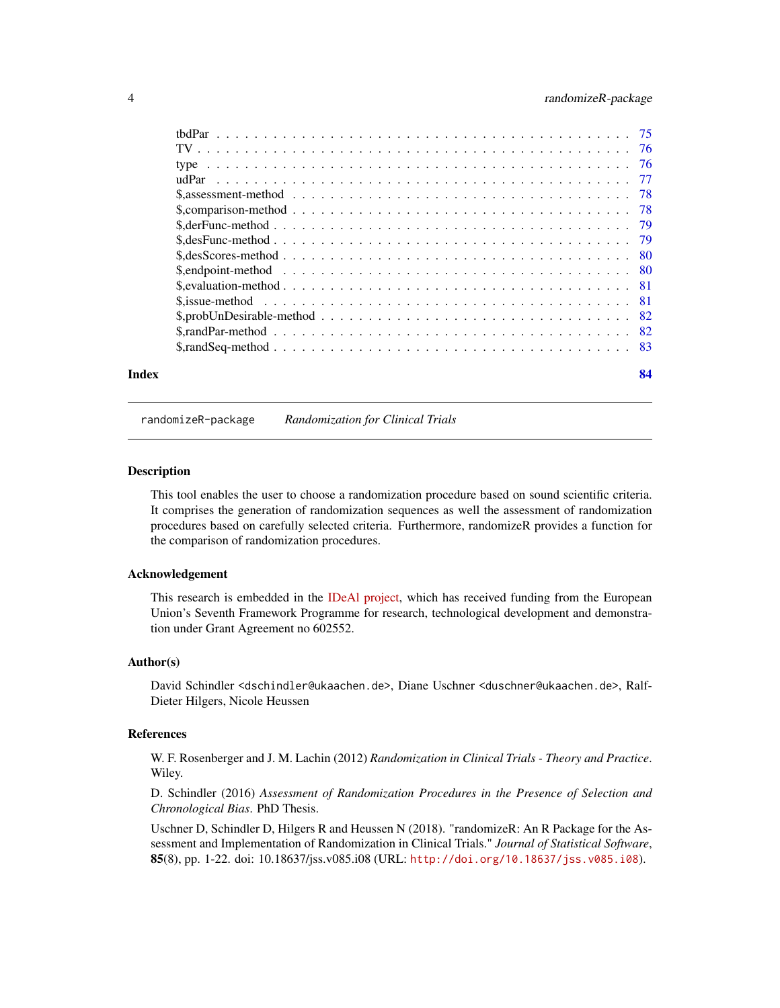<span id="page-3-0"></span>

| Index | 84 |
|-------|----|
|       |    |

#### randomizeR-package *Randomization for Clinical Trials*

#### **Description**

This tool enables the user to choose a randomization procedure based on sound scientific criteria. It comprises the generation of randomization sequences as well the assessment of randomization procedures based on carefully selected criteria. Furthermore, randomizeR provides a function for the comparison of randomization procedures.

# Acknowledgement

This research is embedded in the [IDeAl project,](http://www.ideal.rwth-aachen.de/) which has received funding from the European Union's Seventh Framework Programme for research, technological development and demonstration under Grant Agreement no 602552.

#### Author(s)

David Schindler <dschindler@ukaachen.de>, Diane Uschner <duschner@ukaachen.de>, Ralf-Dieter Hilgers, Nicole Heussen

#### References

W. F. Rosenberger and J. M. Lachin (2012) *Randomization in Clinical Trials - Theory and Practice*. Wiley.

D. Schindler (2016) *Assessment of Randomization Procedures in the Presence of Selection and Chronological Bias*. PhD Thesis.

Uschner D, Schindler D, Hilgers R and Heussen N (2018). "randomizeR: An R Package for the Assessment and Implementation of Randomization in Clinical Trials." *Journal of Statistical Software*, 85(8), pp. 1-22. doi: 10.18637/jss.v085.i08 (URL: <http://doi.org/10.18637/jss.v085.i08>).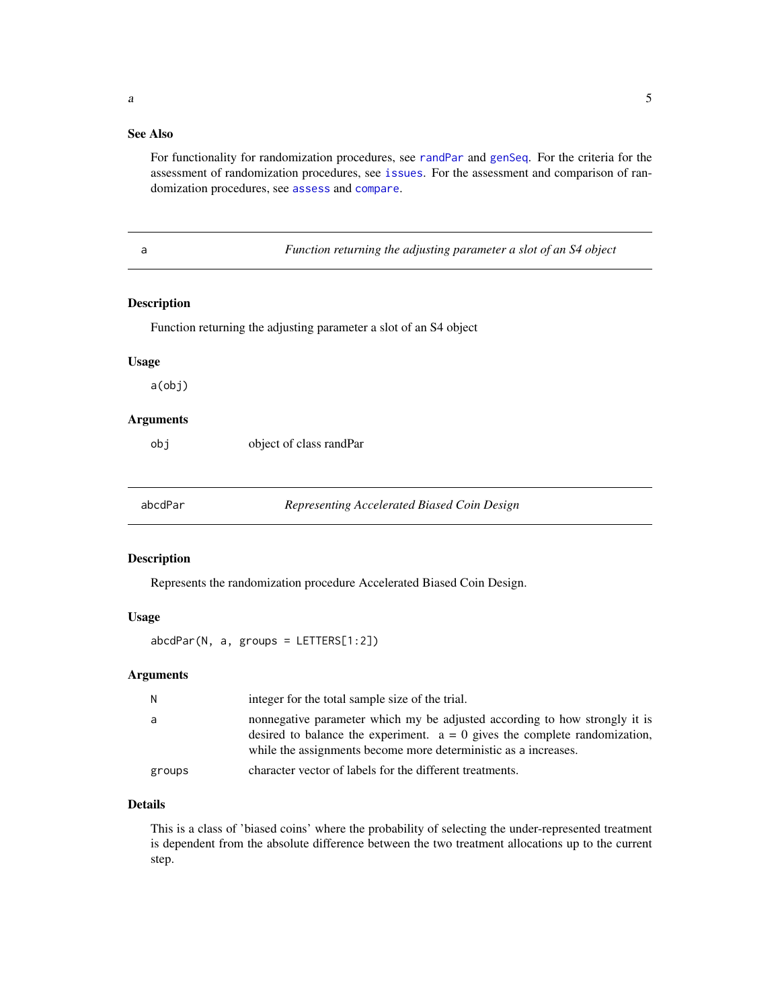# <span id="page-4-0"></span>See Also

For functionality for randomization procedures, see [randPar](#page-64-1) and [genSeq](#page-31-1). For the criteria for the assessment of randomization procedures, see [issues](#page-50-1). For the assessment and comparison of randomization procedures, see [assess](#page-6-1) and [compare](#page-15-1).

a *Function returning the adjusting parameter a slot of an S4 object*

# Description

Function returning the adjusting parameter a slot of an S4 object

#### Usage

a(obj)

## Arguments

object of class randPar

<span id="page-4-1"></span>abcdPar *Representing Accelerated Biased Coin Design*

#### Description

Represents the randomization procedure Accelerated Biased Coin Design.

#### Usage

abcdPar(N, a, groups = LETTERS[1:2])

#### Arguments

| N      | integer for the total sample size of the trial.                                                                                                                                                                               |
|--------|-------------------------------------------------------------------------------------------------------------------------------------------------------------------------------------------------------------------------------|
| a      | nonnegative parameter which my be adjusted according to how strongly it is<br>desired to balance the experiment. $a = 0$ gives the complete randomization,<br>while the assignments become more deterministic as a increases. |
| groups | character vector of labels for the different treatments.                                                                                                                                                                      |

#### Details

This is a class of 'biased coins' where the probability of selecting the under-represented treatment is dependent from the absolute difference between the two treatment allocations up to the current step.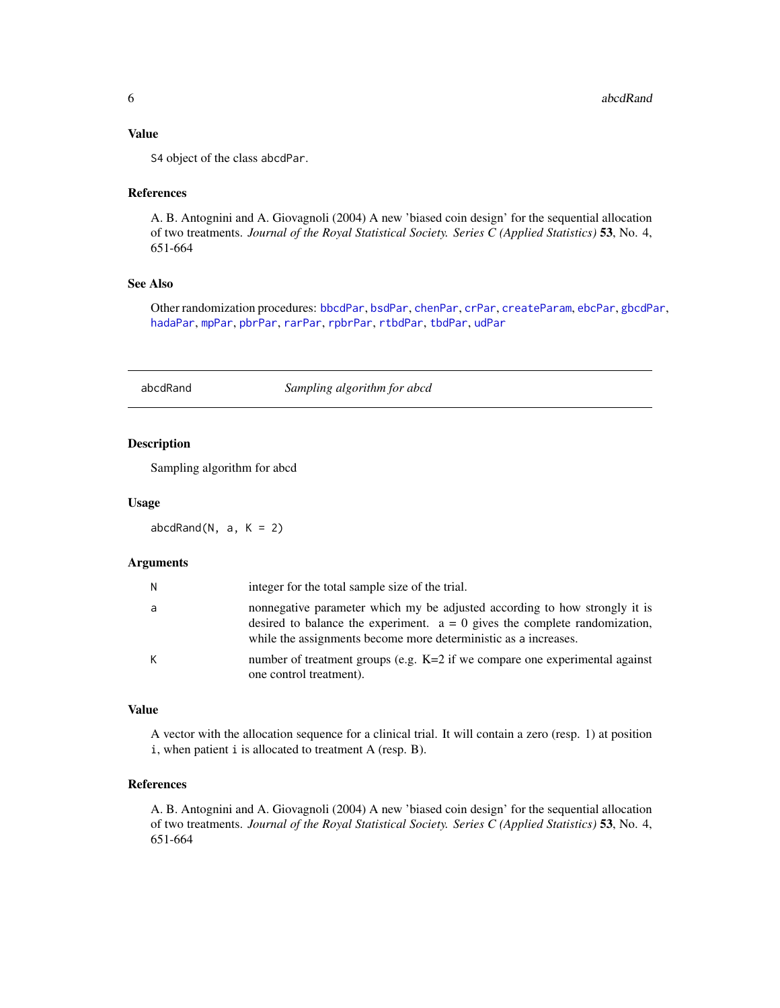# <span id="page-5-0"></span>Value

S4 object of the class abcdPar.

#### References

A. B. Antognini and A. Giovagnoli (2004) A new 'biased coin design' for the sequential allocation of two treatments. *Journal of the Royal Statistical Society. Series C (Applied Statistics)* 53, No. 4, 651-664

# See Also

Other randomization procedures: [bbcdPar](#page-7-1), [bsdPar](#page-9-1), [chenPar](#page-11-1), [crPar](#page-18-1), [createParam](#page-17-1), [ebcPar](#page-24-1), [gbcdPar](#page-27-1), [hadaPar](#page-47-1), [mpPar](#page-54-1), [pbrPar](#page-58-1), [rarPar](#page-66-1), [rpbrPar](#page-67-1), [rtbdPar](#page-68-1), [tbdPar](#page-74-1), [udPar](#page-76-1)

abcdRand *Sampling algorithm for abcd*

# Description

Sampling algorithm for abcd

#### Usage

 $abcdRand(N, a, K = 2)$ 

#### Arguments

| N. | integer for the total sample size of the trial.                                                                                                                                                                               |
|----|-------------------------------------------------------------------------------------------------------------------------------------------------------------------------------------------------------------------------------|
| a  | nonnegative parameter which my be adjusted according to how strongly it is<br>desired to balance the experiment. $a = 0$ gives the complete randomization,<br>while the assignments become more deterministic as a increases. |
| К  | number of treatment groups (e.g. K=2 if we compare one experimental against<br>one control treatment).                                                                                                                        |

#### Value

A vector with the allocation sequence for a clinical trial. It will contain a zero (resp. 1) at position i, when patient i is allocated to treatment A (resp. B).

# References

A. B. Antognini and A. Giovagnoli (2004) A new 'biased coin design' for the sequential allocation of two treatments. *Journal of the Royal Statistical Society. Series C (Applied Statistics)* 53, No. 4, 651-664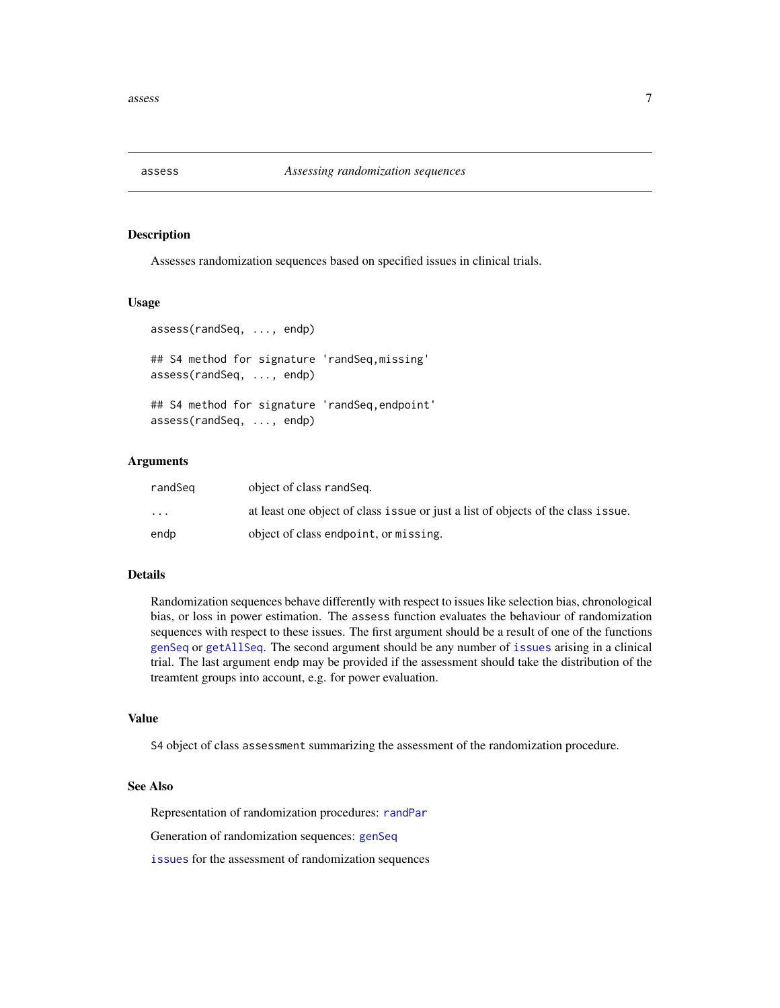<span id="page-6-1"></span><span id="page-6-0"></span>

Assesses randomization sequences based on specified issues in clinical trials.

#### Usage

```
assess(randSeq, ..., endp)
## S4 method for signature 'randSeq,missing'
assess(randSeq, ..., endp)
## S4 method for signature 'randSeq,endpoint'
assess(randSeq, ..., endp)
```
#### Arguments

| randSeɑ  | object of class randSeq.                                                         |
|----------|----------------------------------------------------------------------------------|
| $\cdots$ | at least one object of class issue or just a list of objects of the class issue. |
| endp     | object of class endpoint, or missing.                                            |

# Details

Randomization sequences behave differently with respect to issues like selection bias, chronological bias, or loss in power estimation. The assess function evaluates the behaviour of randomization sequences with respect to these issues. The first argument should be a result of one of the functions [genSeq](#page-31-1) or [getAllSeq](#page-28-1). The second argument should be any number of [issues](#page-50-1) arising in a clinical trial. The last argument endp may be provided if the assessment should take the distribution of the treamtent groups into account, e.g. for power evaluation.

#### Value

S4 object of class assessment summarizing the assessment of the randomization procedure.

#### See Also

Representation of randomization procedures: [randPar](#page-64-1)

Generation of randomization sequences: [genSeq](#page-31-1)

[issues](#page-50-1) for the assessment of randomization sequences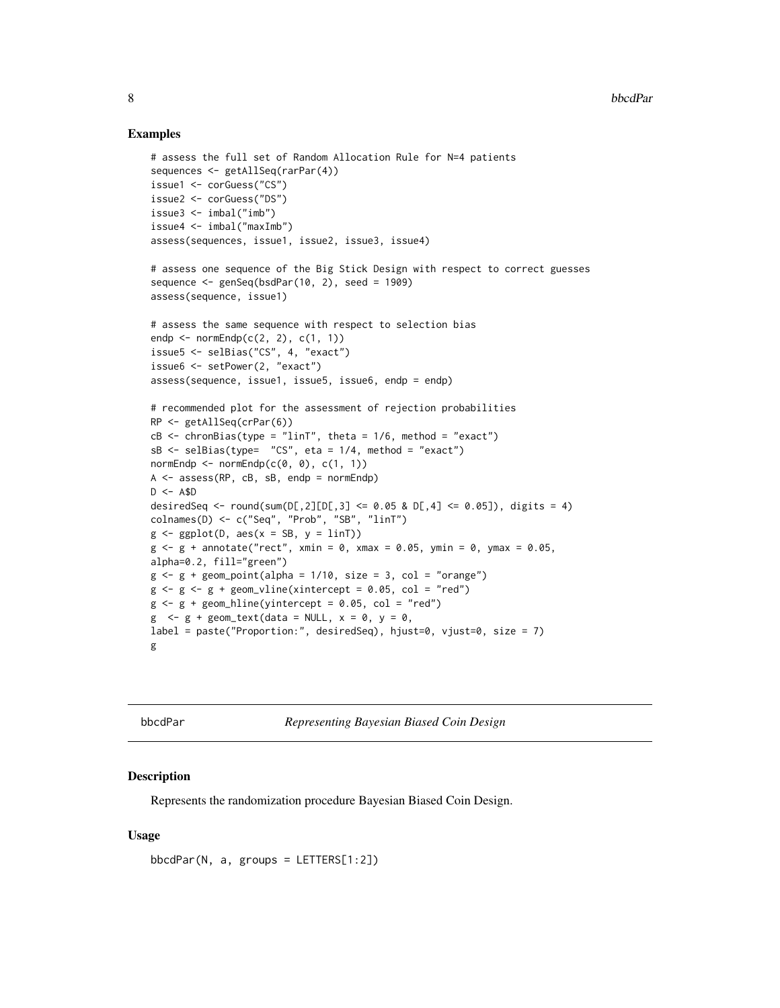#### Examples

```
# assess the full set of Random Allocation Rule for N=4 patients
sequences <- getAllSeq(rarPar(4))
issue1 <- corGuess("CS")
issue2 <- corGuess("DS")
issue3 <- imbal("imb")
issue4 <- imbal("maxImb")
assess(sequences, issue1, issue2, issue3, issue4)
# assess one sequence of the Big Stick Design with respect to correct guesses
sequence \leq genSeq(bsdPar(10, 2), seed = 1909)
assess(sequence, issue1)
# assess the same sequence with respect to selection bias
endp \leq normEndp(c(2, 2), c(1, 1))
issue5 <- selBias("CS", 4, "exact")
issue6 <- setPower(2, "exact")
assess(sequence, issue1, issue5, issue6, endp = endp)
# recommended plot for the assessment of rejection probabilities
RP <- getAllSeq(crPar(6))
cB \leq chronBias(type = "linT", theta = 1/6, method = "exact")
sB \leq - selBias(type= "CS", eta = 1/4, method = "exact")
normEndp \leq normEndp(c(0, 0), c(1, 1))
A \leq - assess(RP, cB, sB, endp = normEndp)
D \le - A$D
desiredSeq <- round(sum(D[,2][D[,3] <= 0.05 & D[,4] <= 0.05]), digits = 4)
colnames(D) <- c("Seq", "Prob", "SB", "linT")
g \leftarrow ggplot(D, aes(x = SB, y = linT))g \le -g + annotate("rect", xmin = 0, xmax = 0.05, ymin = 0, ymax = 0.05,
alpha=0.2, fill="green")
g \leftarrow g + geom\_point(alpha = 1/10, size = 3, col = "orange")g \leftarrow g \leftarrow g + geom\_vline(xintercept = 0.05, col = "red")g \leftarrow g + geom\_hline(yintercept = 0.05, col = "red")g \leq -g + \text{geom\_text(data = NULL}, x = 0, y = 0,label = paste("Proportion:", desiredSeq), hjust=0, vjust=0, size = 7)
g
```
<span id="page-7-1"></span>bbcdPar *Representing Bayesian Biased Coin Design*

#### Description

Represents the randomization procedure Bayesian Biased Coin Design.

#### Usage

bbcdPar(N, a, groups = LETTERS[1:2])

<span id="page-7-0"></span>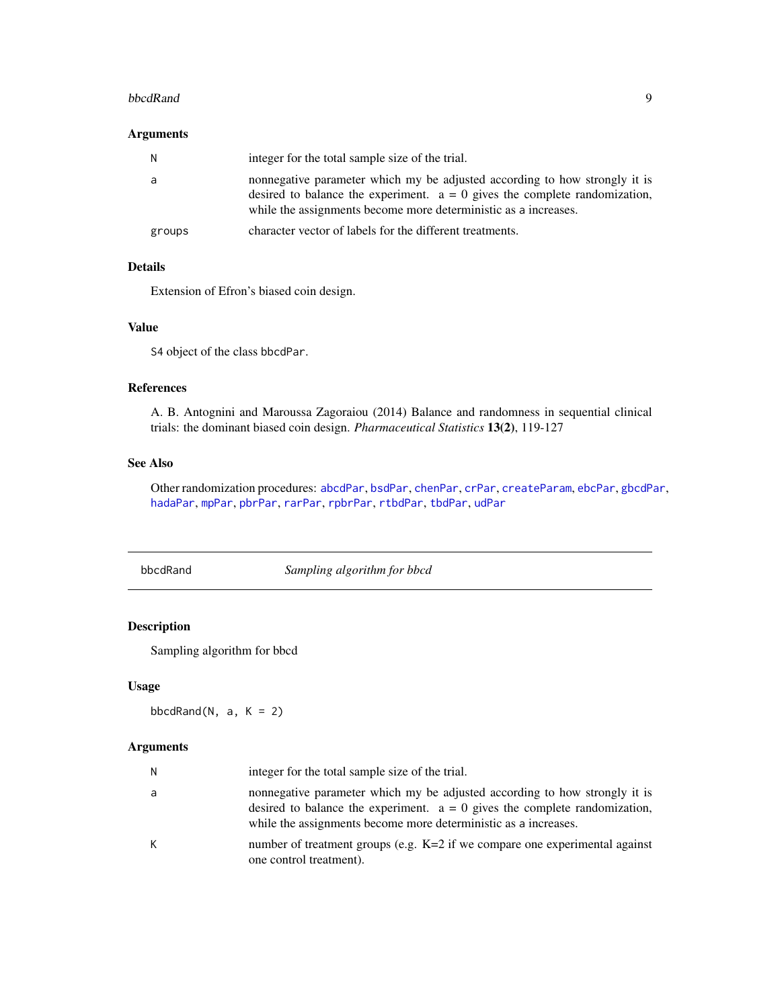#### <span id="page-8-0"></span>bbcdRand 99 and 99 and 99 and 99 and 99 and 99 and 99 and 99 and 99 and 99 and 99 and 99 and 99 and 99 and 99 and 99 and 99 and 99 and 99 and 99 and 99 and 99 and 99 and 99 and 99 and 99 and 99 and 99 and 99 and 99 and 99

# Arguments

| N.     | integer for the total sample size of the trial.                                                                                                                                                                               |
|--------|-------------------------------------------------------------------------------------------------------------------------------------------------------------------------------------------------------------------------------|
| a      | nonnegative parameter which my be adjusted according to how strongly it is<br>desired to balance the experiment. $a = 0$ gives the complete randomization,<br>while the assignments become more deterministic as a increases. |
| groups | character vector of labels for the different treatments.                                                                                                                                                                      |

# Details

Extension of Efron's biased coin design.

# Value

S4 object of the class bbcdPar.

# References

A. B. Antognini and Maroussa Zagoraiou (2014) Balance and randomness in sequential clinical trials: the dominant biased coin design. *Pharmaceutical Statistics* 13(2), 119-127

# See Also

Other randomization procedures: [abcdPar](#page-4-1), [bsdPar](#page-9-1), [chenPar](#page-11-1), [crPar](#page-18-1), [createParam](#page-17-1), [ebcPar](#page-24-1), [gbcdPar](#page-27-1), [hadaPar](#page-47-1), [mpPar](#page-54-1), [pbrPar](#page-58-1), [rarPar](#page-66-1), [rpbrPar](#page-67-1), [rtbdPar](#page-68-1), [tbdPar](#page-74-1), [udPar](#page-76-1)

bbcdRand *Sampling algorithm for bbcd*

# Description

Sampling algorithm for bbcd

# Usage

bbcdRand( $N$ , a,  $K = 2$ )

# Arguments

| N | integer for the total sample size of the trial.                                                                                                                                                                               |
|---|-------------------------------------------------------------------------------------------------------------------------------------------------------------------------------------------------------------------------------|
| a | nonnegative parameter which my be adjusted according to how strongly it is<br>desired to balance the experiment. $a = 0$ gives the complete randomization,<br>while the assignments become more deterministic as a increases. |
| К | number of treatment groups (e.g. $K=2$ if we compare one experimental against<br>one control treatment).                                                                                                                      |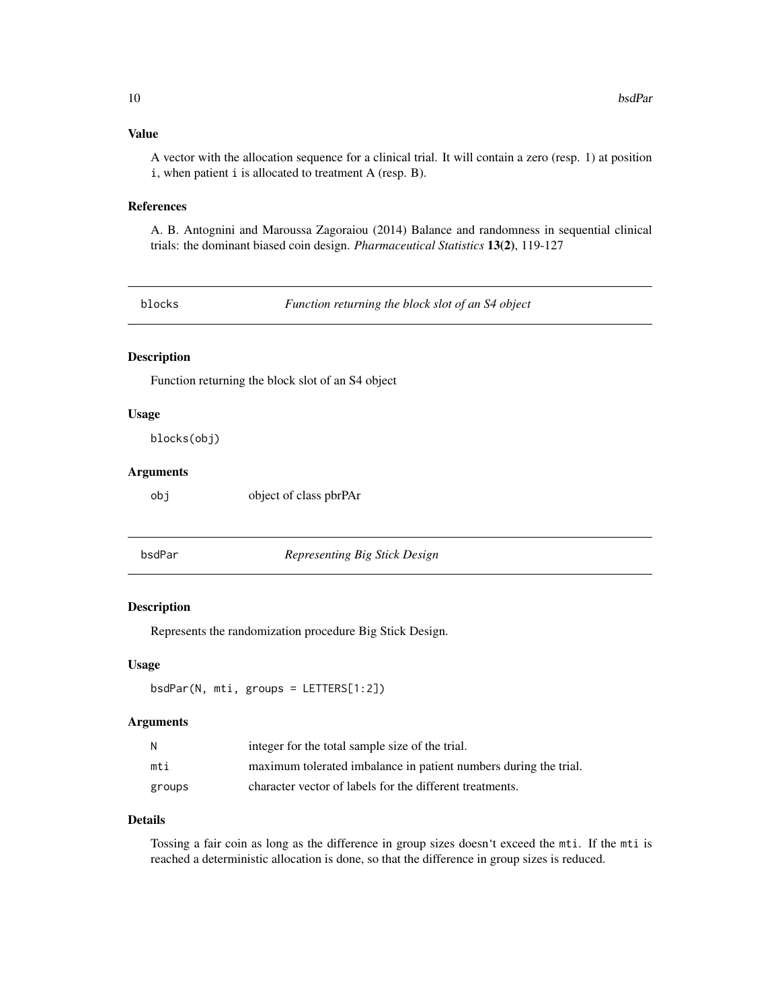# <span id="page-9-0"></span>Value

A vector with the allocation sequence for a clinical trial. It will contain a zero (resp. 1) at position i, when patient i is allocated to treatment A (resp. B).

#### References

A. B. Antognini and Maroussa Zagoraiou (2014) Balance and randomness in sequential clinical trials: the dominant biased coin design. *Pharmaceutical Statistics* 13(2), 119-127

blocks *Function returning the block slot of an S4 object*

# Description

Function returning the block slot of an S4 object

# Usage

blocks(obj)

# Arguments

obj object of class pbrPAr

<span id="page-9-1"></span>

bsdPar *Representing Big Stick Design*

#### Description

Represents the randomization procedure Big Stick Design.

#### Usage

bsdPar(N, mti, groups = LETTERS[1:2])

#### Arguments

| N      | integer for the total sample size of the trial.                  |
|--------|------------------------------------------------------------------|
| mti    | maximum tolerated imbalance in patient numbers during the trial. |
| groups | character vector of labels for the different treatments.         |

# Details

Tossing a fair coin as long as the difference in group sizes doesn't exceed the mti. If the mti is reached a deterministic allocation is done, so that the difference in group sizes is reduced.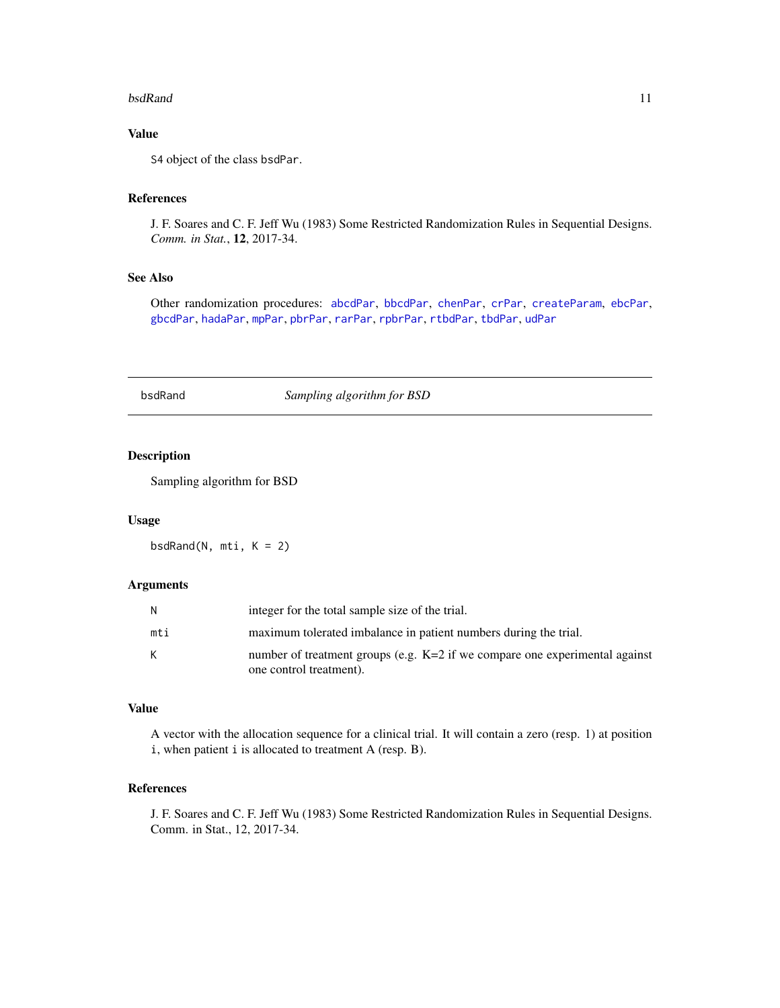#### <span id="page-10-0"></span>bsdRand 11

# Value

S4 object of the class bsdPar.

# References

J. F. Soares and C. F. Jeff Wu (1983) Some Restricted Randomization Rules in Sequential Designs. *Comm. in Stat.*, 12, 2017-34.

#### See Also

Other randomization procedures: [abcdPar](#page-4-1), [bbcdPar](#page-7-1), [chenPar](#page-11-1), [crPar](#page-18-1), [createParam](#page-17-1), [ebcPar](#page-24-1), [gbcdPar](#page-27-1), [hadaPar](#page-47-1), [mpPar](#page-54-1), [pbrPar](#page-58-1), [rarPar](#page-66-1), [rpbrPar](#page-67-1), [rtbdPar](#page-68-1), [tbdPar](#page-74-1), [udPar](#page-76-1)

#### bsdRand *Sampling algorithm for BSD*

# Description

Sampling algorithm for BSD

#### Usage

bsdRand(N, mti, K = 2)

# Arguments

| N   | integer for the total sample size of the trial.                               |
|-----|-------------------------------------------------------------------------------|
| mti | maximum tolerated imbalance in patient numbers during the trial.              |
| К   | number of treatment groups (e.g. $K=2$ if we compare one experimental against |
|     | one control treatment).                                                       |

# Value

A vector with the allocation sequence for a clinical trial. It will contain a zero (resp. 1) at position i, when patient i is allocated to treatment A (resp. B).

# References

J. F. Soares and C. F. Jeff Wu (1983) Some Restricted Randomization Rules in Sequential Designs. Comm. in Stat., 12, 2017-34.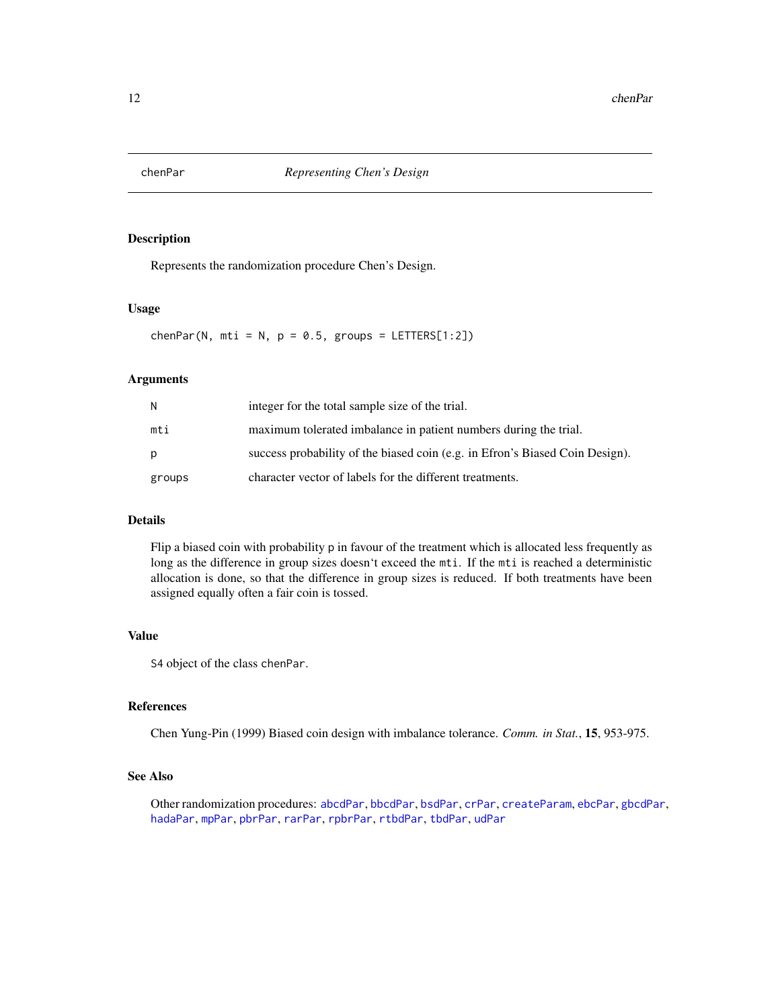<span id="page-11-1"></span><span id="page-11-0"></span>

Represents the randomization procedure Chen's Design.

# Usage

chenPar(N, mti = N,  $p = 0.5$ , groups = LETTERS[1:2])

# Arguments

| N      | integer for the total sample size of the trial.                              |
|--------|------------------------------------------------------------------------------|
| mti    | maximum tolerated imbalance in patient numbers during the trial.             |
| p      | success probability of the biased coin (e.g. in Efron's Biased Coin Design). |
| groups | character vector of labels for the different treatments.                     |

# Details

Flip a biased coin with probability p in favour of the treatment which is allocated less frequently as long as the difference in group sizes doesn't exceed the mti. If the mti is reached a deterministic allocation is done, so that the difference in group sizes is reduced. If both treatments have been assigned equally often a fair coin is tossed.

# Value

S4 object of the class chenPar.

#### References

Chen Yung-Pin (1999) Biased coin design with imbalance tolerance. *Comm. in Stat.*, 15, 953-975.

# See Also

Other randomization procedures: [abcdPar](#page-4-1), [bbcdPar](#page-7-1), [bsdPar](#page-9-1), [crPar](#page-18-1), [createParam](#page-17-1), [ebcPar](#page-24-1), [gbcdPar](#page-27-1), [hadaPar](#page-47-1), [mpPar](#page-54-1), [pbrPar](#page-58-1), [rarPar](#page-66-1), [rpbrPar](#page-67-1), [rtbdPar](#page-68-1), [tbdPar](#page-74-1), [udPar](#page-76-1)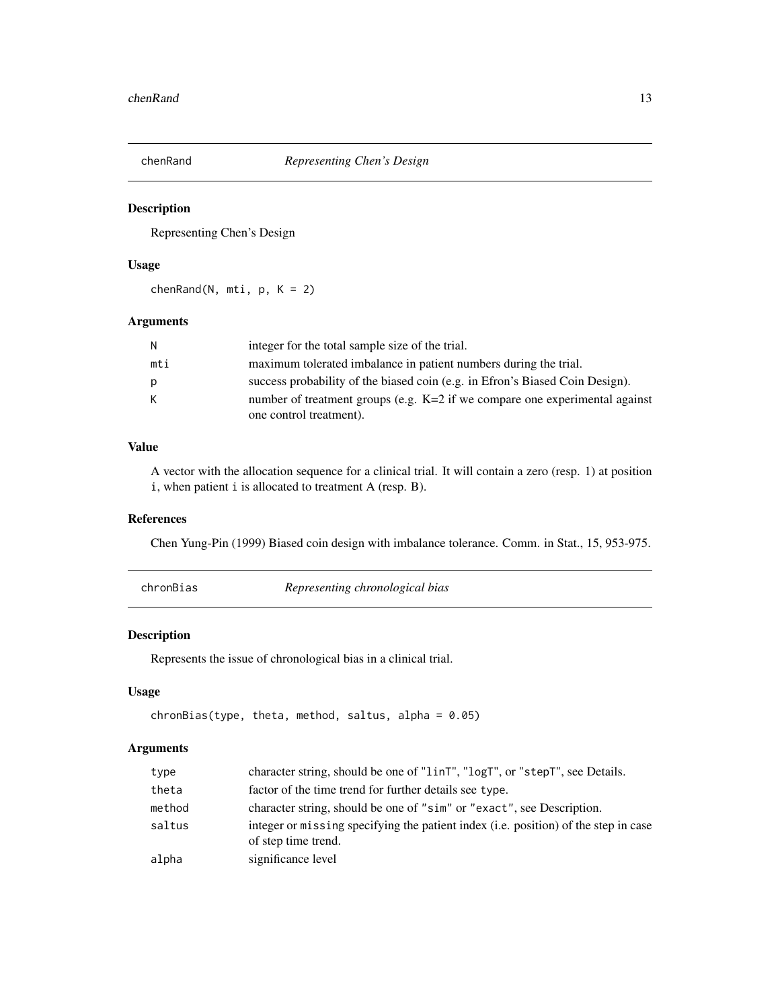<span id="page-12-0"></span>

Representing Chen's Design

# Usage

 $chenRand(N, mti, p, K = 2)$ 

# Arguments

| N   | integer for the total sample size of the trial.                               |
|-----|-------------------------------------------------------------------------------|
| mti | maximum tolerated imbalance in patient numbers during the trial.              |
| p   | success probability of the biased coin (e.g. in Efron's Biased Coin Design).  |
| K   | number of treatment groups (e.g. $K=2$ if we compare one experimental against |
|     | one control treatment).                                                       |

# Value

A vector with the allocation sequence for a clinical trial. It will contain a zero (resp. 1) at position i, when patient i is allocated to treatment A (resp. B).

# References

Chen Yung-Pin (1999) Biased coin design with imbalance tolerance. Comm. in Stat., 15, 953-975.

<span id="page-12-1"></span>chronBias *Representing chronological bias*

#### Description

Represents the issue of chronological bias in a clinical trial.

# Usage

```
chronBias(type, theta, method, saltus, alpha = 0.05)
```
# Arguments

| type   | character string, should be one of "linT", "logT", or "stepT", see Details.                                |
|--------|------------------------------------------------------------------------------------------------------------|
| theta  | factor of the time trend for further details see type.                                                     |
| method | character string, should be one of "sim" or "exact", see Description.                                      |
| saltus | integer or missing specifying the patient index (i.e. position) of the step in case<br>of step time trend. |
| alpha  | significance level                                                                                         |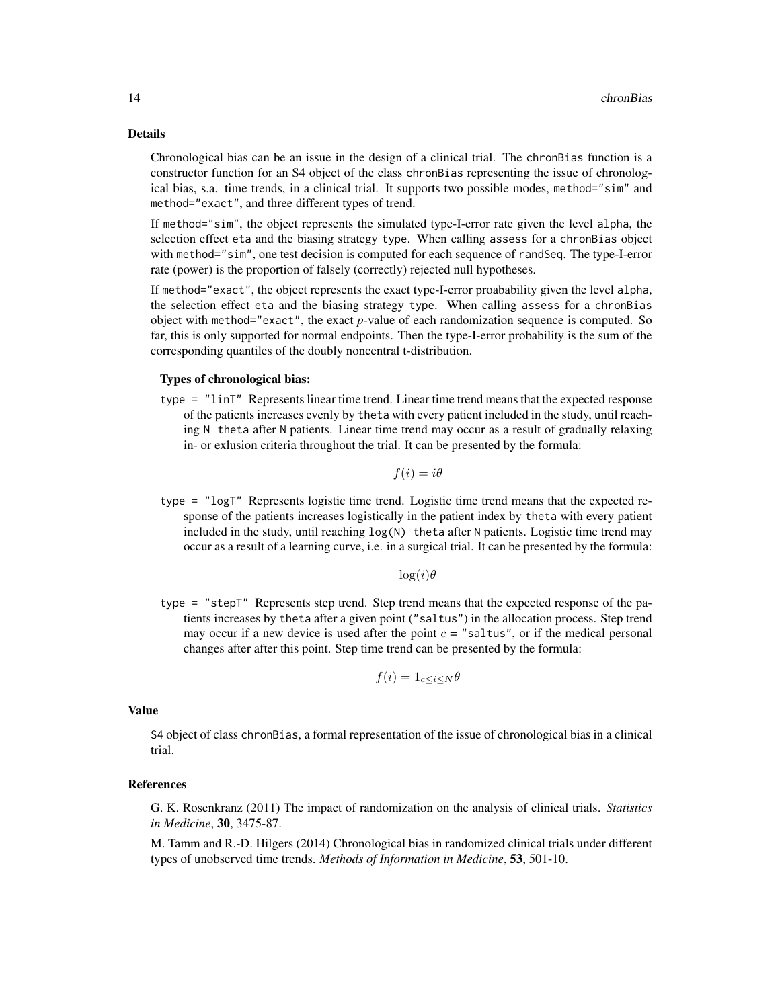#### Details

Chronological bias can be an issue in the design of a clinical trial. The chronBias function is a constructor function for an S4 object of the class chronBias representing the issue of chronological bias, s.a. time trends, in a clinical trial. It supports two possible modes, method="sim" and method="exact", and three different types of trend.

If method="sim", the object represents the simulated type-I-error rate given the level alpha, the selection effect eta and the biasing strategy type. When calling assess for a chronBias object with method="sim", one test decision is computed for each sequence of randSeq. The type-I-error rate (power) is the proportion of falsely (correctly) rejected null hypotheses.

If method="exact", the object represents the exact type-I-error proabability given the level alpha, the selection effect eta and the biasing strategy type. When calling assess for a chronBias object with method="exact", the exact *p*-value of each randomization sequence is computed. So far, this is only supported for normal endpoints. Then the type-I-error probability is the sum of the corresponding quantiles of the doubly noncentral t-distribution.

#### Types of chronological bias:

type = "linT" Represents linear time trend. Linear time trend means that the expected response of the patients increases evenly by theta with every patient included in the study, until reaching N theta after N patients. Linear time trend may occur as a result of gradually relaxing in- or exlusion criteria throughout the trial. It can be presented by the formula:

$$
f(i) = i\theta
$$

type = "logT" Represents logistic time trend. Logistic time trend means that the expected response of the patients increases logistically in the patient index by theta with every patient included in the study, until reaching log(N) theta after N patients. Logistic time trend may occur as a result of a learning curve, i.e. in a surgical trial. It can be presented by the formula:

 $log(i)\theta$ 

type = "stepT" Represents step trend. Step trend means that the expected response of the patients increases by theta after a given point ("saltus") in the allocation process. Step trend may occur if a new device is used after the point  $c =$  "saltus", or if the medical personal changes after after this point. Step time trend can be presented by the formula:

$$
f(i) = 1_{c \le i \le N} \theta
$$

#### Value

S4 object of class chronBias, a formal representation of the issue of chronological bias in a clinical trial.

# References

G. K. Rosenkranz (2011) The impact of randomization on the analysis of clinical trials. *Statistics in Medicine*, 30, 3475-87.

M. Tamm and R.-D. Hilgers (2014) Chronological bias in randomized clinical trials under different types of unobserved time trends. *Methods of Information in Medicine*, 53, 501-10.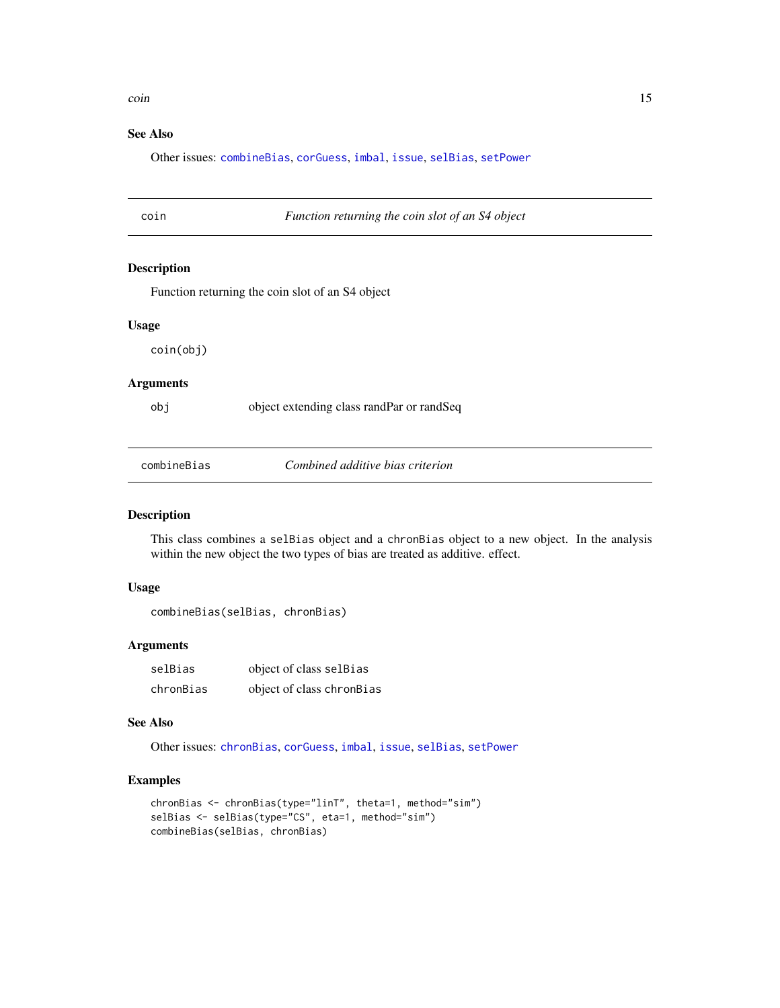#### <span id="page-14-0"></span>coin and the contract of the contract of the contract of the contract of the contract of the contract of the contract of the contract of the contract of the contract of the contract of the contract of the contract of the c

# See Also

Other issues: [combineBias](#page-14-1), [corGuess](#page-16-1), [imbal](#page-49-1), [issue](#page-50-2), [selBias](#page-71-1), [setPower](#page-72-1)

#### coin *Function returning the coin slot of an S4 object*

#### Description

Function returning the coin slot of an S4 object

#### Usage

coin(obj)

#### Arguments

obj object extending class randPar or randSeq

<span id="page-14-1"></span>combineBias *Combined additive bias criterion*

# Description

This class combines a selBias object and a chronBias object to a new object. In the analysis within the new object the two types of bias are treated as additive. effect.

# Usage

combineBias(selBias, chronBias)

# Arguments

| selBias   | object of class selBias   |
|-----------|---------------------------|
| chronBias | object of class chronBias |

# See Also

Other issues: [chronBias](#page-12-1), [corGuess](#page-16-1), [imbal](#page-49-1), [issue](#page-50-2), [selBias](#page-71-1), [setPower](#page-72-1)

# Examples

```
chronBias <- chronBias(type="linT", theta=1, method="sim")
selBias <- selBias(type="CS", eta=1, method="sim")
combineBias(selBias, chronBias)
```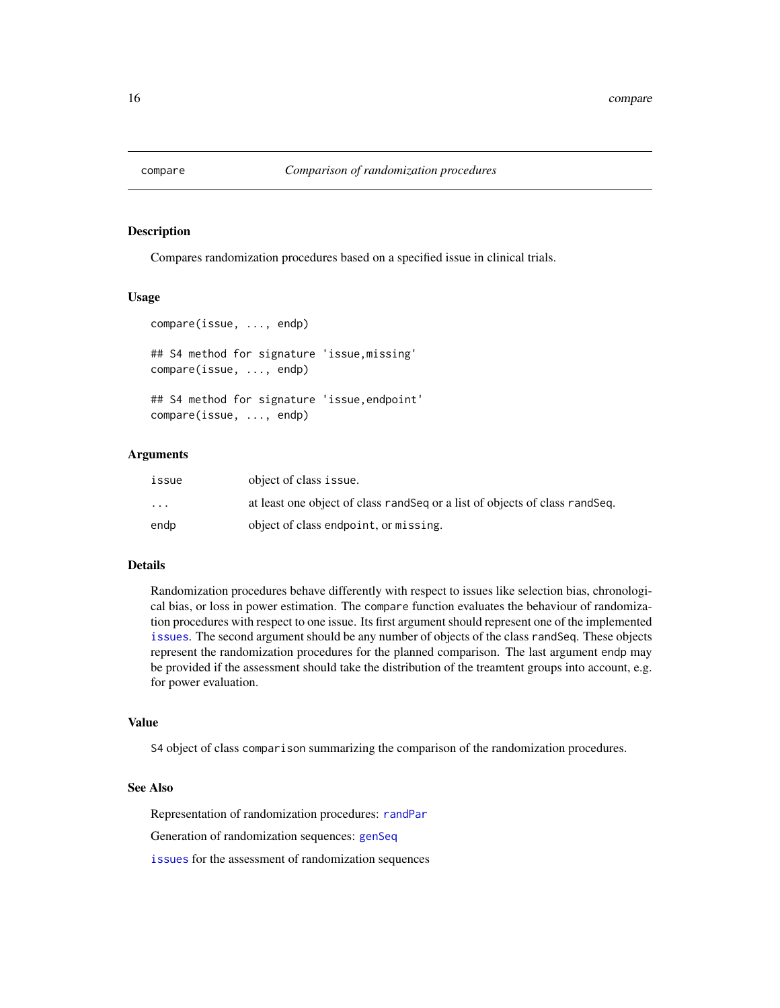<span id="page-15-1"></span><span id="page-15-0"></span>

Compares randomization procedures based on a specified issue in clinical trials.

#### Usage

```
compare(issue, ..., endp)
## S4 method for signature 'issue,missing'
compare(issue, ..., endp)
## S4 method for signature 'issue,endpoint'
compare(issue, ..., endp)
```
# Arguments

| issue                   | object of class issue.                                                        |
|-------------------------|-------------------------------------------------------------------------------|
| $\cdot$ $\cdot$ $\cdot$ | at least one object of class rand Seq or a list of objects of class rand Seq. |
| endp                    | object of class endpoint, or missing.                                         |

# Details

Randomization procedures behave differently with respect to issues like selection bias, chronological bias, or loss in power estimation. The compare function evaluates the behaviour of randomization procedures with respect to one issue. Its first argument should represent one of the implemented [issues](#page-50-1). The second argument should be any number of objects of the class randSeq. These objects represent the randomization procedures for the planned comparison. The last argument endp may be provided if the assessment should take the distribution of the treamtent groups into account, e.g. for power evaluation.

#### Value

S4 object of class comparison summarizing the comparison of the randomization procedures.

# See Also

Representation of randomization procedures: [randPar](#page-64-1)

Generation of randomization sequences: [genSeq](#page-31-1)

[issues](#page-50-1) for the assessment of randomization sequences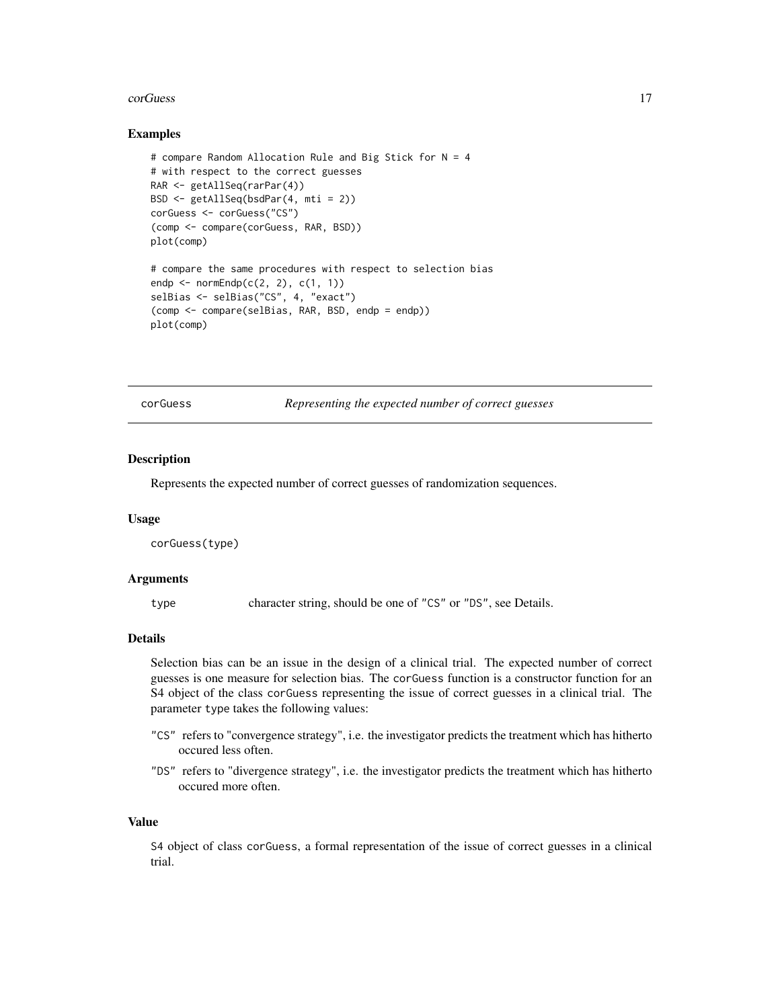#### <span id="page-16-0"></span>corGuess and the contract of the contract of the contract of the contract of the contract of the contract of the contract of the contract of the contract of the contract of the contract of the contract of the contract of t

#### Examples

```
# compare Random Allocation Rule and Big Stick for N = 4
# with respect to the correct guesses
RAR <- getAllSeq(rarPar(4))
BSD <- getAllSeq(bsdPar(4, mti = 2))
corGuess <- corGuess("CS")
(comp <- compare(corGuess, RAR, BSD))
plot(comp)
# compare the same procedures with respect to selection bias
endp \leq normEndp(c(2, 2), c(1, 1))
selBias <- selBias("CS", 4, "exact")
(comp <- compare(selBias, RAR, BSD, endp = endp))
plot(comp)
```
<span id="page-16-1"></span>corGuess *Representing the expected number of correct guesses*

#### Description

Represents the expected number of correct guesses of randomization sequences.

#### Usage

corGuess(type)

#### Arguments

type character string, should be one of "CS" or "DS", see Details.

#### Details

Selection bias can be an issue in the design of a clinical trial. The expected number of correct guesses is one measure for selection bias. The corGuess function is a constructor function for an S4 object of the class corGuess representing the issue of correct guesses in a clinical trial. The parameter type takes the following values:

- "CS" refers to "convergence strategy", i.e. the investigator predicts the treatment which has hitherto occured less often.
- "DS" refers to "divergence strategy", i.e. the investigator predicts the treatment which has hitherto occured more often.

# Value

S4 object of class corGuess, a formal representation of the issue of correct guesses in a clinical trial.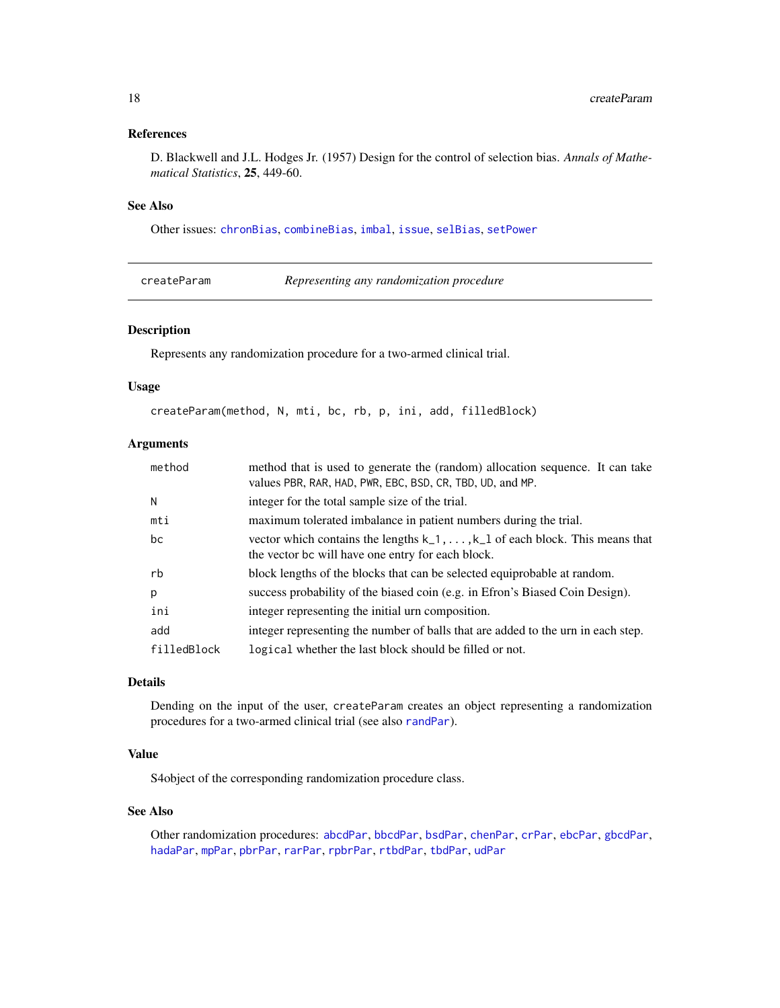# <span id="page-17-0"></span>References

D. Blackwell and J.L. Hodges Jr. (1957) Design for the control of selection bias. *Annals of Mathematical Statistics*, 25, 449-60.

# See Also

Other issues: [chronBias](#page-12-1), [combineBias](#page-14-1), [imbal](#page-49-1), [issue](#page-50-2), [selBias](#page-71-1), [setPower](#page-72-1)

<span id="page-17-1"></span>createParam *Representing any randomization procedure*

# Description

Represents any randomization procedure for a two-armed clinical trial.

#### Usage

```
createParam(method, N, mti, bc, rb, p, ini, add, filledBlock)
```
# Arguments

| method      | method that is used to generate the (random) allocation sequence. It can take<br>values PBR, RAR, HAD, PWR, EBC, BSD, CR, TBD, UD, and MP. |
|-------------|--------------------------------------------------------------------------------------------------------------------------------------------|
| N           | integer for the total sample size of the trial.                                                                                            |
| mti         | maximum tolerated imbalance in patient numbers during the trial.                                                                           |
| bc          | vector which contains the lengths $k_1, \ldots, k_l$ of each block. This means that<br>the vector bc will have one entry for each block.   |
| rb          | block lengths of the blocks that can be selected equiprobable at random.                                                                   |
| p           | success probability of the biased coin (e.g. in Efron's Biased Coin Design).                                                               |
| ini         | integer representing the initial urn composition.                                                                                          |
| add         | integer representing the number of balls that are added to the urn in each step.                                                           |
| filledBlock | logical whether the last block should be filled or not.                                                                                    |

# Details

Dending on the input of the user, createParam creates an object representing a randomization procedures for a two-armed clinical trial (see also [randPar](#page-64-1)).

# Value

S4object of the corresponding randomization procedure class.

# See Also

Other randomization procedures: [abcdPar](#page-4-1), [bbcdPar](#page-7-1), [bsdPar](#page-9-1), [chenPar](#page-11-1), [crPar](#page-18-1), [ebcPar](#page-24-1), [gbcdPar](#page-27-1), [hadaPar](#page-47-1), [mpPar](#page-54-1), [pbrPar](#page-58-1), [rarPar](#page-66-1), [rpbrPar](#page-67-1), [rtbdPar](#page-68-1), [tbdPar](#page-74-1), [udPar](#page-76-1)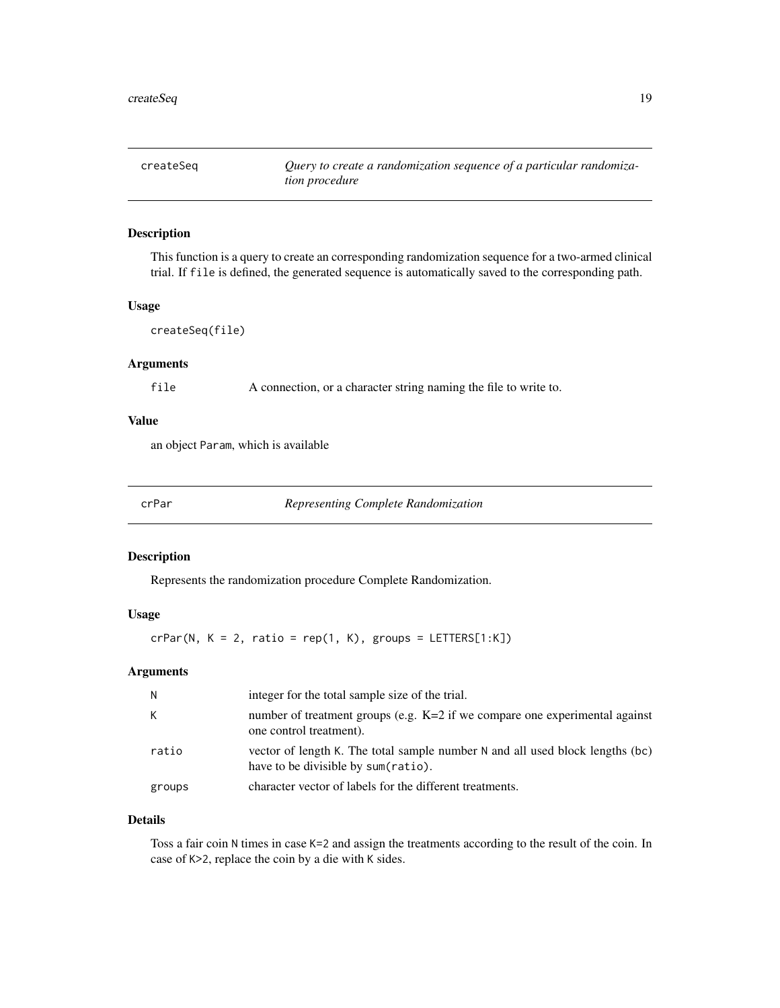<span id="page-18-0"></span>

This function is a query to create an corresponding randomization sequence for a two-armed clinical trial. If file is defined, the generated sequence is automatically saved to the corresponding path.

#### Usage

```
createSeq(file)
```
# Arguments

file A connection, or a character string naming the file to write to.

#### Value

an object Param, which is available

<span id="page-18-1"></span>crPar *Representing Complete Randomization*

#### Description

Represents the randomization procedure Complete Randomization.

#### Usage

 $crPar(N, K = 2, ratio = rep(1, K), groups = LETTER[1:K])$ 

# Arguments

| N.     | integer for the total sample size of the trial.                                                                      |
|--------|----------------------------------------------------------------------------------------------------------------------|
| К      | number of treatment groups (e.g. K=2 if we compare one experimental against<br>one control treatment).               |
| ratio  | vector of length K. The total sample number N and all used block lengths (bc)<br>have to be divisible by sum(ratio). |
| groups | character vector of labels for the different treatments.                                                             |

# Details

Toss a fair coin N times in case K=2 and assign the treatments according to the result of the coin. In case of K>2, replace the coin by a die with K sides.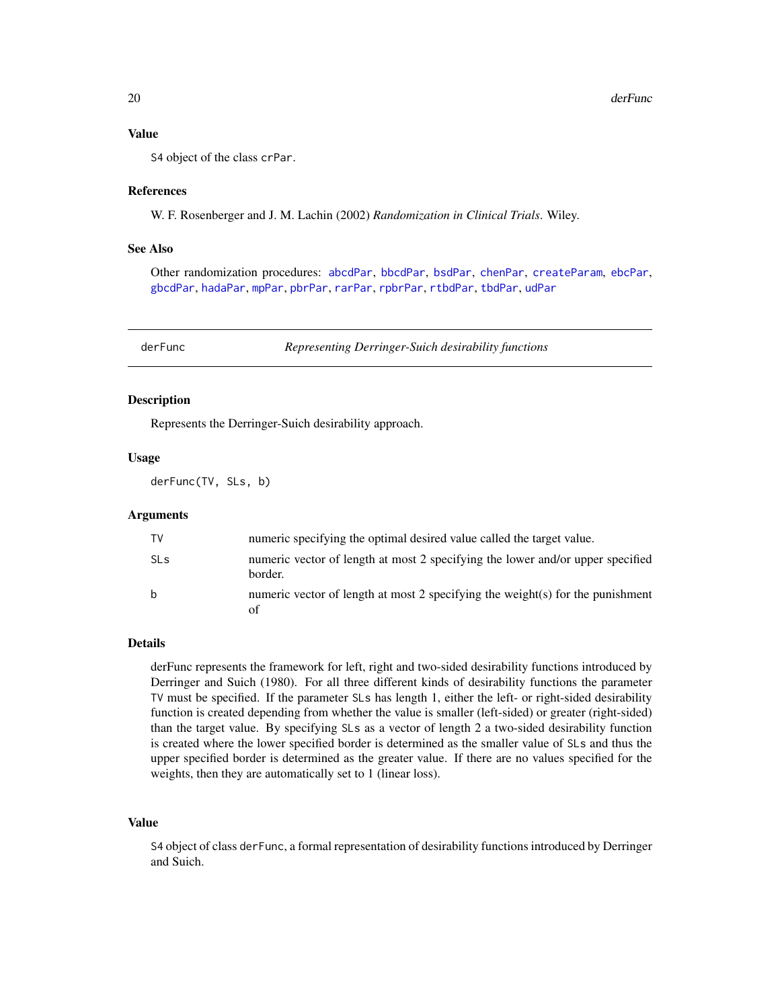# <span id="page-19-0"></span>Value

S4 object of the class crPar.

#### References

W. F. Rosenberger and J. M. Lachin (2002) *Randomization in Clinical Trials*. Wiley.

# See Also

Other randomization procedures: [abcdPar](#page-4-1), [bbcdPar](#page-7-1), [bsdPar](#page-9-1), [chenPar](#page-11-1), [createParam](#page-17-1), [ebcPar](#page-24-1), [gbcdPar](#page-27-1), [hadaPar](#page-47-1), [mpPar](#page-54-1), [pbrPar](#page-58-1), [rarPar](#page-66-1), [rpbrPar](#page-67-1), [rtbdPar](#page-68-1), [tbdPar](#page-74-1), [udPar](#page-76-1)

<span id="page-19-1"></span>

derFunc *Representing Derringer-Suich desirability functions*

#### Description

Represents the Derringer-Suich desirability approach.

#### Usage

derFunc(TV, SLs, b)

#### Arguments

| TV                    | numeric specifying the optimal desired value called the target value.                     |
|-----------------------|-------------------------------------------------------------------------------------------|
| <b>SL<sub>S</sub></b> | numeric vector of length at most 2 specifying the lower and/or upper specified<br>border. |
| b                     | numeric vector of length at most 2 specifying the weight(s) for the punishment            |

#### Details

derFunc represents the framework for left, right and two-sided desirability functions introduced by Derringer and Suich (1980). For all three different kinds of desirability functions the parameter TV must be specified. If the parameter SLs has length 1, either the left- or right-sided desirability function is created depending from whether the value is smaller (left-sided) or greater (right-sided) than the target value. By specifying SLs as a vector of length 2 a two-sided desirability function is created where the lower specified border is determined as the smaller value of SLs and thus the upper specified border is determined as the greater value. If there are no values specified for the weights, then they are automatically set to 1 (linear loss).

#### Value

S4 object of class derFunc, a formal representation of desirability functions introduced by Derringer and Suich.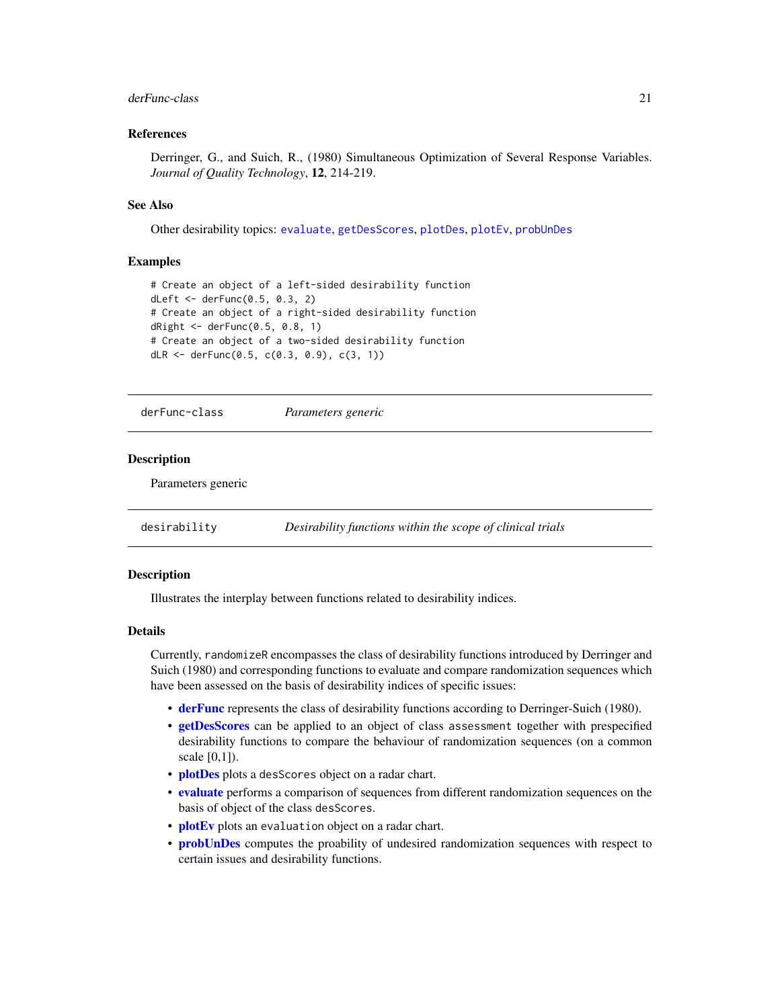# <span id="page-20-0"></span>derFunc-class 21

# References

Derringer, G., and Suich, R., (1980) Simultaneous Optimization of Several Response Variables. *Journal of Quality Technology*, 12, 214-219.

#### See Also

Other desirability topics: [evaluate](#page-25-1), [getDesScores](#page-42-1), [plotDes](#page-60-1), [plotEv](#page-61-1), [probUnDes](#page-63-1)

#### Examples

```
# Create an object of a left-sided desirability function
dLeft <- derFunc(0.5, 0.3, 2)
# Create an object of a right-sided desirability function
dRight <- derFunc(0.5, 0.8, 1)
# Create an object of a two-sided desirability function
dLR <- derFunc(0.5, c(0.3, 0.9), c(3, 1))
```
derFunc-class *Parameters generic*

#### Description

Parameters generic

desirability *Desirability functions within the scope of clinical trials*

#### Description

Illustrates the interplay between functions related to desirability indices.

#### Details

Currently, randomizeR encompasses the class of desirability functions introduced by Derringer and Suich (1980) and corresponding functions to evaluate and compare randomization sequences which have been assessed on the basis of desirability indices of specific issues:

- [derFunc](#page-19-1) represents the class of desirability functions according to Derringer-Suich (1980).
- [getDesScores](#page-42-1) can be applied to an object of class assessment together with prespecified desirability functions to compare the behaviour of randomization sequences (on a common scale [0,1]).
- [plotDes](#page-60-1) plots a desScores object on a radar chart.
- [evaluate](#page-25-1) performs a comparison of sequences from different randomization sequences on the basis of object of the class desScores.
- **[plotEv](#page-61-1)** plots an evaluation object on a radar chart.
- **[probUnDes](#page-63-1)** computes the proability of undesired randomization sequences with respect to certain issues and desirability functions.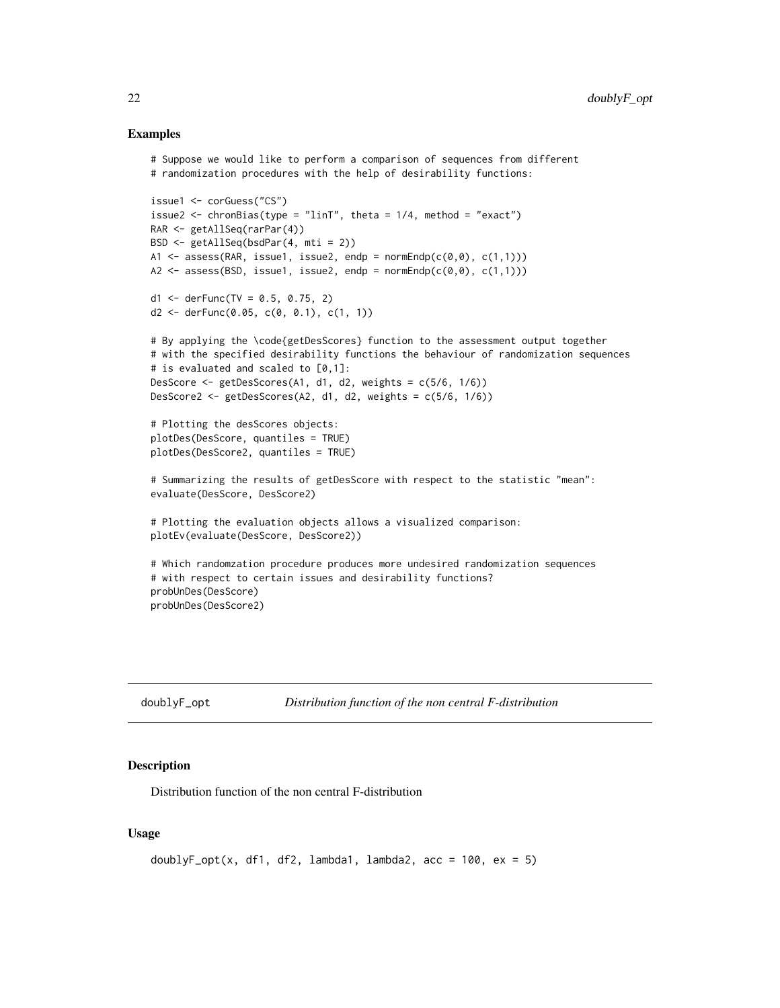#### Examples

```
# Suppose we would like to perform a comparison of sequences from different
# randomization procedures with the help of desirability functions:
issue1 <- corGuess("CS")
issue2 \leq chronBias(type = "linT", theta = 1/4, method = "exact")
RAR <- getAllSeq(rarPar(4))
BSD <- getAllSeq(bsdPar(4, mti = 2))
A1 \leq assess(RAR, issue1, issue2, endp = normEndp(c(\emptyset, \emptyset), c(1,1)))
A2 \leq assess(BSD, issue1, issue2, endp = normEndp(c(0,0), c(1,1)))
d1 <- derFunc(TV = 0.5, 0.75, 2)
d2 \le -\text{derFunc}(0.05, c(0, 0.1), c(1, 1))# By applying the \code{getDesScores} function to the assessment output together
# with the specified desirability functions the behaviour of randomization sequences
# is evaluated and scaled to [0,1]:
DesScore \leq getDesScores(A1, d1, d2, weights = c(5/6, 1/6))
DesScore2 <- getDesScores(A2, d1, d2, weights = c(5/6, 1/6))
# Plotting the desScores objects:
plotDes(DesScore, quantiles = TRUE)
plotDes(DesScore2, quantiles = TRUE)
# Summarizing the results of getDesScore with respect to the statistic "mean":
evaluate(DesScore, DesScore2)
# Plotting the evaluation objects allows a visualized comparison:
plotEv(evaluate(DesScore, DesScore2))
# Which randomzation procedure produces more undesired randomization sequences
# with respect to certain issues and desirability functions?
probUnDes(DesScore)
probUnDes(DesScore2)
```

| doublyF_opt | Distribution function of the non central F-distribution |  |  |
|-------------|---------------------------------------------------------|--|--|
|             |                                                         |  |  |

#### Description

Distribution function of the non central F-distribution

#### Usage

```
doublyF_opt(x, df1, df2, lambda1, lambda2, acc = 100, ex = 5)
```
<span id="page-21-0"></span>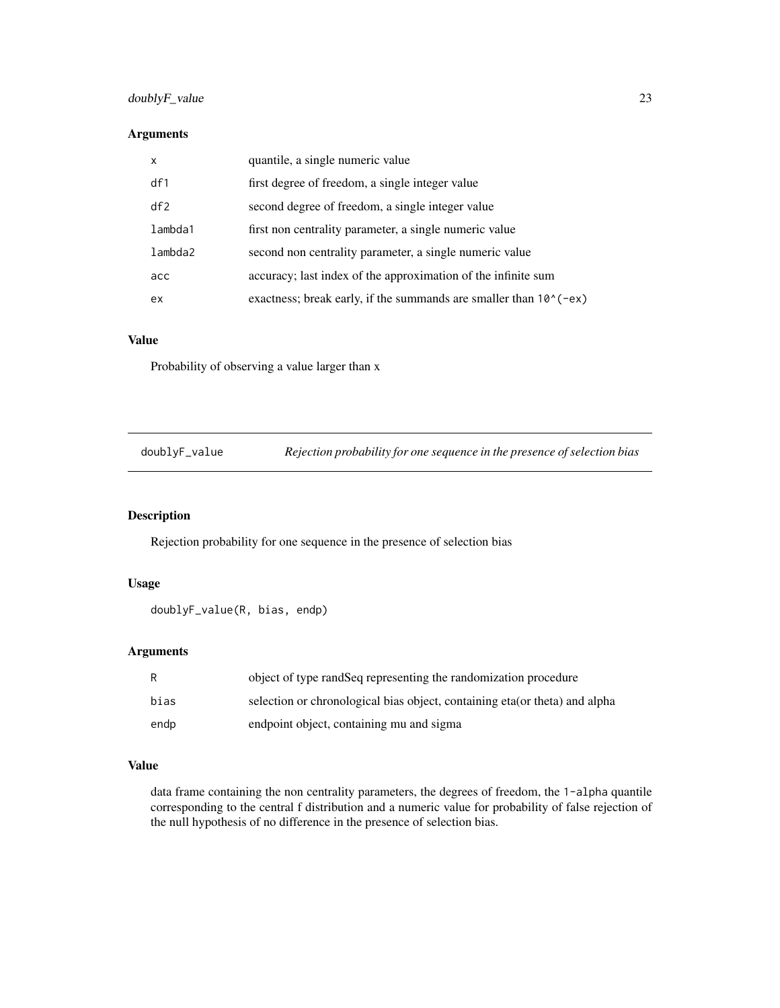# <span id="page-22-0"></span>doublyF\_value 23

# Arguments

| $\boldsymbol{\mathsf{x}}$ | quantile, a single numeric value                                            |
|---------------------------|-----------------------------------------------------------------------------|
| df1                       | first degree of freedom, a single integer value                             |
| df2                       | second degree of freedom, a single integer value                            |
| lambda1                   | first non centrality parameter, a single numeric value                      |
| lambda2                   | second non centrality parameter, a single numeric value                     |
| acc                       | accuracy; last index of the approximation of the infinite sum               |
| ex.                       | exactness; break early, if the summands are smaller than $10^{\circ}$ (-ex) |

# Value

Probability of observing a value larger than x

doublyF\_value *Rejection probability for one sequence in the presence of selection bias*

# **Description**

Rejection probability for one sequence in the presence of selection bias

#### Usage

```
doublyF_value(R, bias, endp)
```
# Arguments

| R    | object of type rand Seq representing the randomization procedure            |
|------|-----------------------------------------------------------------------------|
| bias | selection or chronological bias object, containing eta (or theta) and alpha |
| endp | endpoint object, containing mu and sigma                                    |

# Value

data frame containing the non centrality parameters, the degrees of freedom, the 1-alpha quantile corresponding to the central f distribution and a numeric value for probability of false rejection of the null hypothesis of no difference in the presence of selection bias.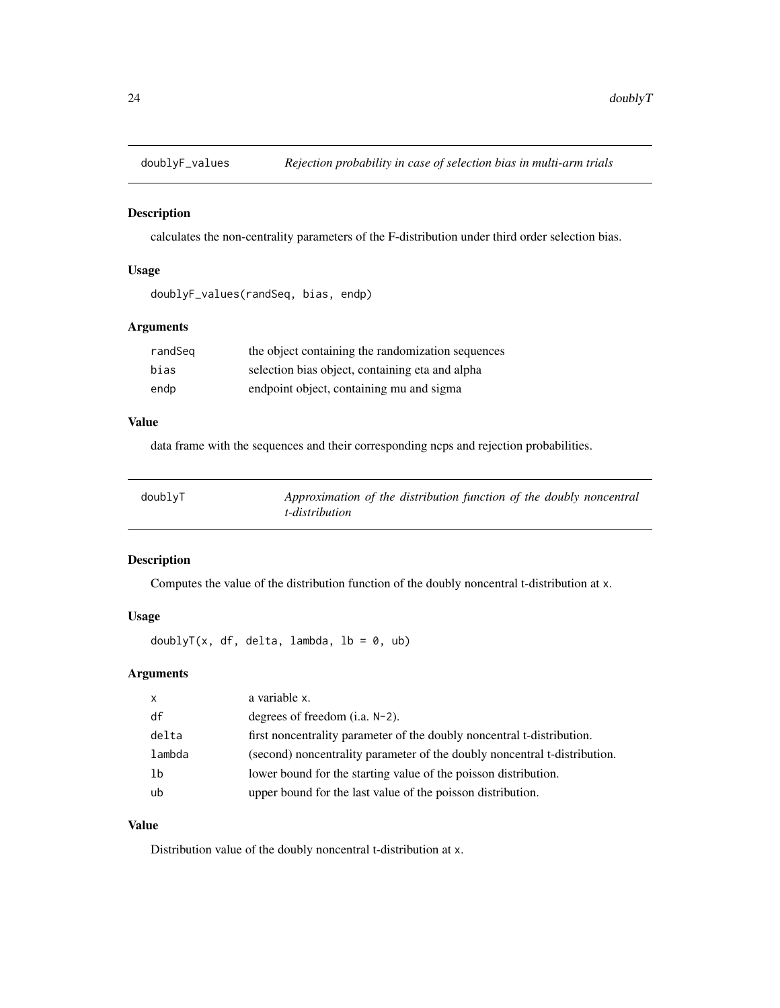<span id="page-23-0"></span>

calculates the non-centrality parameters of the F-distribution under third order selection bias.

#### Usage

doublyF\_values(randSeq, bias, endp)

# Arguments

| randSeg | the object containing the randomization sequences |
|---------|---------------------------------------------------|
| bias    | selection bias object, containing eta and alpha   |
| endp    | endpoint object, containing mu and sigma          |

# Value

data frame with the sequences and their corresponding ncps and rejection probabilities.

| doublyT | Approximation of the distribution function of the doubly noncentral |
|---------|---------------------------------------------------------------------|
|         | t-distribution                                                      |

# Description

Computes the value of the distribution function of the doubly noncentral t-distribution at x.

# Usage

doublyT(x, df, delta, lambda,  $lb = 0$ , ub)

# Arguments

| $\mathsf{x}$ | a variable x.                                                             |
|--------------|---------------------------------------------------------------------------|
| df           | degrees of freedom $(i.a. N-2)$ .                                         |
| delta        | first noncentrality parameter of the doubly noncentral t-distribution.    |
| lambda       | (second) noncentrality parameter of the doubly noncentral t-distribution. |
| 1b           | lower bound for the starting value of the poisson distribution.           |
| ub           | upper bound for the last value of the poisson distribution.               |

# Value

Distribution value of the doubly noncentral t-distribution at x.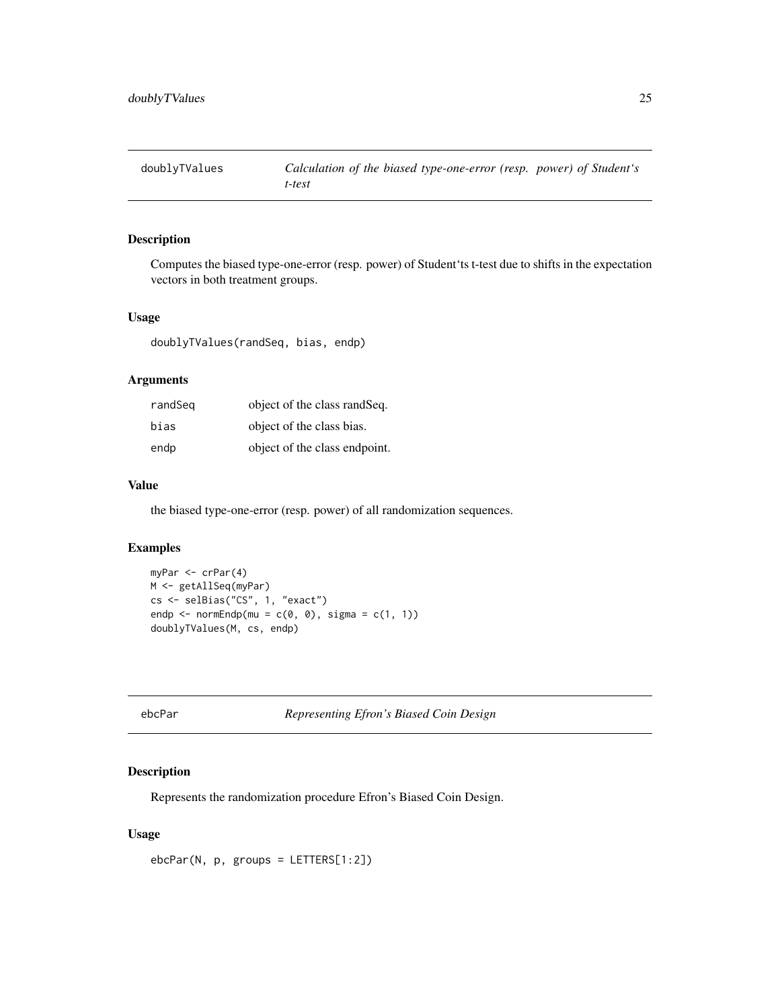<span id="page-24-0"></span>

Computes the biased type-one-error (resp. power) of Student'ts t-test due to shifts in the expectation vectors in both treatment groups.

#### Usage

doublyTValues(randSeq, bias, endp)

#### Arguments

| randSeg | object of the class rand Seq. |
|---------|-------------------------------|
| bias    | object of the class bias.     |
| endp    | object of the class endpoint. |

# Value

the biased type-one-error (resp. power) of all randomization sequences.

#### Examples

```
myPar <- crPar(4)
M <- getAllSeq(myPar)
cs <- selBias("CS", 1, "exact")
endp \leq normEndp(mu = c(0, 0), sigma = c(1, 1))
doublyTValues(M, cs, endp)
```
<span id="page-24-1"></span>ebcPar *Representing Efron's Biased Coin Design*

#### Description

Represents the randomization procedure Efron's Biased Coin Design.

# Usage

ebcPar(N, p, groups = LETTERS[1:2])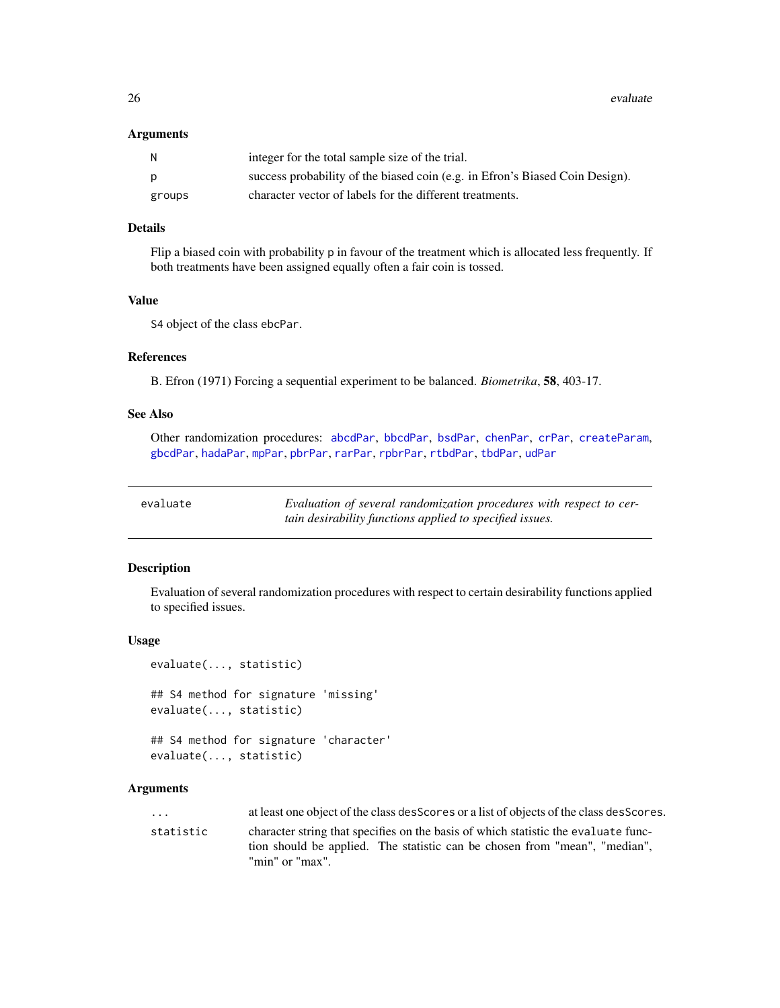<span id="page-25-0"></span>26 evaluate experience of the contract of the contract of the contract of the contract of the contract of the contract of the contract of the contract of the contract of the contract of the contract of the contract of the

#### **Arguments**

| N.     | integer for the total sample size of the trial.                              |
|--------|------------------------------------------------------------------------------|
| D      | success probability of the biased coin (e.g. in Efron's Biased Coin Design). |
| groups | character vector of labels for the different treatments.                     |

#### Details

Flip a biased coin with probability p in favour of the treatment which is allocated less frequently. If both treatments have been assigned equally often a fair coin is tossed.

# Value

S4 object of the class ebcPar.

# References

B. Efron (1971) Forcing a sequential experiment to be balanced. *Biometrika*, 58, 403-17.

# See Also

Other randomization procedures: [abcdPar](#page-4-1), [bbcdPar](#page-7-1), [bsdPar](#page-9-1), [chenPar](#page-11-1), [crPar](#page-18-1), [createParam](#page-17-1), [gbcdPar](#page-27-1), [hadaPar](#page-47-1), [mpPar](#page-54-1), [pbrPar](#page-58-1), [rarPar](#page-66-1), [rpbrPar](#page-67-1), [rtbdPar](#page-68-1), [tbdPar](#page-74-1), [udPar](#page-76-1)

<span id="page-25-1"></span>

| evaluate | Evaluation of several randomization procedures with respect to cer- |
|----------|---------------------------------------------------------------------|
|          | tain desirability functions applied to specified issues.            |

# Description

Evaluation of several randomization procedures with respect to certain desirability functions applied to specified issues.

#### Usage

```
evaluate(..., statistic)
## S4 method for signature 'missing'
evaluate(..., statistic)
## S4 method for signature 'character'
```
# evaluate(..., statistic)

# Arguments

... at least one object of the class desScores or a list of objects of the class desScores. statistic character string that specifies on the basis of which statistic the evaluate function should be applied. The statistic can be chosen from "mean", "median", "min" or "max".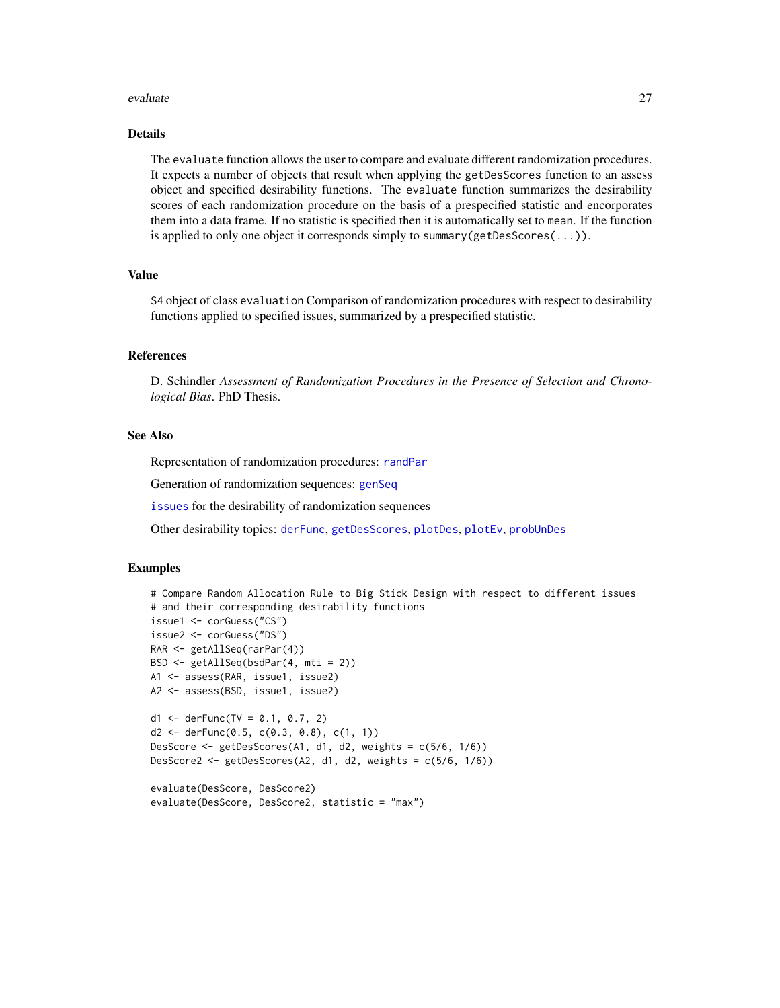#### evaluate 27

# Details

The evaluate function allows the user to compare and evaluate different randomization procedures. It expects a number of objects that result when applying the getDesScores function to an assess object and specified desirability functions. The evaluate function summarizes the desirability scores of each randomization procedure on the basis of a prespecified statistic and encorporates them into a data frame. If no statistic is specified then it is automatically set to mean. If the function is applied to only one object it corresponds simply to summary(getDesScores(...)).

# Value

S4 object of class evaluation Comparison of randomization procedures with respect to desirability functions applied to specified issues, summarized by a prespecified statistic.

#### References

D. Schindler *Assessment of Randomization Procedures in the Presence of Selection and Chronological Bias*. PhD Thesis.

# See Also

Representation of randomization procedures: [randPar](#page-64-1)

Generation of randomization sequences: [genSeq](#page-31-1)

[issues](#page-50-1) for the desirability of randomization sequences

Other desirability topics: [derFunc](#page-19-1), [getDesScores](#page-42-1), [plotDes](#page-60-1), [plotEv](#page-61-1), [probUnDes](#page-63-1)

#### Examples

```
# Compare Random Allocation Rule to Big Stick Design with respect to different issues
# and their corresponding desirability functions
issue1 <- corGuess("CS")
issue2 <- corGuess("DS")
RAR <- getAllSeq(rarPar(4))
BSD <- getAllSeq(bsdPar(4, mti = 2))
A1 <- assess(RAR, issue1, issue2)
A2 <- assess(BSD, issue1, issue2)
d1 <- derFunc(TV = 0.1, 0.7, 2)
d2 \le - \text{derFunc}(0.5, c(0.3, 0.8), c(1, 1))DesScore <- getDesScores(A1, d1, d2, weights = c(5/6, 1/6))
DesScore2 <- getDesScores(A2, d1, d2, weights = c(5/6, 1/6))
evaluate(DesScore, DesScore2)
evaluate(DesScore, DesScore2, statistic = "max")
```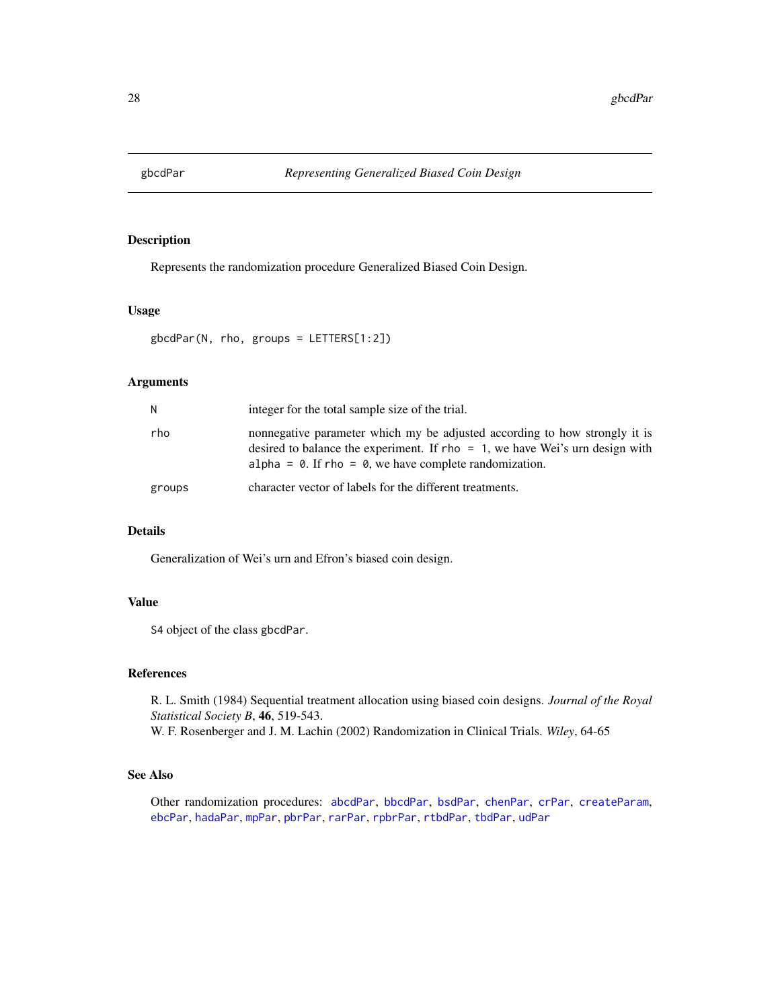<span id="page-27-1"></span><span id="page-27-0"></span>

Represents the randomization procedure Generalized Biased Coin Design.

#### Usage

gbcdPar(N, rho, groups = LETTERS[1:2])

#### Arguments

| N      | integer for the total sample size of the trial.                                                                                                                                                                                         |
|--------|-----------------------------------------------------------------------------------------------------------------------------------------------------------------------------------------------------------------------------------------|
| rho    | nonnegative parameter which my be adjusted according to how strongly it is<br>desired to balance the experiment. If rho $= 1$ , we have Wei's urn design with<br>alpha = $\theta$ . If rho = $\theta$ , we have complete randomization. |
| groups | character vector of labels for the different treatments.                                                                                                                                                                                |

# Details

Generalization of Wei's urn and Efron's biased coin design.

# Value

S4 object of the class gbcdPar.

#### References

R. L. Smith (1984) Sequential treatment allocation using biased coin designs. *Journal of the Royal Statistical Society B*, 46, 519-543. W. F. Rosenberger and J. M. Lachin (2002) Randomization in Clinical Trials. *Wiley*, 64-65

# See Also

Other randomization procedures: [abcdPar](#page-4-1), [bbcdPar](#page-7-1), [bsdPar](#page-9-1), [chenPar](#page-11-1), [crPar](#page-18-1), [createParam](#page-17-1), [ebcPar](#page-24-1), [hadaPar](#page-47-1), [mpPar](#page-54-1), [pbrPar](#page-58-1), [rarPar](#page-66-1), [rpbrPar](#page-67-1), [rtbdPar](#page-68-1), [tbdPar](#page-74-1), [udPar](#page-76-1)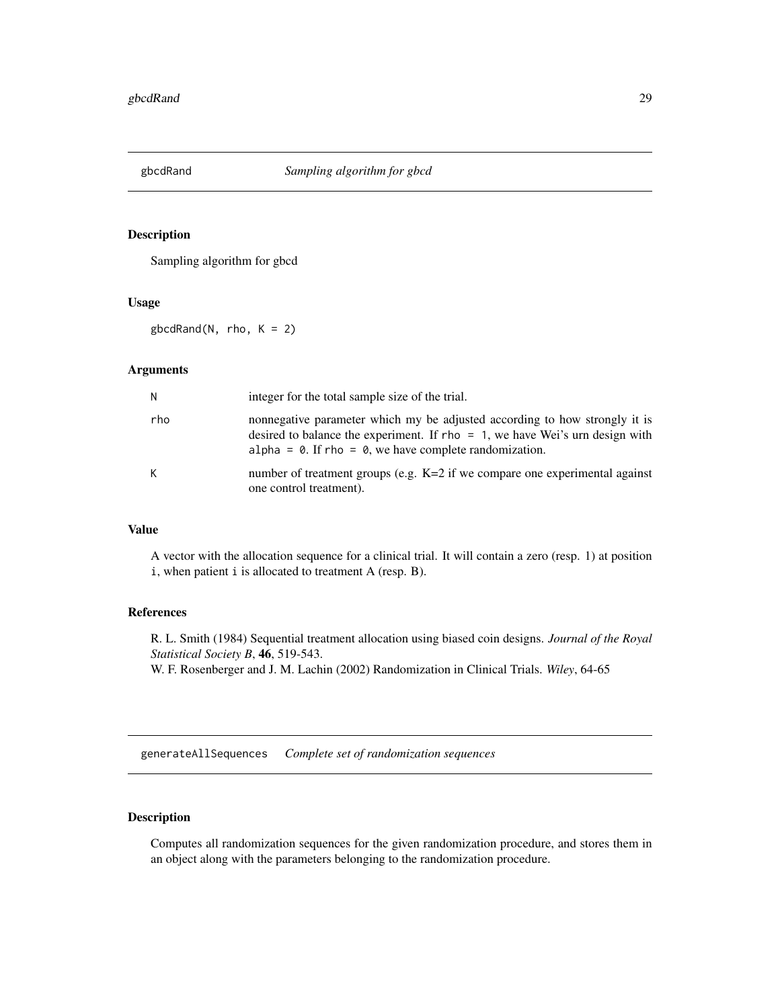<span id="page-28-0"></span>

Sampling algorithm for gbcd

#### Usage

 $globalAnd(N, rho, K = 2)$ 

# Arguments

| N   | integer for the total sample size of the trial.                                                                                                                                                                                         |
|-----|-----------------------------------------------------------------------------------------------------------------------------------------------------------------------------------------------------------------------------------------|
| rho | nonnegative parameter which my be adjusted according to how strongly it is<br>desired to balance the experiment. If $rho = 1$ , we have Wei's urn design with<br>alpha = $\theta$ . If rho = $\theta$ , we have complete randomization. |
| K   | number of treatment groups (e.g. $K=2$ if we compare one experimental against<br>one control treatment).                                                                                                                                |

#### Value

A vector with the allocation sequence for a clinical trial. It will contain a zero (resp. 1) at position i, when patient i is allocated to treatment A (resp. B).

# References

R. L. Smith (1984) Sequential treatment allocation using biased coin designs. *Journal of the Royal Statistical Society B*, 46, 519-543. W. F. Rosenberger and J. M. Lachin (2002) Randomization in Clinical Trials. *Wiley*, 64-65

generateAllSequences *Complete set of randomization sequences*

# <span id="page-28-1"></span>Description

Computes all randomization sequences for the given randomization procedure, and stores them in an object along with the parameters belonging to the randomization procedure.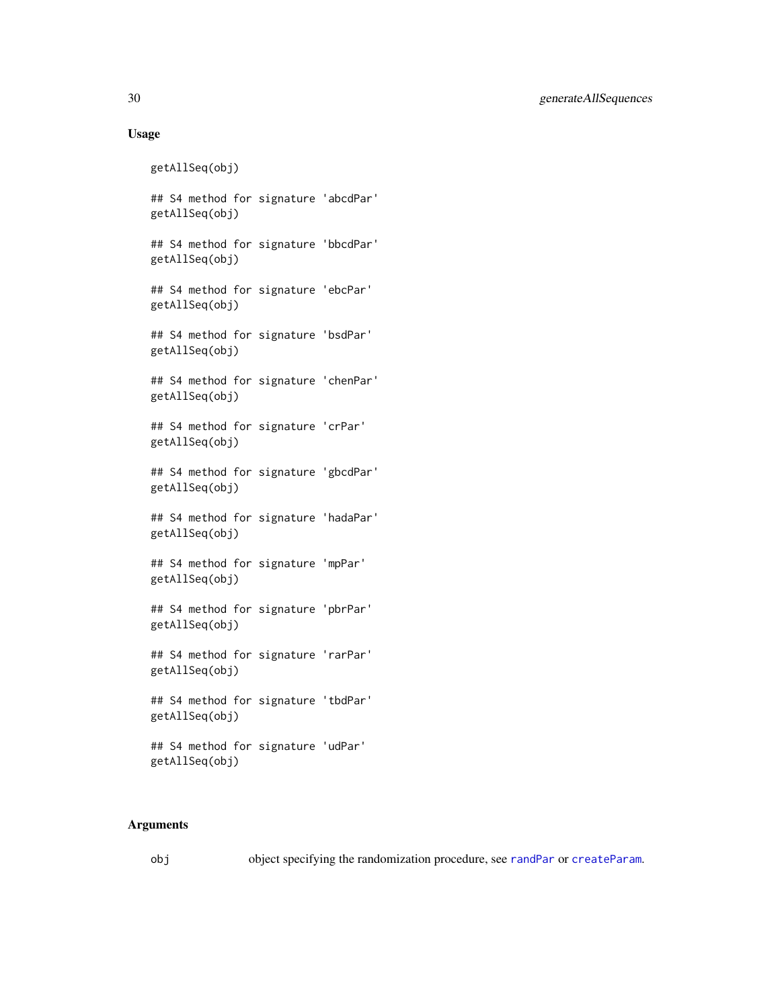# Usage

```
getAllSeq(obj)
## S4 method for signature 'abcdPar'
getAllSeq(obj)
## S4 method for signature 'bbcdPar'
getAllSeq(obj)
## S4 method for signature 'ebcPar'
getAllSeq(obj)
## S4 method for signature 'bsdPar'
getAllSeq(obj)
## S4 method for signature 'chenPar'
getAllSeq(obj)
## S4 method for signature 'crPar'
getAllSeq(obj)
## S4 method for signature 'gbcdPar'
getAllSeq(obj)
## S4 method for signature 'hadaPar'
getAllSeq(obj)
## S4 method for signature 'mpPar'
getAllSeq(obj)
## S4 method for signature 'pbrPar'
getAllSeq(obj)
## S4 method for signature 'rarPar'
getAllSeq(obj)
## S4 method for signature 'tbdPar'
getAllSeq(obj)
## S4 method for signature 'udPar'
getAllSeq(obj)
```
#### Arguments

obj object specifying the randomization procedure, see [randPar](#page-64-1) or [createParam](#page-17-1).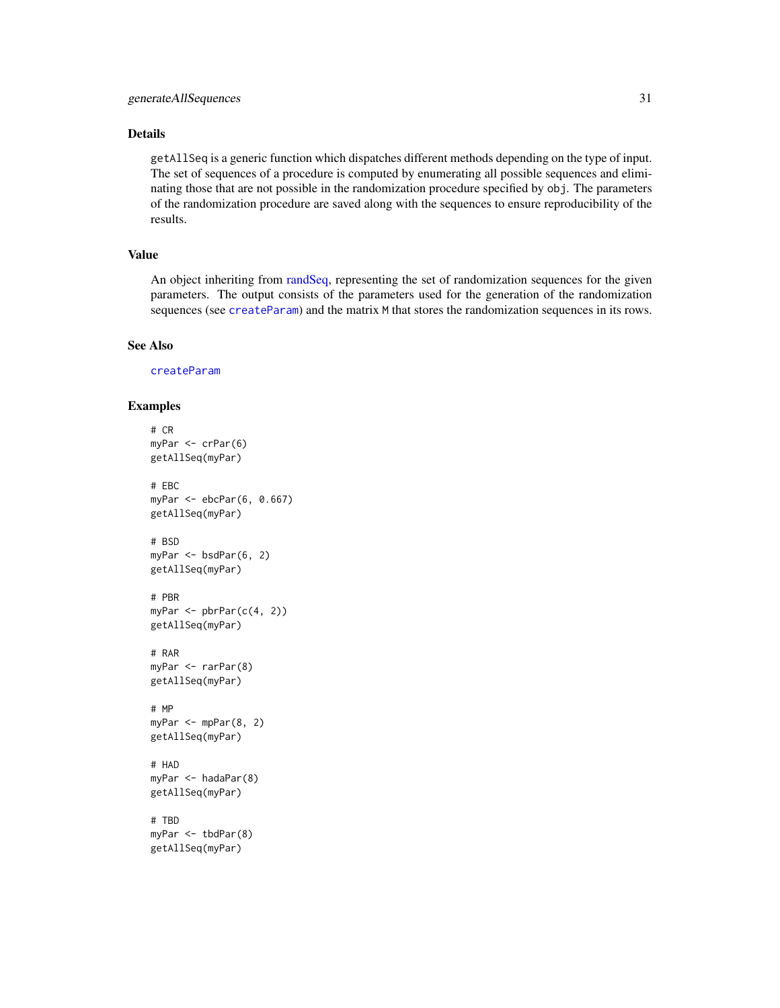# Details

getAllSeq is a generic function which dispatches different methods depending on the type of input. The set of sequences of a procedure is computed by enumerating all possible sequences and eliminating those that are not possible in the randomization procedure specified by obj. The parameters of the randomization procedure are saved along with the sequences to ensure reproducibility of the results.

# Value

An object inheriting from [randSeq,](#page-65-1) representing the set of randomization sequences for the given parameters. The output consists of the parameters used for the generation of the randomization sequences (see [createParam](#page-17-1)) and the matrix M that stores the randomization sequences in its rows.

#### See Also

[createParam](#page-17-1)

#### Examples

```
# CR
myPar <- crPar(6)
getAllSeq(myPar)
# EBC
myPar <- ebcPar(6, 0.667)
getAllSeq(myPar)
# BSD
myPar <- bsdPar(6, 2)
getAllSeq(myPar)
# PBR
myPar \leq pbrPar(c(4, 2))getAllSeq(myPar)
# RAR
myPar <- rarPar(8)
getAllSeq(myPar)
# MP
myPar < - mpPar(8, 2)getAllSeq(myPar)
# HAD
myPar <- hadaPar(8)
getAllSeq(myPar)
# TBD
myPar <- tbdPar(8)
getAllSeq(myPar)
```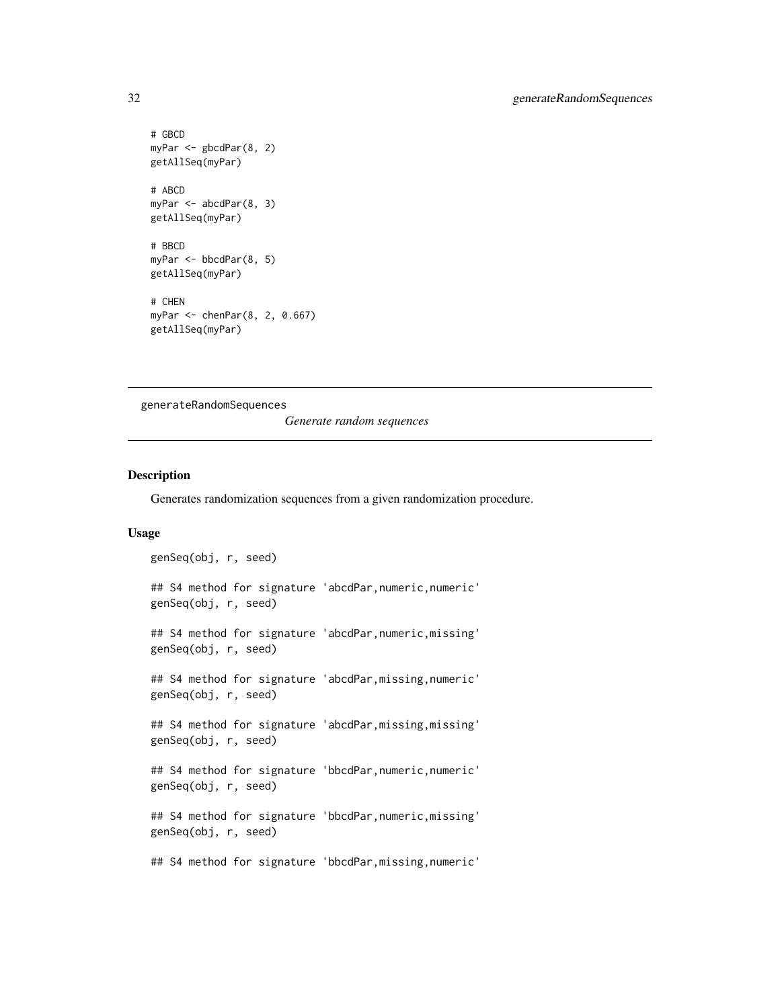```
# GBCD
myPar <- gbcdPar(8, 2)
getAllSeq(myPar)
# ABCD
myPar <- abcdPar(8, 3)
getAllSeq(myPar)
# BBCD
myPar <- bbcdPar(8, 5)
getAllSeq(myPar)
# CHEN
myPar <- chenPar(8, 2, 0.667)
getAllSeq(myPar)
```
*Generate random sequences*

# <span id="page-31-1"></span>Description

Generates randomization sequences from a given randomization procedure.

#### Usage

```
genSeq(obj, r, seed)
## S4 method for signature 'abcdPar, numeric, numeric'
genSeq(obj, r, seed)
## S4 method for signature 'abcdPar,numeric,missing'
genSeq(obj, r, seed)
## S4 method for signature 'abcdPar, missing, numeric'
genSeq(obj, r, seed)
## S4 method for signature 'abcdPar,missing,missing'
genSeq(obj, r, seed)
## S4 method for signature 'bbcdPar, numeric, numeric'
genSeq(obj, r, seed)
## S4 method for signature 'bbcdPar,numeric,missing'
genSeq(obj, r, seed)
```
## S4 method for signature 'bbcdPar, missing, numeric'

<span id="page-31-0"></span>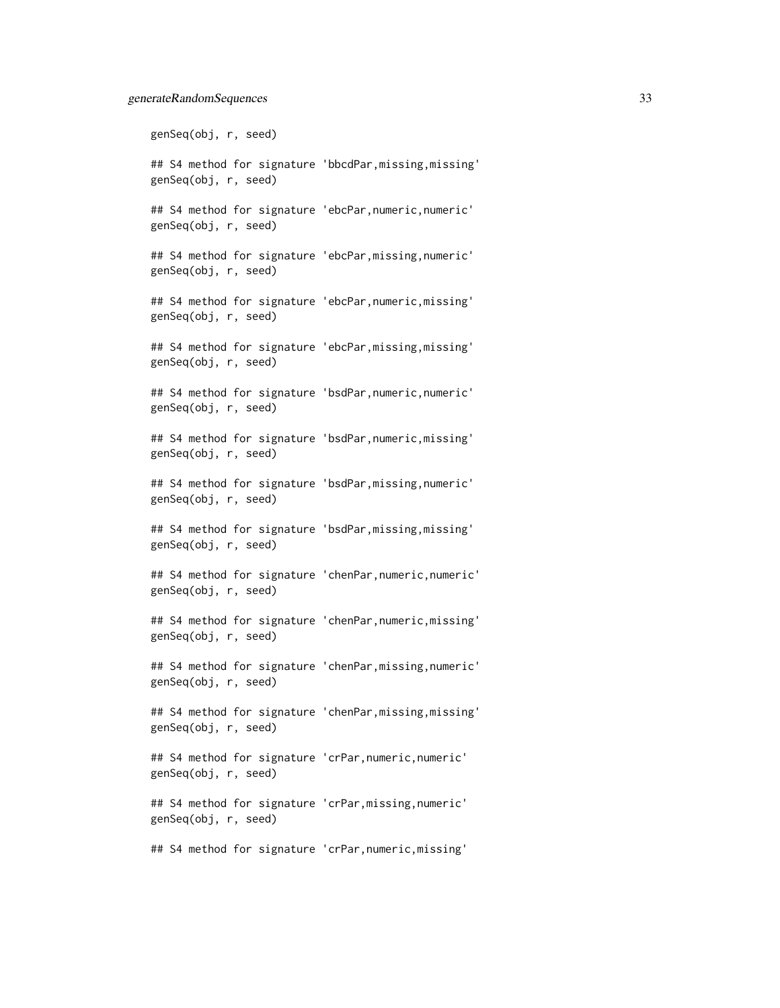genSeq(obj, r, seed)

## S4 method for signature 'bbcdPar,missing,missing' genSeq(obj, r, seed)

## S4 method for signature 'ebcPar,numeric,numeric' genSeq(obj, r, seed)

## S4 method for signature 'ebcPar,missing,numeric' genSeq(obj, r, seed)

## S4 method for signature 'ebcPar,numeric,missing' genSeq(obj, r, seed)

## S4 method for signature 'ebcPar,missing,missing' genSeq(obj, r, seed)

## S4 method for signature 'bsdPar,numeric,numeric' genSeq(obj, r, seed)

## S4 method for signature 'bsdPar,numeric,missing' genSeq(obj, r, seed)

## S4 method for signature 'bsdPar,missing,numeric' genSeq(obj, r, seed)

## S4 method for signature 'bsdPar,missing,missing' genSeq(obj, r, seed)

## S4 method for signature 'chenPar,numeric,numeric' genSeq(obj, r, seed)

## S4 method for signature 'chenPar,numeric,missing' genSeq(obj, r, seed)

## S4 method for signature 'chenPar,missing,numeric' genSeq(obj, r, seed)

## S4 method for signature 'chenPar,missing,missing' genSeq(obj, r, seed)

## S4 method for signature 'crPar,numeric,numeric' genSeq(obj, r, seed)

## S4 method for signature 'crPar,missing,numeric' genSeq(obj, r, seed)

## S4 method for signature 'crPar,numeric,missing'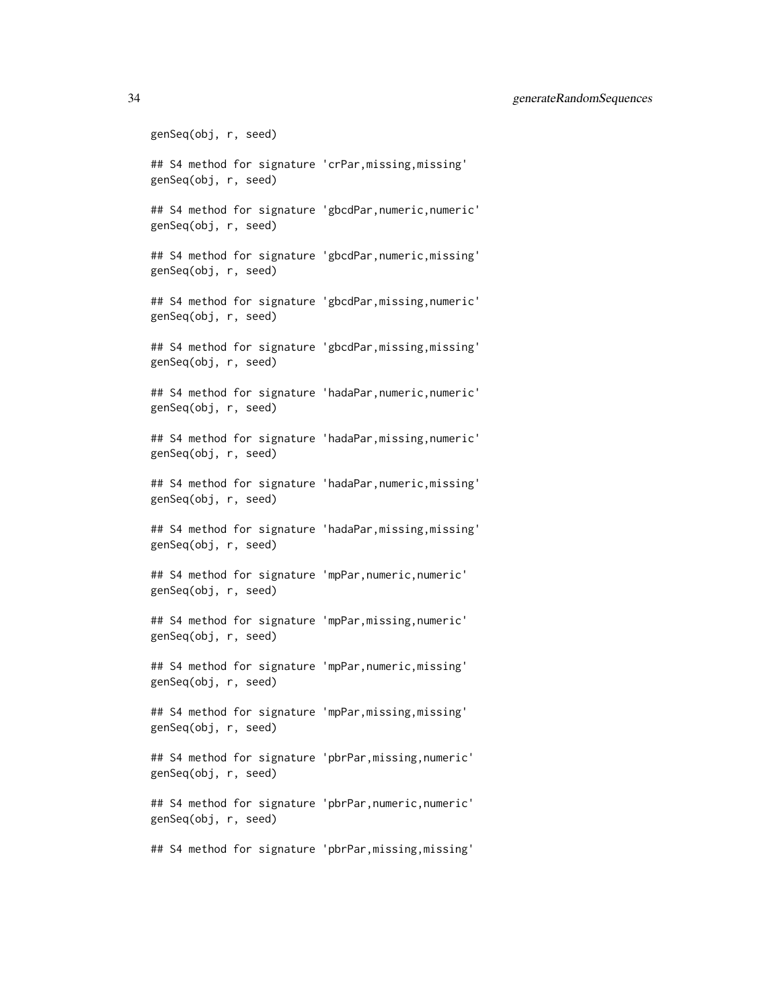genSeq(obj, r, seed) ## S4 method for signature 'crPar,missing,missing' genSeq(obj, r, seed) ## S4 method for signature 'gbcdPar,numeric,numeric' genSeq(obj, r, seed) ## S4 method for signature 'gbcdPar,numeric,missing' genSeq(obj, r, seed) ## S4 method for signature 'gbcdPar,missing,numeric' genSeq(obj, r, seed) ## S4 method for signature 'gbcdPar,missing,missing' genSeq(obj, r, seed) ## S4 method for signature 'hadaPar,numeric,numeric' genSeq(obj, r, seed) ## S4 method for signature 'hadaPar,missing,numeric' genSeq(obj, r, seed) ## S4 method for signature 'hadaPar,numeric,missing' genSeq(obj, r, seed) ## S4 method for signature 'hadaPar,missing,missing' genSeq(obj, r, seed) ## S4 method for signature 'mpPar,numeric,numeric' genSeq(obj, r, seed) ## S4 method for signature 'mpPar,missing,numeric' genSeq(obj, r, seed) ## S4 method for signature 'mpPar,numeric,missing' genSeq(obj, r, seed) ## S4 method for signature 'mpPar,missing,missing' genSeq(obj, r, seed) ## S4 method for signature 'pbrPar,missing,numeric' genSeq(obj, r, seed) ## S4 method for signature 'pbrPar,numeric,numeric' genSeq(obj, r, seed) ## S4 method for signature 'pbrPar,missing,missing'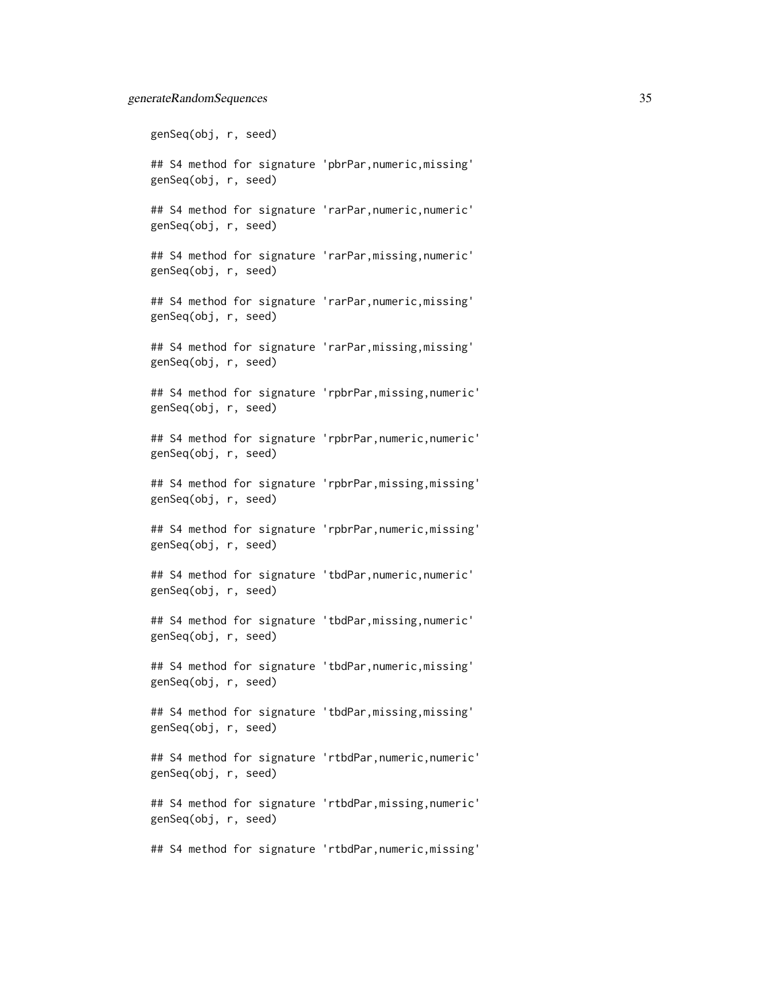genSeq(obj, r, seed)

## S4 method for signature 'pbrPar,numeric,missing' genSeq(obj, r, seed)

## S4 method for signature 'rarPar,numeric,numeric' genSeq(obj, r, seed)

## S4 method for signature 'rarPar,missing,numeric' genSeq(obj, r, seed)

## S4 method for signature 'rarPar,numeric,missing' genSeq(obj, r, seed)

## S4 method for signature 'rarPar,missing,missing' genSeq(obj, r, seed)

## S4 method for signature 'rpbrPar,missing,numeric' genSeq(obj, r, seed)

## S4 method for signature 'rpbrPar,numeric,numeric' genSeq(obj, r, seed)

## S4 method for signature 'rpbrPar,missing,missing' genSeq(obj, r, seed)

## S4 method for signature 'rpbrPar,numeric,missing' genSeq(obj, r, seed)

## S4 method for signature 'tbdPar, numeric, numeric' genSeq(obj, r, seed)

## S4 method for signature 'tbdPar,missing,numeric' genSeq(obj, r, seed)

## S4 method for signature 'tbdPar,numeric,missing' genSeq(obj, r, seed)

## S4 method for signature 'tbdPar,missing,missing' genSeq(obj, r, seed)

## S4 method for signature 'rtbdPar,numeric,numeric' genSeq(obj, r, seed)

## S4 method for signature 'rtbdPar,missing,numeric' genSeq(obj, r, seed)

## S4 method for signature 'rtbdPar,numeric,missing'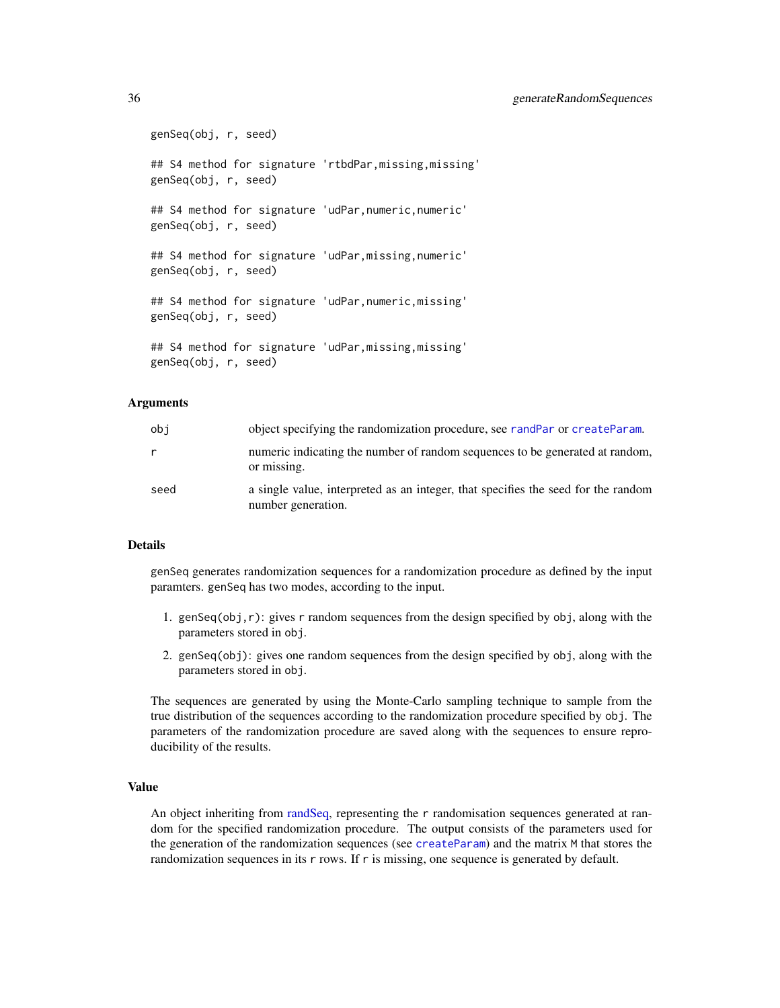genSeq(obj, r, seed) ## S4 method for signature 'rtbdPar,missing,missing' genSeq(obj, r, seed) ## S4 method for signature 'udPar,numeric,numeric' genSeq(obj, r, seed) ## S4 method for signature 'udPar,missing,numeric' genSeq(obj, r, seed) ## S4 method for signature 'udPar,numeric,missing' genSeq(obj, r, seed) ## S4 method for signature 'udPar,missing,missing' genSeq(obj, r, seed)

#### Arguments

| obi  | object specifying the randomization procedure, see randPar or createParam.                              |
|------|---------------------------------------------------------------------------------------------------------|
| r    | numeric indicating the number of random sequences to be generated at random,<br>or missing.             |
| seed | a single value, interpreted as an integer, that specifies the seed for the random<br>number generation. |

# Details

genSeq generates randomization sequences for a randomization procedure as defined by the input paramters. genSeq has two modes, according to the input.

- 1. genSeq(obj,r): gives r random sequences from the design specified by obj, along with the parameters stored in obj.
- 2. genSeq(obj): gives one random sequences from the design specified by obj, along with the parameters stored in obj.

The sequences are generated by using the Monte-Carlo sampling technique to sample from the true distribution of the sequences according to the randomization procedure specified by obj. The parameters of the randomization procedure are saved along with the sequences to ensure reproducibility of the results.

# Value

An object inheriting from [randSeq,](#page-65-1) representing the r randomisation sequences generated at random for the specified randomization procedure. The output consists of the parameters used for the generation of the randomization sequences (see [createParam](#page-17-1)) and the matrix M that stores the randomization sequences in its r rows. If r is missing, one sequence is generated by default.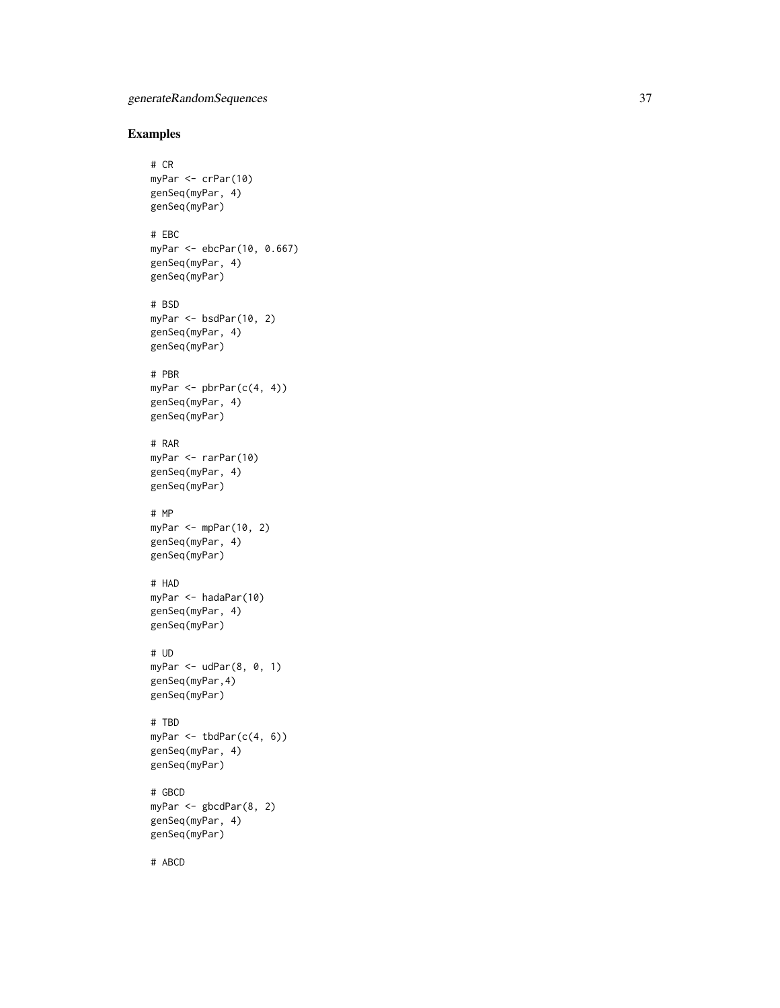# Examples

```
# CR
myPar <- crPar(10)
genSeq(myPar, 4)
genSeq(myPar)
# EBC
myPar <- ebcPar(10, 0.667)
genSeq(myPar, 4)
genSeq(myPar)
# BSD
myPar <- bsdPar(10, 2)
genSeq(myPar, 4)
genSeq(myPar)
# PBR
myPar \leq pbrPar(c(4, 4))
genSeq(myPar, 4)
genSeq(myPar)
# RAR
myPar <- rarPar(10)
genSeq(myPar, 4)
genSeq(myPar)
# MP
myPar \leq mpPar(10, 2)genSeq(myPar, 4)
genSeq(myPar)
# HAD
myPar <- hadaPar(10)
genSeq(myPar, 4)
genSeq(myPar)
# UD
myPar \leq udPar(8, 0, 1)genSeq(myPar,4)
genSeq(myPar)
# TBD
myPar <- tbdPar(c(4, 6))
genSeq(myPar, 4)
genSeq(myPar)
# GBCD
myPar <- gbcdPar(8, 2)
genSeq(myPar, 4)
genSeq(myPar)
```
# ABCD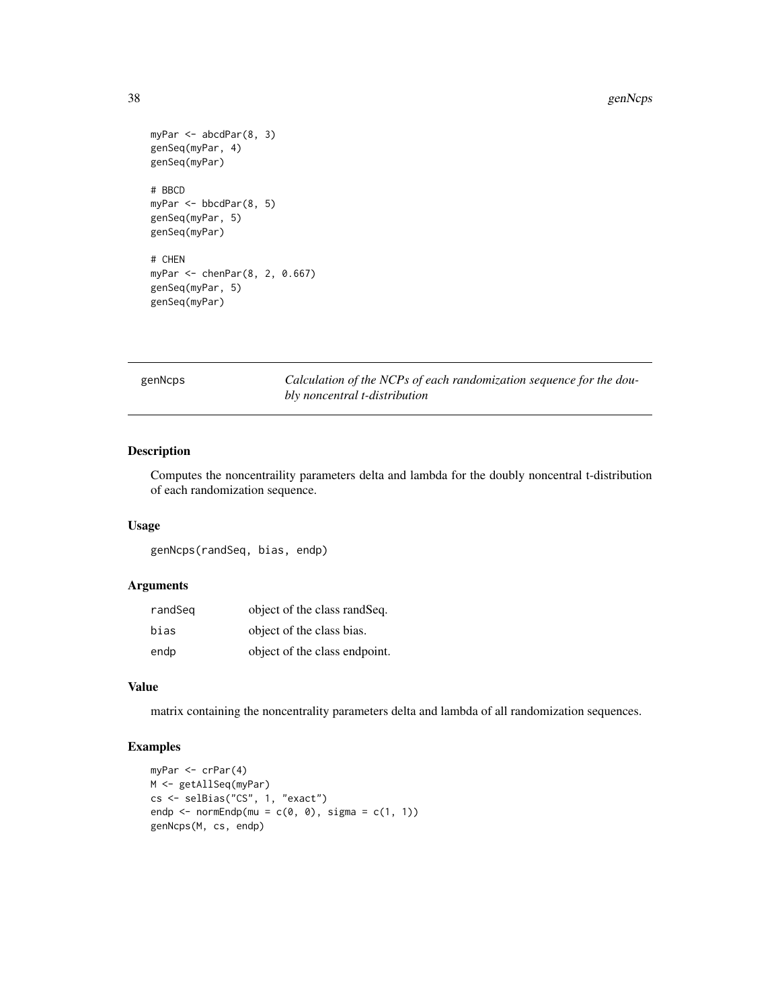```
myPar <- abcdPar(8, 3)
genSeq(myPar, 4)
genSeq(myPar)
# BBCD
myPar <- bbcdPar(8, 5)
genSeq(myPar, 5)
genSeq(myPar)
# CHEN
myPar <- chenPar(8, 2, 0.667)
genSeq(myPar, 5)
```
genSeq(myPar)

genNcps *Calculation of the NCPs of each randomization sequence for the doubly noncentral t-distribution*

# Description

Computes the noncentraility parameters delta and lambda for the doubly noncentral t-distribution of each randomization sequence.

# Usage

genNcps(randSeq, bias, endp)

#### Arguments

| randSeg | object of the class rand Seq. |
|---------|-------------------------------|
| bias    | object of the class bias.     |
| endp    | object of the class endpoint. |

# Value

matrix containing the noncentrality parameters delta and lambda of all randomization sequences.

# Examples

```
myPar <- crPar(4)
M <- getAllSeq(myPar)
cs <- selBias("CS", 1, "exact")
endp <- normEndp(mu = c(\emptyset, \emptyset), sigma = c(1, 1))
genNcps(M, cs, endp)
```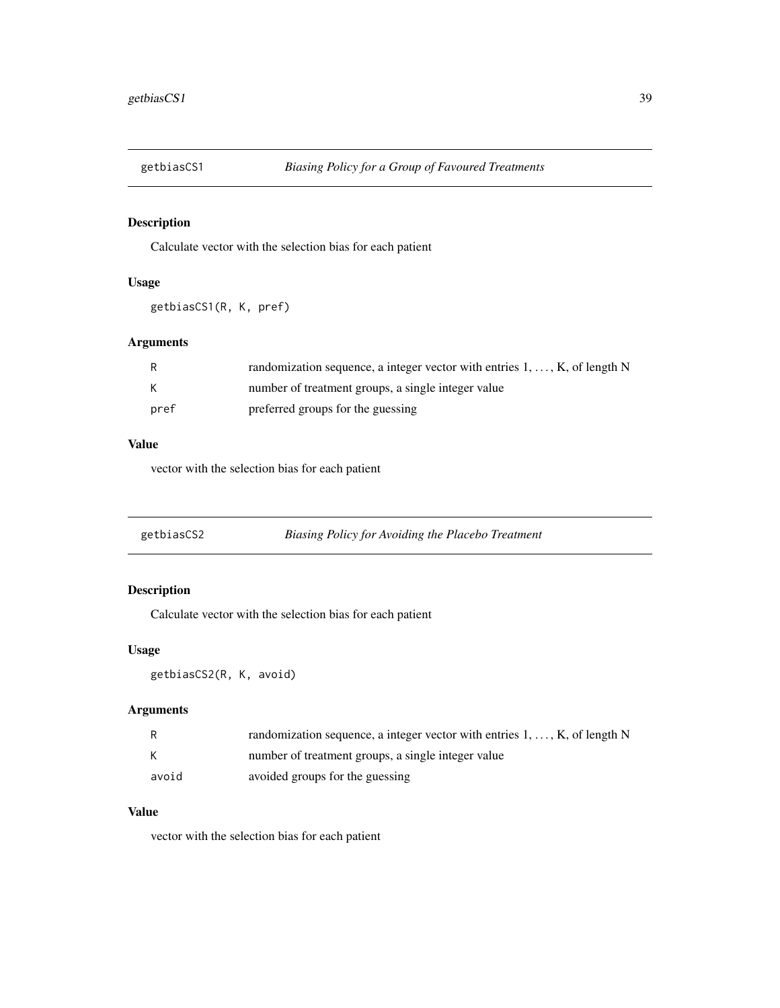Calculate vector with the selection bias for each patient

# Usage

```
getbiasCS1(R, K, pref)
```
# Arguments

|      | randomization sequence, a integer vector with entries $1, \ldots, K$ , of length N |
|------|------------------------------------------------------------------------------------|
| K    | number of treatment groups, a single integer value                                 |
| pref | preferred groups for the guessing                                                  |

# Value

vector with the selection bias for each patient

| getbiasCS2 | Biasing Policy for Avoiding the Placebo Treatment |
|------------|---------------------------------------------------|
|            |                                                   |

# Description

Calculate vector with the selection bias for each patient

# Usage

getbiasCS2(R, K, avoid)

# Arguments

|       | randomization sequence, a integer vector with entries $1, \ldots, K$ , of length N |
|-------|------------------------------------------------------------------------------------|
|       | number of treatment groups, a single integer value                                 |
| avoid | avoided groups for the guessing                                                    |

# Value

vector with the selection bias for each patient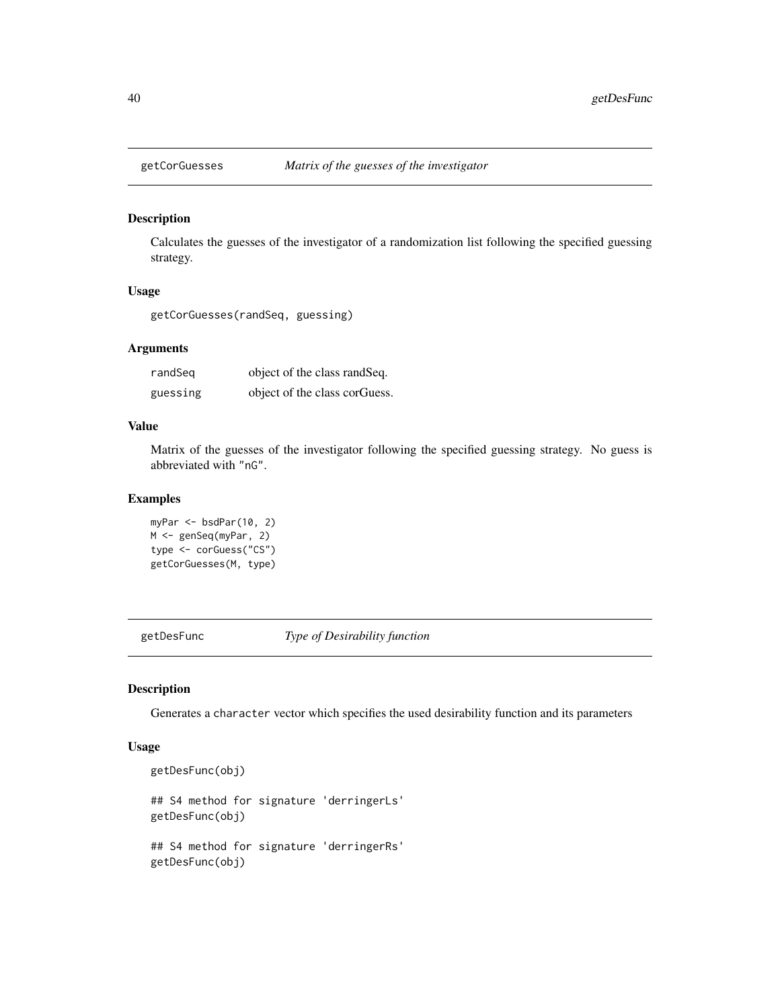Calculates the guesses of the investigator of a randomization list following the specified guessing strategy.

#### Usage

getCorGuesses(randSeq, guessing)

#### Arguments

| randSeg  | object of the class rand Seq. |
|----------|-------------------------------|
| guessing | object of the class corguess. |

## Value

Matrix of the guesses of the investigator following the specified guessing strategy. No guess is abbreviated with "nG".

# Examples

```
myPar <- bsdPar(10, 2)
M <- genSeq(myPar, 2)
type <- corGuess("CS")
getCorGuesses(M, type)
```
getDesFunc *Type of Desirability function*

#### Description

Generates a character vector which specifies the used desirability function and its parameters

#### Usage

```
getDesFunc(obj)
```
getDesFunc(obj)

```
## S4 method for signature 'derringerLs'
getDesFunc(obj)
## S4 method for signature 'derringerRs'
```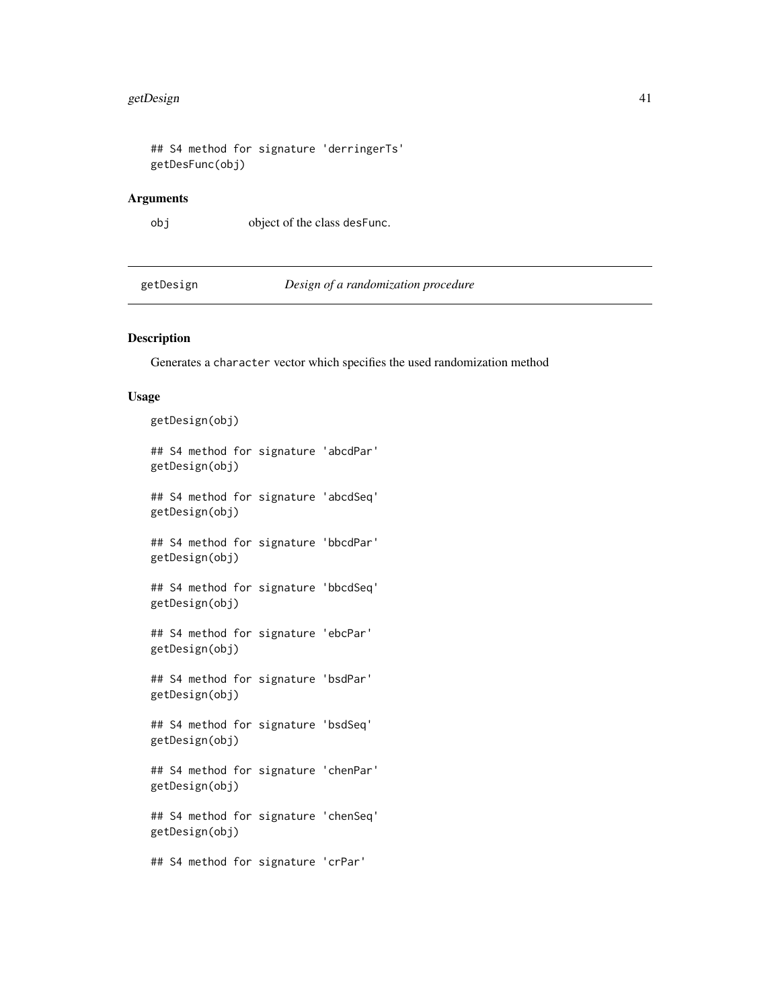## S4 method for signature 'derringerTs' getDesFunc(obj)

#### Arguments

obj object of the class desFunc.

getDesign *Design of a randomization procedure*

#### Description

Generates a character vector which specifies the used randomization method

#### Usage

getDesign(obj)

## S4 method for signature 'abcdPar' getDesign(obj)

## S4 method for signature 'abcdSeq' getDesign(obj)

## S4 method for signature 'bbcdPar' getDesign(obj)

## S4 method for signature 'bbcdSeq' getDesign(obj)

## S4 method for signature 'ebcPar' getDesign(obj)

## S4 method for signature 'bsdPar' getDesign(obj)

## S4 method for signature 'bsdSeq' getDesign(obj)

## S4 method for signature 'chenPar' getDesign(obj)

## S4 method for signature 'chenSeq' getDesign(obj)

## S4 method for signature 'crPar'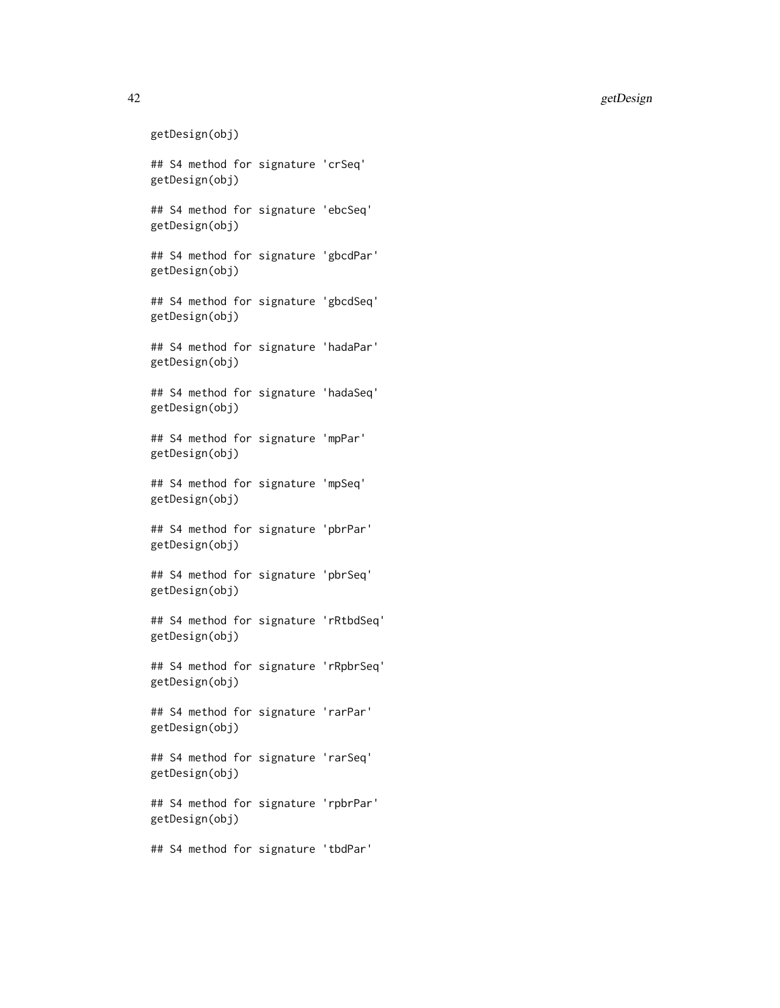```
42 getDesign
   getDesign(obj)
   ## S4 method for signature 'crSeq'
   getDesign(obj)
   ## S4 method for signature 'ebcSeq'
   getDesign(obj)
   ## S4 method for signature 'gbcdPar'
   getDesign(obj)
   ## S4 method for signature 'gbcdSeq'
   getDesign(obj)
   ## S4 method for signature 'hadaPar'
   getDesign(obj)
   ## S4 method for signature 'hadaSeq'
   getDesign(obj)
   ## S4 method for signature 'mpPar'
   getDesign(obj)
   ## S4 method for signature 'mpSeq'
   getDesign(obj)
   ## S4 method for signature 'pbrPar'
   getDesign(obj)
   ## S4 method for signature 'pbrSeq'
   getDesign(obj)
   ## S4 method for signature 'rRtbdSeq'
   getDesign(obj)
   ## S4 method for signature 'rRpbrSeq'
   getDesign(obj)
   ## S4 method for signature 'rarPar'
   getDesign(obj)
   ## S4 method for signature 'rarSeq'
   getDesign(obj)
   ## S4 method for signature 'rpbrPar'
   getDesign(obj)
   ## S4 method for signature 'tbdPar'
```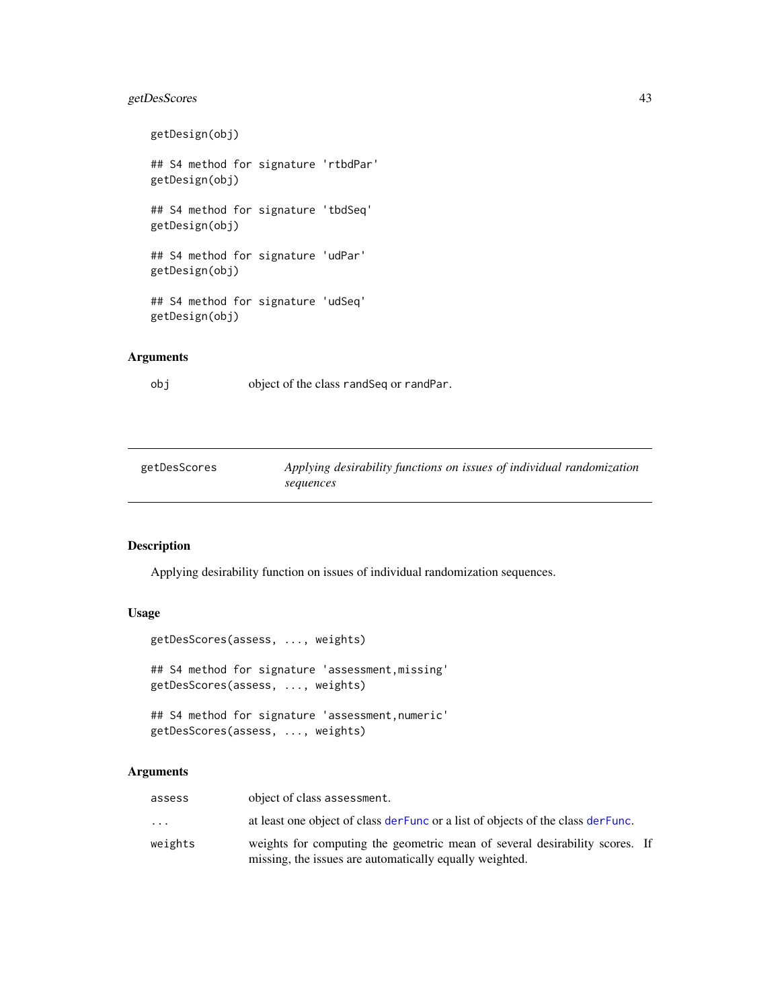# getDesScores 43

```
getDesign(obj)
## S4 method for signature 'rtbdPar'
getDesign(obj)
## S4 method for signature 'tbdSeq'
getDesign(obj)
## S4 method for signature 'udPar'
getDesign(obj)
## S4 method for signature 'udSeq'
getDesign(obj)
```
# Arguments

obj object of the class randSeq or randPar.

<span id="page-42-0"></span>

| getDesScores | Applying desirability functions on issues of individual randomization |
|--------------|-----------------------------------------------------------------------|
|              | sequences                                                             |

# Description

Applying desirability function on issues of individual randomization sequences.

## Usage

```
getDesScores(assess, ..., weights)
## S4 method for signature 'assessment,missing'
getDesScores(assess, ..., weights)
## S4 method for signature 'assessment,numeric'
getDesScores(assess, ..., weights)
```
#### Arguments

| assess  | object of class assessment.                                                                                                            |  |
|---------|----------------------------------------------------------------------------------------------------------------------------------------|--|
| .       | at least one object of class der Func or a list of objects of the class der Func.                                                      |  |
| weights | weights for computing the geometric mean of several desirability scores. If<br>missing, the issues are automatically equally weighted. |  |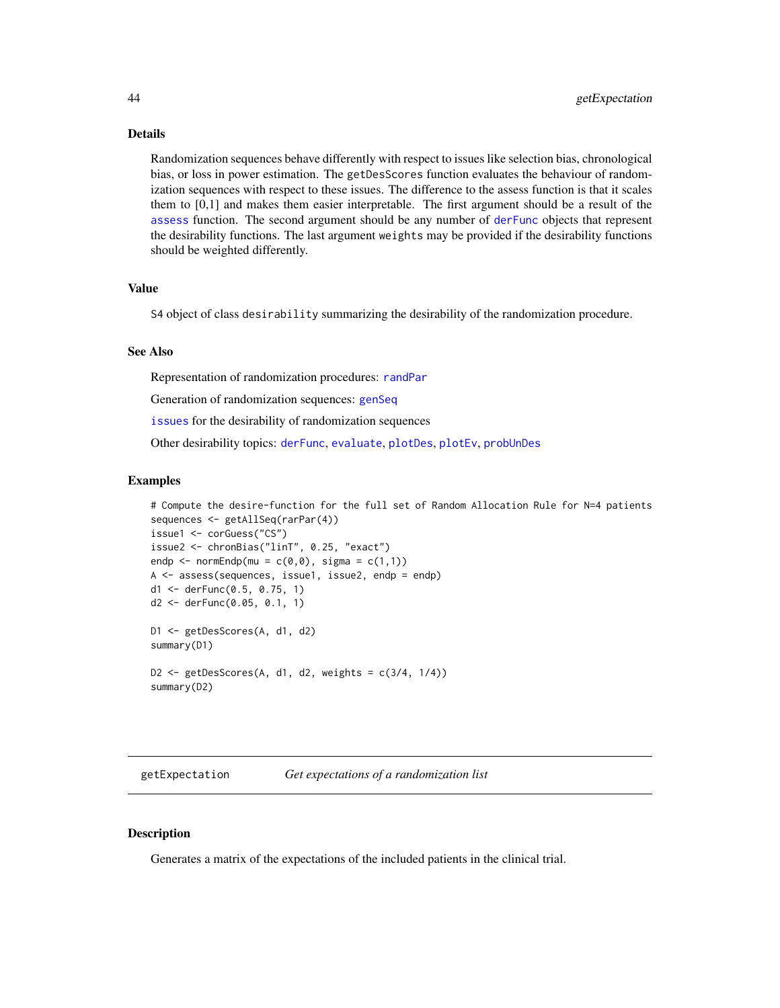#### Details

Randomization sequences behave differently with respect to issues like selection bias, chronological bias, or loss in power estimation. The getDesScores function evaluates the behaviour of randomization sequences with respect to these issues. The difference to the assess function is that it scales them to [0,1] and makes them easier interpretable. The first argument should be a result of the [assess](#page-6-0) function. The second argument should be any number of [derFunc](#page-19-0) objects that represent the desirability functions. The last argument weights may be provided if the desirability functions should be weighted differently.

#### Value

S4 object of class desirability summarizing the desirability of the randomization procedure.

#### See Also

Representation of randomization procedures: [randPar](#page-64-0)

Generation of randomization sequences: [genSeq](#page-31-0)

[issues](#page-50-0) for the desirability of randomization sequences

Other desirability topics: [derFunc](#page-19-0), [evaluate](#page-25-0), [plotDes](#page-60-0), [plotEv](#page-61-0), [probUnDes](#page-63-0)

#### Examples

```
# Compute the desire-function for the full set of Random Allocation Rule for N=4 patients
sequences <- getAllSeq(rarPar(4))
issue1 <- corGuess("CS")
issue2 <- chronBias("linT", 0.25, "exact")
endp \leq normEndp(mu = c(0,0), sigma = c(1,1))
A <- assess(sequences, issue1, issue2, endp = endp)
d1 <- derFunc(0.5, 0.75, 1)
d2 <- derFunc(0.05, 0.1, 1)
D1 <- getDesScores(A, d1, d2)
summary(D1)
D2 \leq getDesScores(A, d1, d2, weights = c(3/4, 1/4))
summary(D2)
```
getExpectation *Get expectations of a randomization list*

# Description

Generates a matrix of the expectations of the included patients in the clinical trial.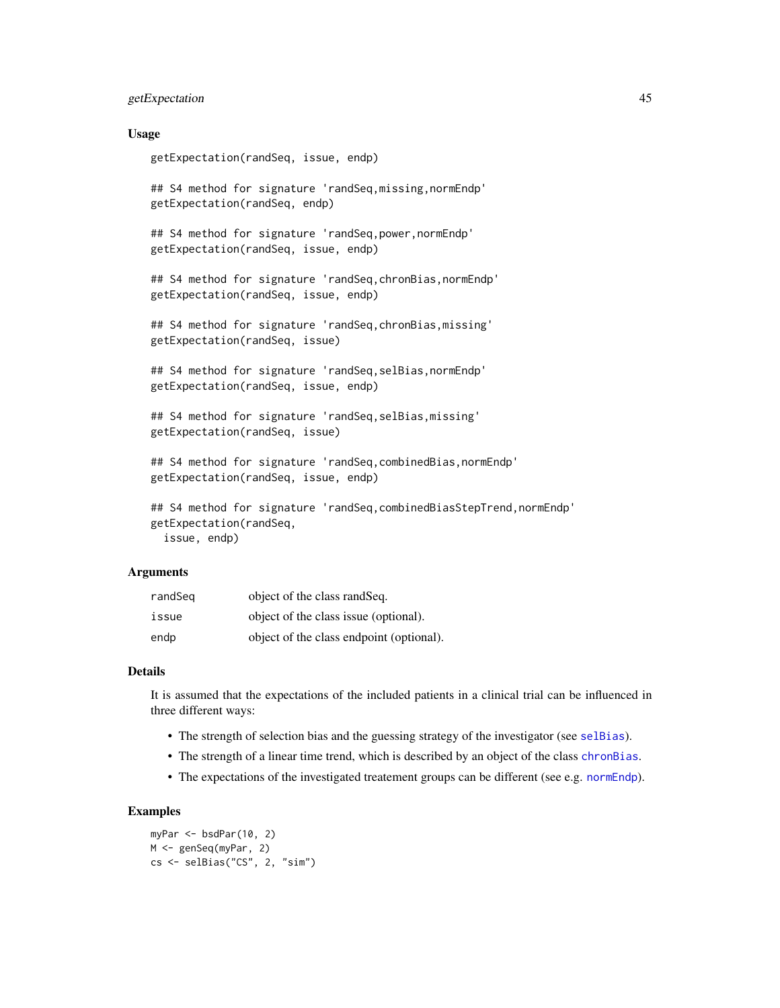# getExpectation 45

#### Usage

getExpectation(randSeq, issue, endp)

## S4 method for signature 'randSeq,missing,normEndp' getExpectation(randSeq, endp)

## S4 method for signature 'randSeq,power,normEndp' getExpectation(randSeq, issue, endp)

## S4 method for signature 'randSeq,chronBias,normEndp' getExpectation(randSeq, issue, endp)

## S4 method for signature 'randSeq,chronBias,missing' getExpectation(randSeq, issue)

## S4 method for signature 'randSeq,selBias,normEndp' getExpectation(randSeq, issue, endp)

## S4 method for signature 'randSeq,selBias,missing' getExpectation(randSeq, issue)

## S4 method for signature 'randSeq,combinedBias,normEndp' getExpectation(randSeq, issue, endp)

## S4 method for signature 'randSeq,combinedBiasStepTrend,normEndp' getExpectation(randSeq, issue, endp)

#### Arguments

| randSeg | object of the class rand Seq.            |
|---------|------------------------------------------|
| issue   | object of the class issue (optional).    |
| endp    | object of the class endpoint (optional). |

#### Details

It is assumed that the expectations of the included patients in a clinical trial can be influenced in three different ways:

- The strength of selection bias and the guessing strategy of the investigator (see [selBias](#page-71-0)).
- The strength of a linear time trend, which is described by an object of the class [chronBias](#page-12-0).
- The expectations of the investigated treatement groups can be different (see e.g. [normEndp](#page-56-0)).

### Examples

```
myPar <- bsdPar(10, 2)
M <- genSeq(myPar, 2)
cs <- selBias("CS", 2, "sim")
```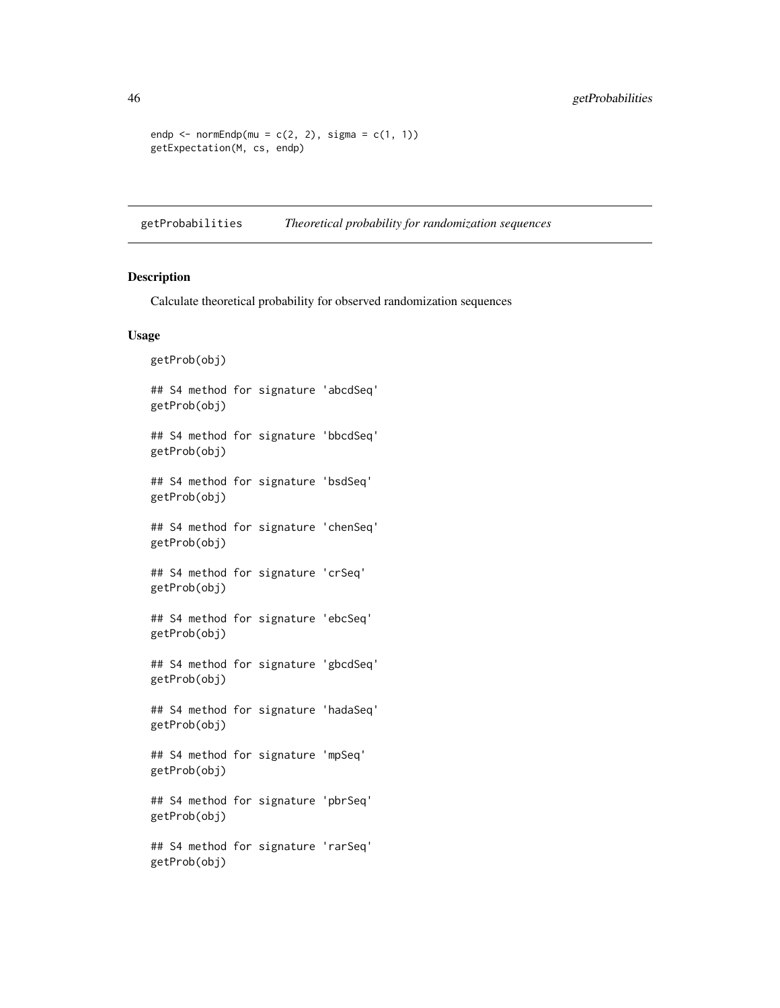```
endp \leq normEndp(mu = c(2, 2), sigma = c(1, 1))
getExpectation(M, cs, endp)
```
getProbabilities *Theoretical probability for randomization sequences*

# Description

Calculate theoretical probability for observed randomization sequences

## Usage

```
getProb(obj)
## S4 method for signature 'abcdSeq'
getProb(obj)
## S4 method for signature 'bbcdSeq'
getProb(obj)
## S4 method for signature 'bsdSeq'
getProb(obj)
## S4 method for signature 'chenSeq'
getProb(obj)
## S4 method for signature 'crSeq'
getProb(obj)
## S4 method for signature 'ebcSeq'
getProb(obj)
## S4 method for signature 'gbcdSeq'
getProb(obj)
## S4 method for signature 'hadaSeq'
getProb(obj)
## S4 method for signature 'mpSeq'
getProb(obj)
## S4 method for signature 'pbrSeq'
getProb(obj)
## S4 method for signature 'rarSeq'
getProb(obj)
```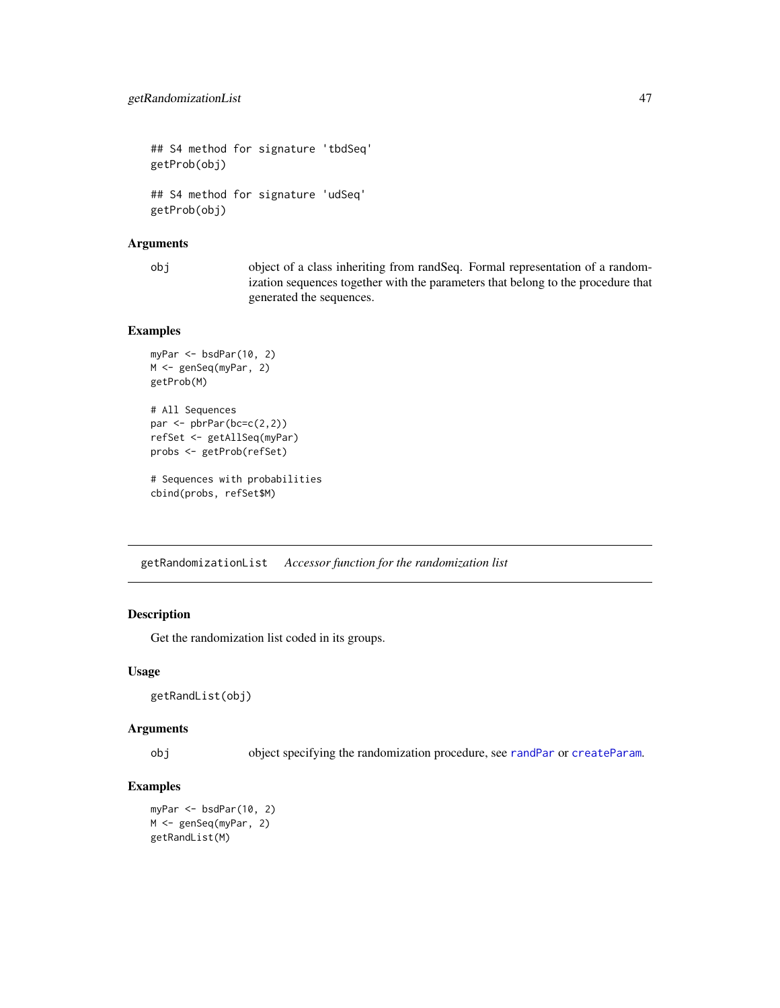## S4 method for signature 'tbdSeq' getProb(obj) ## S4 method for signature 'udSeq' getProb(obj)

#### Arguments

obj object of a class inheriting from randSeq. Formal representation of a randomization sequences together with the parameters that belong to the procedure that generated the sequences.

# Examples

```
myPar <- bsdPar(10, 2)
M <- genSeq(myPar, 2)
getProb(M)
# All Sequences
par <- pbrPar(bc=c(2,2))
refSet <- getAllSeq(myPar)
probs <- getProb(refSet)
# Sequences with probabilities
cbind(probs, refSet$M)
```
getRandomizationList *Accessor function for the randomization list*

#### Description

Get the randomization list coded in its groups.

# Usage

```
getRandList(obj)
```
### Arguments

obj object specifying the randomization procedure, see [randPar](#page-64-0) or [createParam](#page-17-0).

# Examples

```
myPar <- bsdPar(10, 2)
M <- genSeq(myPar, 2)
getRandList(M)
```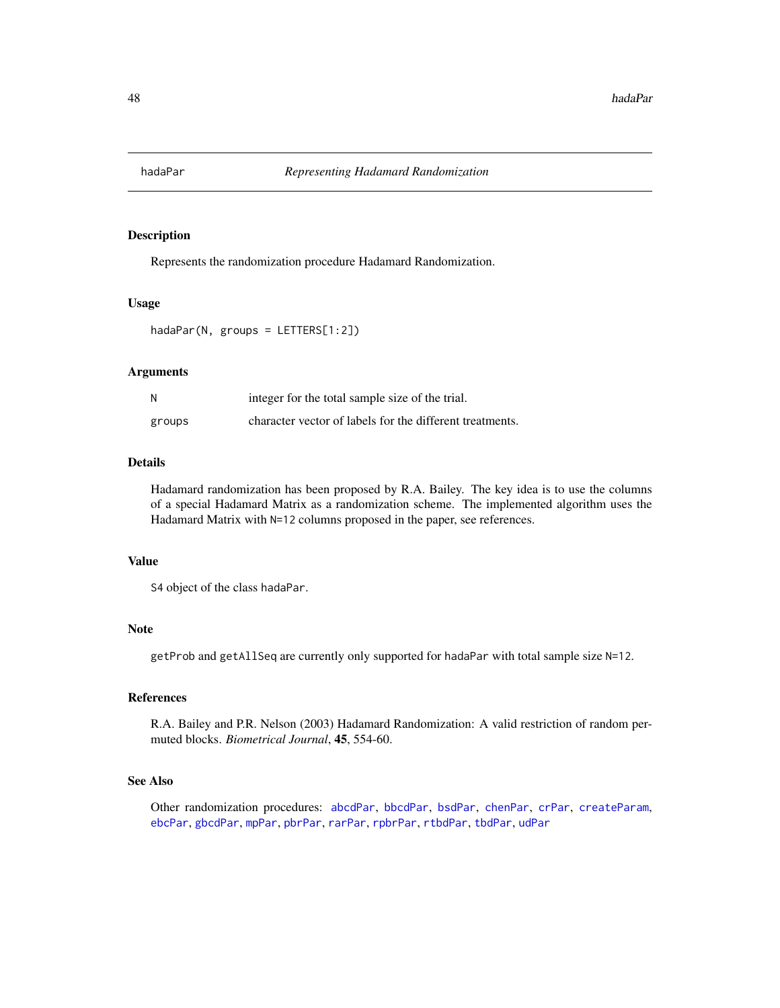<span id="page-47-0"></span>

Represents the randomization procedure Hadamard Randomization.

#### Usage

hadaPar(N, groups = LETTERS[1:2])

### Arguments

|        | integer for the total sample size of the trial.          |
|--------|----------------------------------------------------------|
| groups | character vector of labels for the different treatments. |

# Details

Hadamard randomization has been proposed by R.A. Bailey. The key idea is to use the columns of a special Hadamard Matrix as a randomization scheme. The implemented algorithm uses the Hadamard Matrix with N=12 columns proposed in the paper, see references.

# Value

S4 object of the class hadaPar.

# Note

getProb and getAllSeq are currently only supported for hadaPar with total sample size N=12.

## References

R.A. Bailey and P.R. Nelson (2003) Hadamard Randomization: A valid restriction of random permuted blocks. *Biometrical Journal*, 45, 554-60.

# See Also

Other randomization procedures: [abcdPar](#page-4-0), [bbcdPar](#page-7-0), [bsdPar](#page-9-0), [chenPar](#page-11-0), [crPar](#page-18-0), [createParam](#page-17-0), [ebcPar](#page-24-0), [gbcdPar](#page-27-0), [mpPar](#page-54-0), [pbrPar](#page-58-0), [rarPar](#page-66-0), [rpbrPar](#page-67-0), [rtbdPar](#page-68-0), [tbdPar](#page-74-0), [udPar](#page-76-0)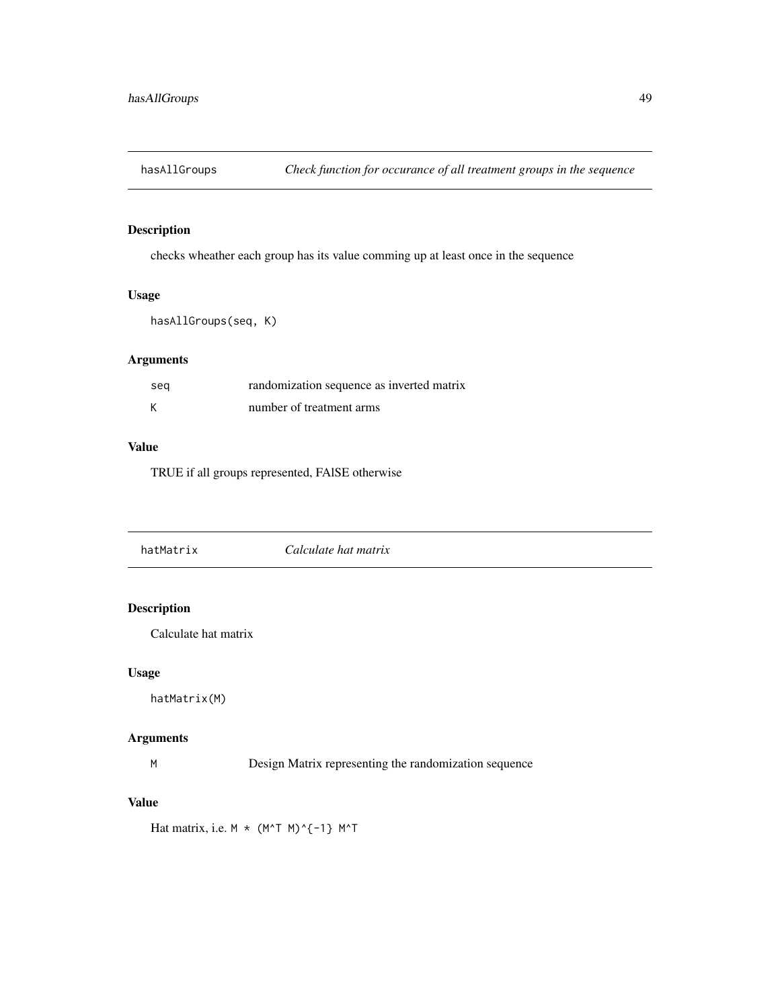checks wheather each group has its value comming up at least once in the sequence

# Usage

```
hasAllGroups(seq, K)
```
# Arguments

| seg | randomization sequence as inverted matrix |
|-----|-------------------------------------------|
| К   | number of treatment arms                  |

# Value

TRUE if all groups represented, FAlSE otherwise

|--|

# Description

Calculate hat matrix

# Usage

hatMatrix(M)

# Arguments

M Design Matrix representing the randomization sequence

# Value

Hat matrix, i.e.  $M * (M^T M)^{\wedge}$ {-1} M^T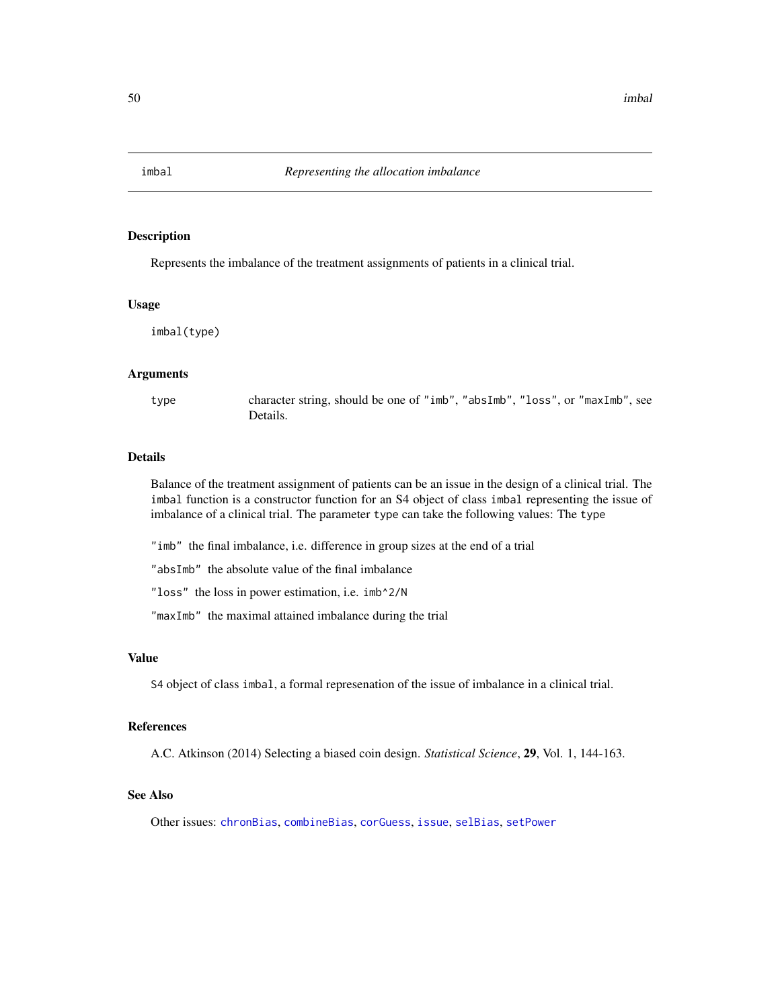<span id="page-49-0"></span>

Represents the imbalance of the treatment assignments of patients in a clinical trial.

#### Usage

imbal(type)

#### Arguments

type character string, should be one of "imb", "absImb", "loss", or "maxImb", see Details.

## Details

Balance of the treatment assignment of patients can be an issue in the design of a clinical trial. The imbal function is a constructor function for an S4 object of class imbal representing the issue of imbalance of a clinical trial. The parameter type can take the following values: The type

"imb" the final imbalance, i.e. difference in group sizes at the end of a trial

"absImb" the absolute value of the final imbalance

"loss" the loss in power estimation, i.e. imb^2/N

"maxImb" the maximal attained imbalance during the trial

#### Value

S4 object of class imbal, a formal represenation of the issue of imbalance in a clinical trial.

## References

A.C. Atkinson (2014) Selecting a biased coin design. *Statistical Science*, 29, Vol. 1, 144-163.

#### See Also

Other issues: [chronBias](#page-12-0), [combineBias](#page-14-0), [corGuess](#page-16-0), [issue](#page-50-1), [selBias](#page-71-0), [setPower](#page-72-0)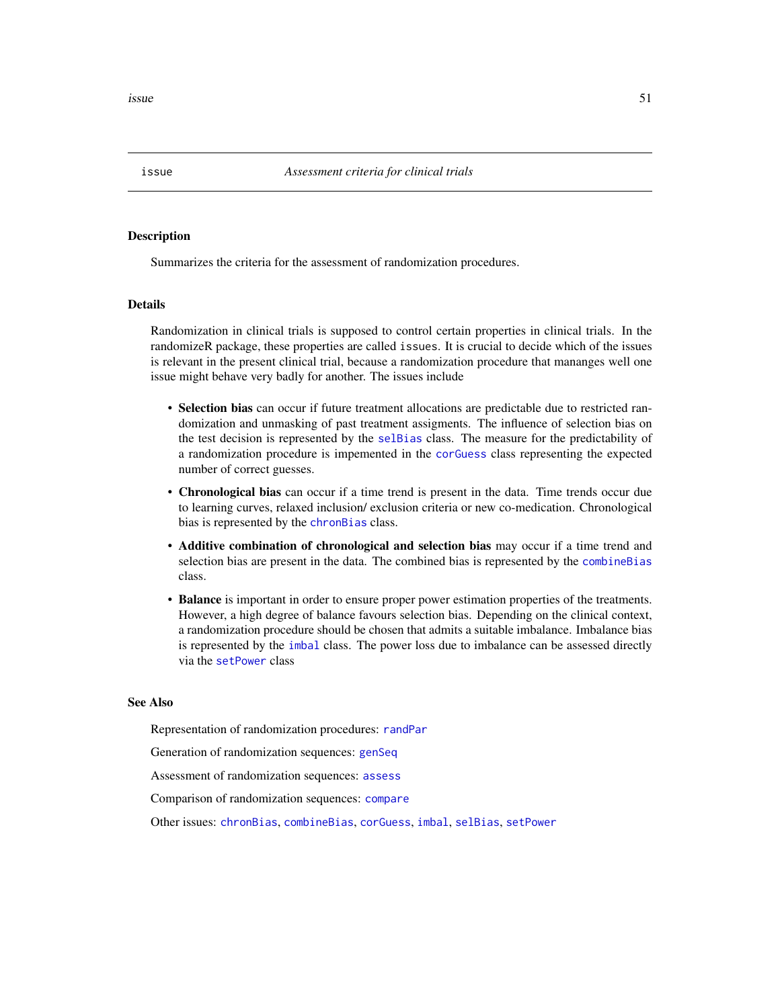<span id="page-50-1"></span>**issue** 51

#### <span id="page-50-0"></span>Description

Summarizes the criteria for the assessment of randomization procedures.

## **Details**

Randomization in clinical trials is supposed to control certain properties in clinical trials. In the randomizeR package, these properties are called issues. It is crucial to decide which of the issues is relevant in the present clinical trial, because a randomization procedure that mananges well one issue might behave very badly for another. The issues include

- Selection bias can occur if future treatment allocations are predictable due to restricted randomization and unmasking of past treatment assigments. The influence of selection bias on the test decision is represented by the [selBias](#page-71-0) class. The measure for the predictability of a randomization procedure is impemented in the [corGuess](#page-16-0) class representing the expected number of correct guesses.
- Chronological bias can occur if a time trend is present in the data. Time trends occur due to learning curves, relaxed inclusion/ exclusion criteria or new co-medication. Chronological bias is represented by the [chronBias](#page-12-0) class.
- Additive combination of chronological and selection bias may occur if a time trend and selection bias are present in the data. The combined bias is represented by the [combineBias](#page-14-0) class.
- Balance is important in order to ensure proper power estimation properties of the treatments. However, a high degree of balance favours selection bias. Depending on the clinical context, a randomization procedure should be chosen that admits a suitable imbalance. Imbalance bias is represented by the [imbal](#page-49-0) class. The power loss due to imbalance can be assessed directly via the [setPower](#page-72-0) class

#### See Also

Representation of randomization procedures: [randPar](#page-64-0)

Generation of randomization sequences: [genSeq](#page-31-0)

Assessment of randomization sequences: [assess](#page-6-0)

Comparison of randomization sequences: [compare](#page-15-0)

Other issues: [chronBias](#page-12-0), [combineBias](#page-14-0), [corGuess](#page-16-0), [imbal](#page-49-0), [selBias](#page-71-0), [setPower](#page-72-0)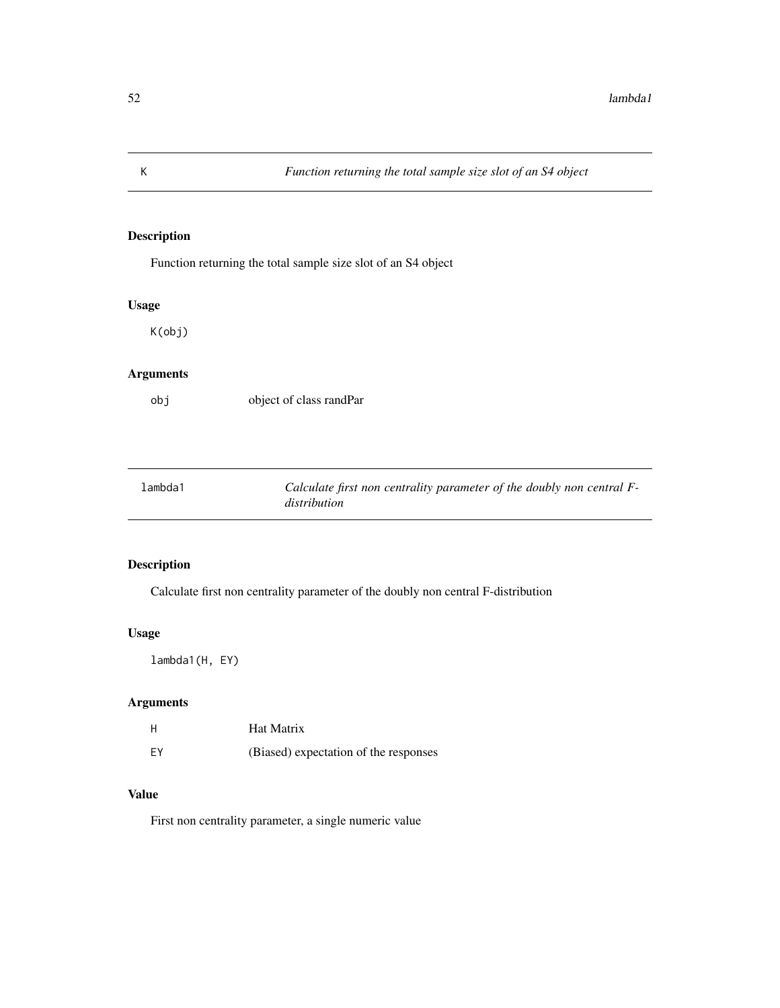Function returning the total sample size slot of an S4 object

# Usage

K(obj)

# Arguments

obj object of class randPar

| 1ambda1 | Calculate first non centrality parameter of the doubly non central F- |
|---------|-----------------------------------------------------------------------|
|         | distribution                                                          |

# Description

Calculate first non centrality parameter of the doubly non central F-distribution

## Usage

lambda1(H, EY)

# Arguments

| H  | Hat Matrix                            |
|----|---------------------------------------|
| FY | (Biased) expectation of the responses |

# Value

First non centrality parameter, a single numeric value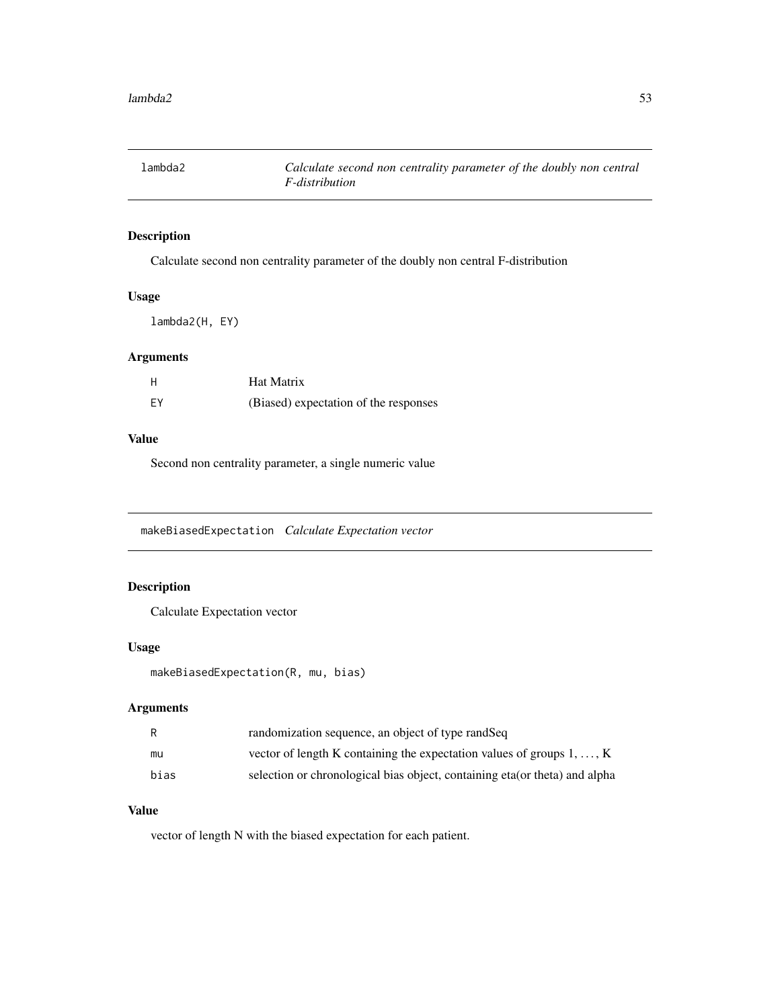Calculate second non centrality parameter of the doubly non central F-distribution

# Usage

lambda2(H, EY)

# Arguments

| Н  | Hat Matrix                            |
|----|---------------------------------------|
| EY | (Biased) expectation of the responses |

# Value

Second non centrality parameter, a single numeric value

makeBiasedExpectation *Calculate Expectation vector*

# Description

Calculate Expectation vector

## Usage

```
makeBiasedExpectation(R, mu, bias)
```
# Arguments

| R    | randomization sequence, an object of type randSeq                             |
|------|-------------------------------------------------------------------------------|
| mu   | vector of length K containing the expectation values of groups $1, \ldots, K$ |
| bias | selection or chronological bias object, containing eta (or theta) and alpha   |

# Value

vector of length N with the biased expectation for each patient.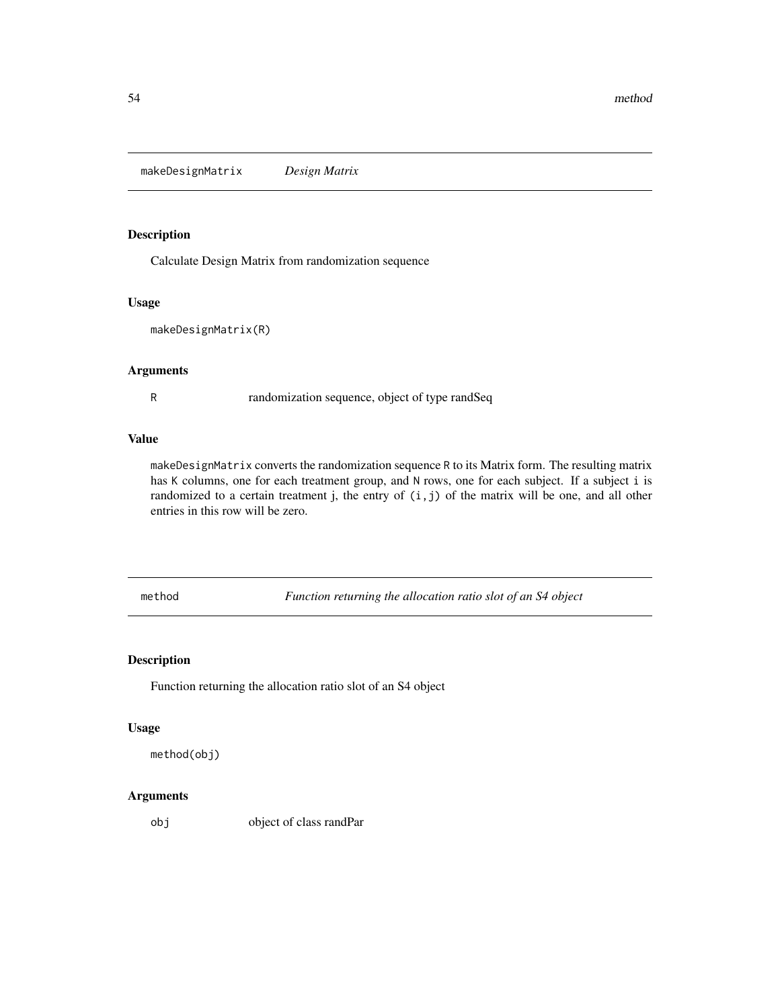makeDesignMatrix *Design Matrix*

# Description

Calculate Design Matrix from randomization sequence

## Usage

```
makeDesignMatrix(R)
```
# Arguments

R randomization sequence, object of type randSeq

## Value

makeDesignMatrix converts the randomization sequence R to its Matrix form. The resulting matrix has K columns, one for each treatment group, and N rows, one for each subject. If a subject i is randomized to a certain treatment j, the entry of  $(i, j)$  of the matrix will be one, and all other entries in this row will be zero.

method *Function returning the allocation ratio slot of an S4 object*

# Description

Function returning the allocation ratio slot of an S4 object

## Usage

```
method(obj)
```
# Arguments

object of class randPar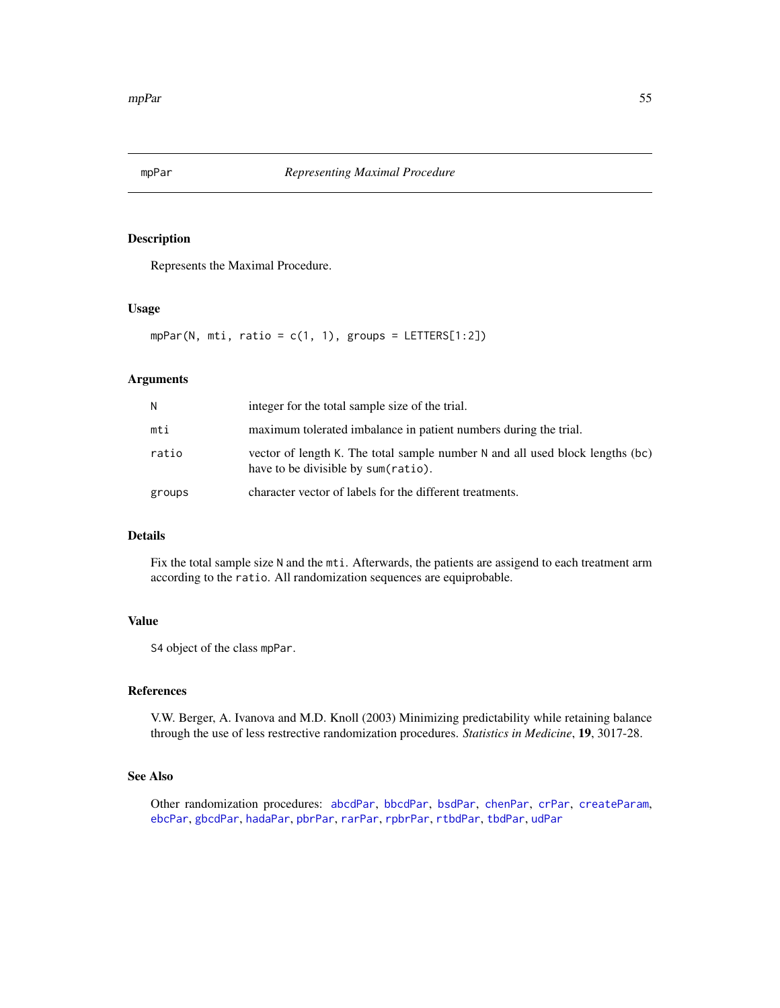<span id="page-54-0"></span>

Represents the Maximal Procedure.

# Usage

 $mpPar(N, mti, ratio = c(1, 1), groups = LETTERS[1:2])$ 

# Arguments

| N      | integer for the total sample size of the trial.                                                                      |
|--------|----------------------------------------------------------------------------------------------------------------------|
| mti    | maximum tolerated imbalance in patient numbers during the trial.                                                     |
| ratio  | vector of length K. The total sample number N and all used block lengths (bc)<br>have to be divisible by sum(ratio). |
| groups | character vector of labels for the different treatments.                                                             |

# Details

Fix the total sample size N and the mti. Afterwards, the patients are assigend to each treatment arm according to the ratio. All randomization sequences are equiprobable.

#### Value

S4 object of the class mpPar.

#### References

V.W. Berger, A. Ivanova and M.D. Knoll (2003) Minimizing predictability while retaining balance through the use of less restrective randomization procedures. *Statistics in Medicine*, 19, 3017-28.

# See Also

Other randomization procedures: [abcdPar](#page-4-0), [bbcdPar](#page-7-0), [bsdPar](#page-9-0), [chenPar](#page-11-0), [crPar](#page-18-0), [createParam](#page-17-0), [ebcPar](#page-24-0), [gbcdPar](#page-27-0), [hadaPar](#page-47-0), [pbrPar](#page-58-0), [rarPar](#page-66-0), [rpbrPar](#page-67-0), [rtbdPar](#page-68-0), [tbdPar](#page-74-0), [udPar](#page-76-0)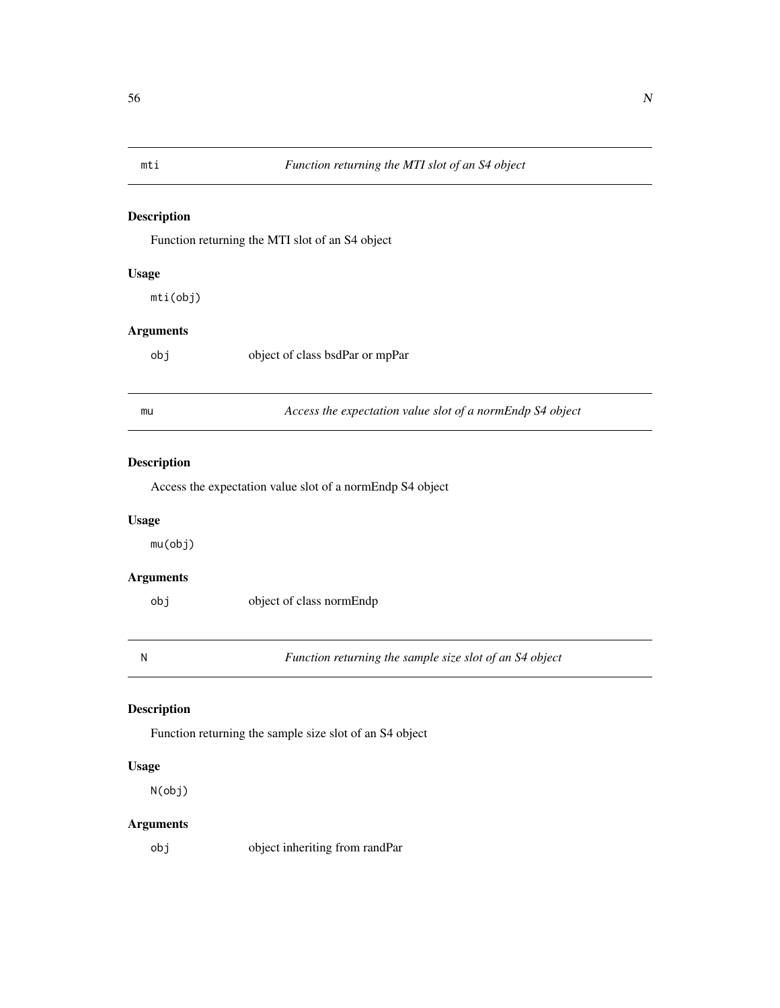Function returning the MTI slot of an S4 object

# Usage

mti(obj)

# Arguments

| obj |  | object of class bsdPar or mpPar |
|-----|--|---------------------------------|
|-----|--|---------------------------------|

| mu | Access the expectation value slot of a normEndp S4 object |  |
|----|-----------------------------------------------------------|--|
|----|-----------------------------------------------------------|--|

# Description

Access the expectation value slot of a normEndp S4 object

## Usage

mu(obj)

# Arguments

| obi | object of class normEndp |
|-----|--------------------------|
|     |                          |

N *Function returning the sample size slot of an S4 object*

# Description

Function returning the sample size slot of an S4 object

# Usage

N(obj)

# Arguments

obj object inheriting from randPar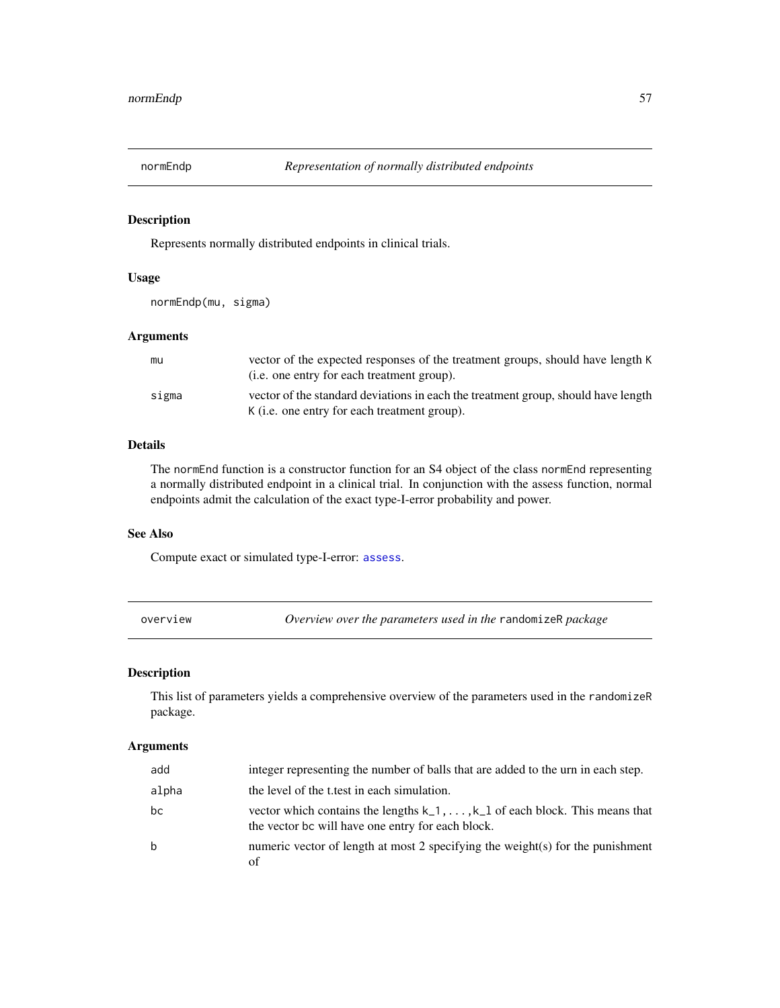<span id="page-56-0"></span>

Represents normally distributed endpoints in clinical trials.

#### Usage

```
normEndp(mu, sigma)
```
## Arguments

| mu    | vector of the expected responses of the treatment groups, should have length K<br>( <i>i.e.</i> one entry for each treatment group).      |
|-------|-------------------------------------------------------------------------------------------------------------------------------------------|
| sigma | vector of the standard deviations in each the treatment group, should have length<br>K ( <i>i.e.</i> one entry for each treatment group). |

# Details

The normEnd function is a constructor function for an S4 object of the class normEnd representing a normally distributed endpoint in a clinical trial. In conjunction with the assess function, normal endpoints admit the calculation of the exact type-I-error probability and power.

# See Also

Compute exact or simulated type-I-error: [assess](#page-6-0).

| pverview |  |
|----------|--|

overview *Overview over the parameters used in the* randomizeR *package*

# Description

This list of parameters yields a comprehensive overview of the parameters used in the randomizeR package.

# Arguments

| add   | integer representing the number of balls that are added to the urn in each step.                                                         |
|-------|------------------------------------------------------------------------------------------------------------------------------------------|
| alpha | the level of the t test in each simulation.                                                                                              |
| bc    | vector which contains the lengths $k_1, \ldots, k_l$ of each block. This means that<br>the vector bc will have one entry for each block. |
| h     | numeric vector of length at most 2 specifying the weight(s) for the punishment<br>оf                                                     |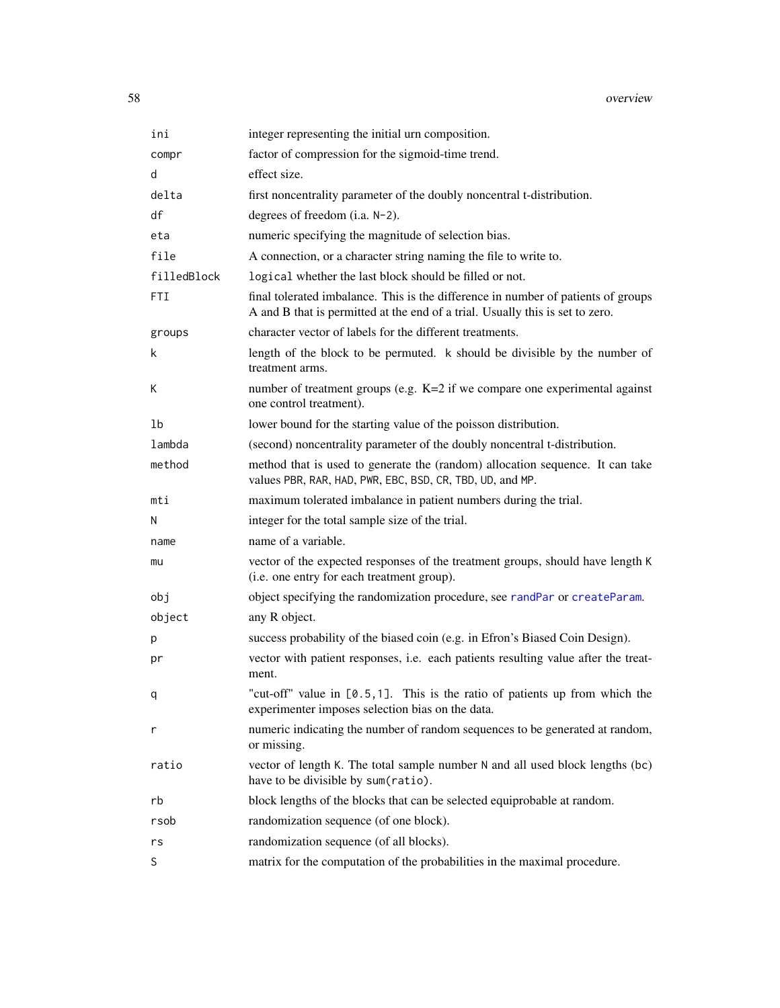| ini         | integer representing the initial urn composition.                                                                                                                  |
|-------------|--------------------------------------------------------------------------------------------------------------------------------------------------------------------|
| compr       | factor of compression for the sigmoid-time trend.                                                                                                                  |
| d           | effect size.                                                                                                                                                       |
| delta       | first noncentrality parameter of the doubly noncentral t-distribution.                                                                                             |
| df          | degrees of freedom (i.a. N-2).                                                                                                                                     |
| eta         | numeric specifying the magnitude of selection bias.                                                                                                                |
| file        | A connection, or a character string naming the file to write to.                                                                                                   |
| filledBlock | logical whether the last block should be filled or not.                                                                                                            |
| <b>FTI</b>  | final tolerated imbalance. This is the difference in number of patients of groups<br>A and B that is permitted at the end of a trial. Usually this is set to zero. |
| groups      | character vector of labels for the different treatments.                                                                                                           |
| k           | length of the block to be permuted. k should be divisible by the number of<br>treatment arms.                                                                      |
| К           | number of treatment groups (e.g. K=2 if we compare one experimental against<br>one control treatment).                                                             |
| 1b          | lower bound for the starting value of the poisson distribution.                                                                                                    |
| lambda      | (second) noncentrality parameter of the doubly noncentral t-distribution.                                                                                          |
| method      | method that is used to generate the (random) allocation sequence. It can take<br>values PBR, RAR, HAD, PWR, EBC, BSD, CR, TBD, UD, and MP.                         |
| mti         | maximum tolerated imbalance in patient numbers during the trial.                                                                                                   |
| N           | integer for the total sample size of the trial.                                                                                                                    |
| name        | name of a variable.                                                                                                                                                |
| mu          | vector of the expected responses of the treatment groups, should have length K<br>(i.e. one entry for each treatment group).                                       |
| obj         | object specifying the randomization procedure, see randPar or createParam.                                                                                         |
| object      | any R object.                                                                                                                                                      |
| p           | success probability of the biased coin (e.g. in Efron's Biased Coin Design).                                                                                       |
| pr          | vector with patient responses, i.e. each patients resulting value after the treat-<br>ment.                                                                        |
| q           | "cut-off" value in [0.5,1]. This is the ratio of patients up from which the<br>experimenter imposes selection bias on the data.                                    |
| r           | numeric indicating the number of random sequences to be generated at random,<br>or missing.                                                                        |
| ratio       | vector of length K. The total sample number N and all used block lengths (bc)<br>have to be divisible by sum(ratio).                                               |
| rb          | block lengths of the blocks that can be selected equiprobable at random.                                                                                           |
| rsob        | randomization sequence (of one block).                                                                                                                             |
| rs          | randomization sequence (of all blocks).                                                                                                                            |
| S           | matrix for the computation of the probabilities in the maximal procedure.                                                                                          |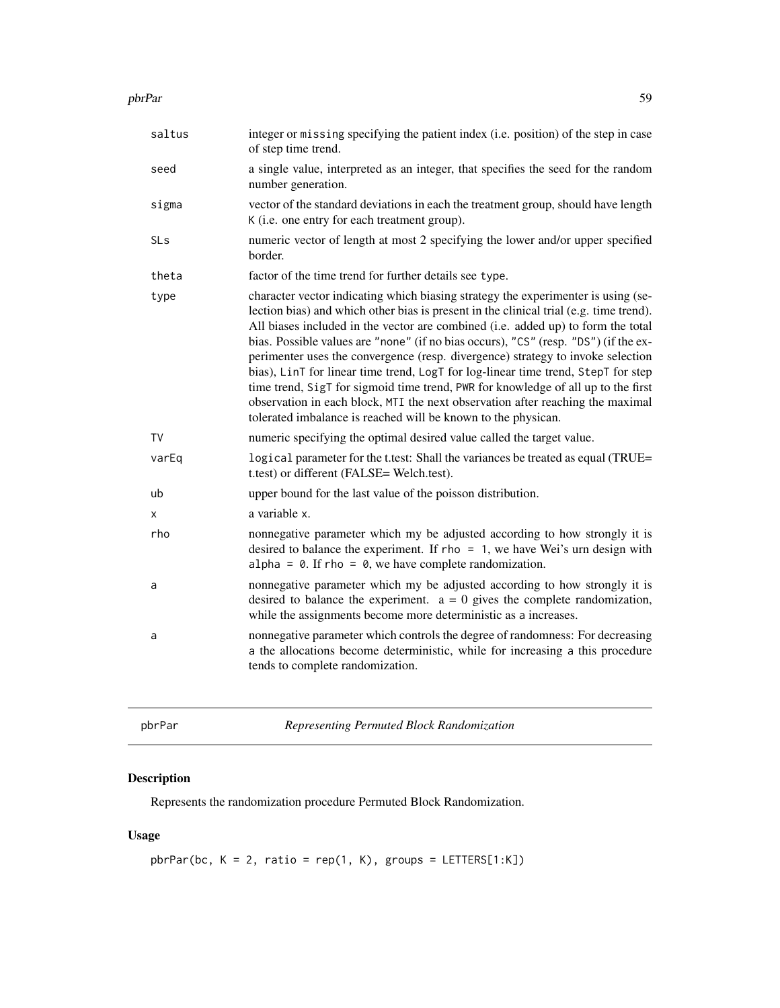#### pbrPar 59

| saltus | integer or missing specifying the patient index (i.e. position) of the step in case<br>of step time trend.                                                                                                                                                                                                                                                                                                                                                                                                                                                                                                                                                                                                                                                             |
|--------|------------------------------------------------------------------------------------------------------------------------------------------------------------------------------------------------------------------------------------------------------------------------------------------------------------------------------------------------------------------------------------------------------------------------------------------------------------------------------------------------------------------------------------------------------------------------------------------------------------------------------------------------------------------------------------------------------------------------------------------------------------------------|
| seed   | a single value, interpreted as an integer, that specifies the seed for the random<br>number generation.                                                                                                                                                                                                                                                                                                                                                                                                                                                                                                                                                                                                                                                                |
| sigma  | vector of the standard deviations in each the treatment group, should have length<br>K (i.e. one entry for each treatment group).                                                                                                                                                                                                                                                                                                                                                                                                                                                                                                                                                                                                                                      |
| SLs    | numeric vector of length at most 2 specifying the lower and/or upper specified<br>border.                                                                                                                                                                                                                                                                                                                                                                                                                                                                                                                                                                                                                                                                              |
| theta  | factor of the time trend for further details see type.                                                                                                                                                                                                                                                                                                                                                                                                                                                                                                                                                                                                                                                                                                                 |
| type   | character vector indicating which biasing strategy the experimenter is using (se-<br>lection bias) and which other bias is present in the clinical trial (e.g. time trend).<br>All biases included in the vector are combined (i.e. added up) to form the total<br>bias. Possible values are "none" (if no bias occurs), "CS" (resp. "DS") (if the ex-<br>perimenter uses the convergence (resp. divergence) strategy to invoke selection<br>bias), LinT for linear time trend, LogT for log-linear time trend, StepT for step<br>time trend, SigT for sigmoid time trend, PWR for knowledge of all up to the first<br>observation in each block, MTI the next observation after reaching the maximal<br>tolerated imbalance is reached will be known to the physican. |
| TV     | numeric specifying the optimal desired value called the target value.                                                                                                                                                                                                                                                                                                                                                                                                                                                                                                                                                                                                                                                                                                  |
| varEq  | logical parameter for the t.test: Shall the variances be treated as equal (TRUE=<br>t.test) or different (FALSE= Welch.test).                                                                                                                                                                                                                                                                                                                                                                                                                                                                                                                                                                                                                                          |
| ub     | upper bound for the last value of the poisson distribution.                                                                                                                                                                                                                                                                                                                                                                                                                                                                                                                                                                                                                                                                                                            |
| X      | a variable x.                                                                                                                                                                                                                                                                                                                                                                                                                                                                                                                                                                                                                                                                                                                                                          |
| rho    | nonnegative parameter which my be adjusted according to how strongly it is<br>desired to balance the experiment. If $rho = 1$ , we have Wei's urn design with<br>alpha = $\theta$ . If rho = $\theta$ , we have complete randomization.                                                                                                                                                                                                                                                                                                                                                                                                                                                                                                                                |
| a      | nonnegative parameter which my be adjusted according to how strongly it is<br>desired to balance the experiment. $a = 0$ gives the complete randomization,<br>while the assignments become more deterministic as a increases.                                                                                                                                                                                                                                                                                                                                                                                                                                                                                                                                          |
| a      | nonnegative parameter which controls the degree of randomness: For decreasing<br>a the allocations become deterministic, while for increasing a this procedure<br>tends to complete randomization.                                                                                                                                                                                                                                                                                                                                                                                                                                                                                                                                                                     |
|        |                                                                                                                                                                                                                                                                                                                                                                                                                                                                                                                                                                                                                                                                                                                                                                        |

<span id="page-58-0"></span>pbrPar *Representing Permuted Block Randomization*

# Description

Represents the randomization procedure Permuted Block Randomization.

# Usage

 $ph$ Par(bc, K = 2, ratio = rep(1, K), groups = LETTERS[1:K])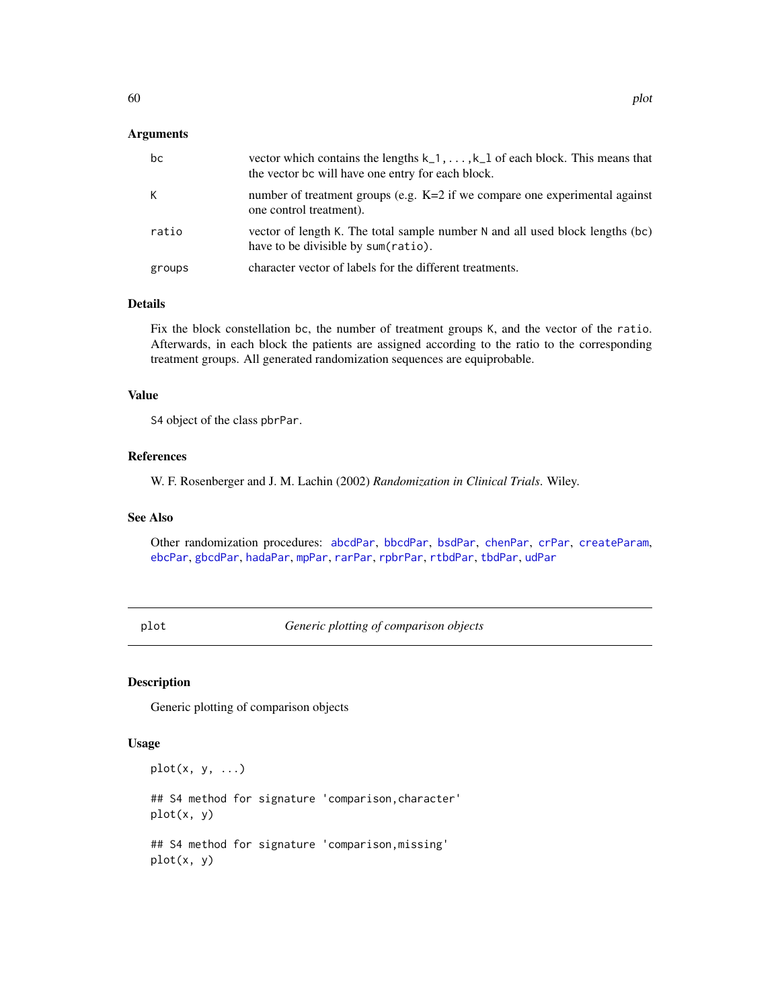## Arguments

| bc     | vector which contains the lengths $k_1, \ldots, k_l$ of each block. This means that<br>the vector bc will have one entry for each block. |
|--------|------------------------------------------------------------------------------------------------------------------------------------------|
| K      | number of treatment groups (e.g. $K=2$ if we compare one experimental against<br>one control treatment).                                 |
| ratio  | vector of length K. The total sample number N and all used block lengths (bc)<br>have to be divisible by sum(ratio).                     |
| groups | character vector of labels for the different treatments.                                                                                 |

## Details

Fix the block constellation bc, the number of treatment groups K, and the vector of the ratio. Afterwards, in each block the patients are assigned according to the ratio to the corresponding treatment groups. All generated randomization sequences are equiprobable.

# Value

S4 object of the class pbrPar.

#### References

W. F. Rosenberger and J. M. Lachin (2002) *Randomization in Clinical Trials*. Wiley.

## See Also

Other randomization procedures: [abcdPar](#page-4-0), [bbcdPar](#page-7-0), [bsdPar](#page-9-0), [chenPar](#page-11-0), [crPar](#page-18-0), [createParam](#page-17-0), [ebcPar](#page-24-0), [gbcdPar](#page-27-0), [hadaPar](#page-47-0), [mpPar](#page-54-0), [rarPar](#page-66-0), [rpbrPar](#page-67-0), [rtbdPar](#page-68-0), [tbdPar](#page-74-0), [udPar](#page-76-0)

plot *Generic plotting of comparison objects*

#### Description

Generic plotting of comparison objects

# Usage

 $plot(x, y, ...)$ 

## S4 method for signature 'comparison,character' plot(x, y)

## S4 method for signature 'comparison,missing' plot(x, y)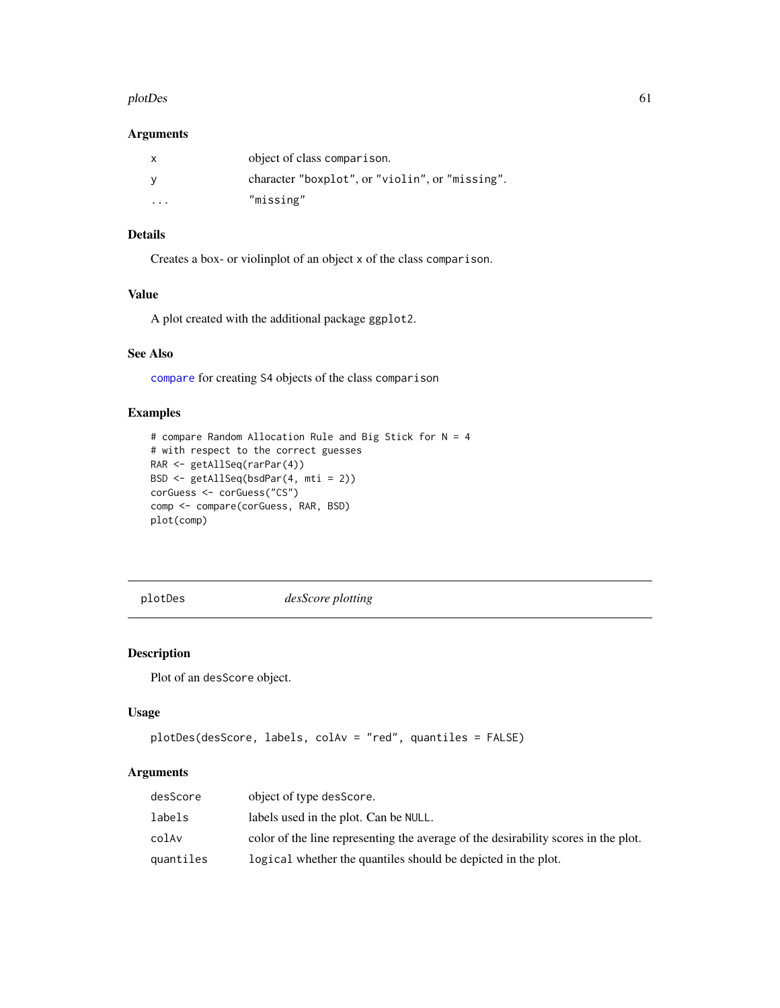#### plotDes 61

## Arguments

| X       | object of class comparison.                     |
|---------|-------------------------------------------------|
|         | character "boxplot", or "violin", or "missing". |
| $\cdot$ | "missing"                                       |

# Details

Creates a box- or violinplot of an object x of the class comparison.

# Value

A plot created with the additional package ggplot2.

# See Also

[compare](#page-15-0) for creating S4 objects of the class comparison

# Examples

```
# compare Random Allocation Rule and Big Stick for N = 4
# with respect to the correct guesses
RAR <- getAllSeq(rarPar(4))
BSD <- getAllSeq(bsdPar(4, mti = 2))
corGuess <- corGuess("CS")
comp <- compare(corGuess, RAR, BSD)
plot(comp)
```
<span id="page-60-0"></span>plotDes *desScore plotting*

# Description

Plot of an desScore object.

# Usage

```
plotDes(desScore, labels, colAv = "red", quantiles = FALSE)
```
## Arguments

| desScore  | object of type desScore.                                                           |
|-----------|------------------------------------------------------------------------------------|
| labels    | labels used in the plot. Can be NULL.                                              |
| colAv     | color of the line representing the average of the desirability scores in the plot. |
| quantiles | logical whether the quantiles should be depicted in the plot.                      |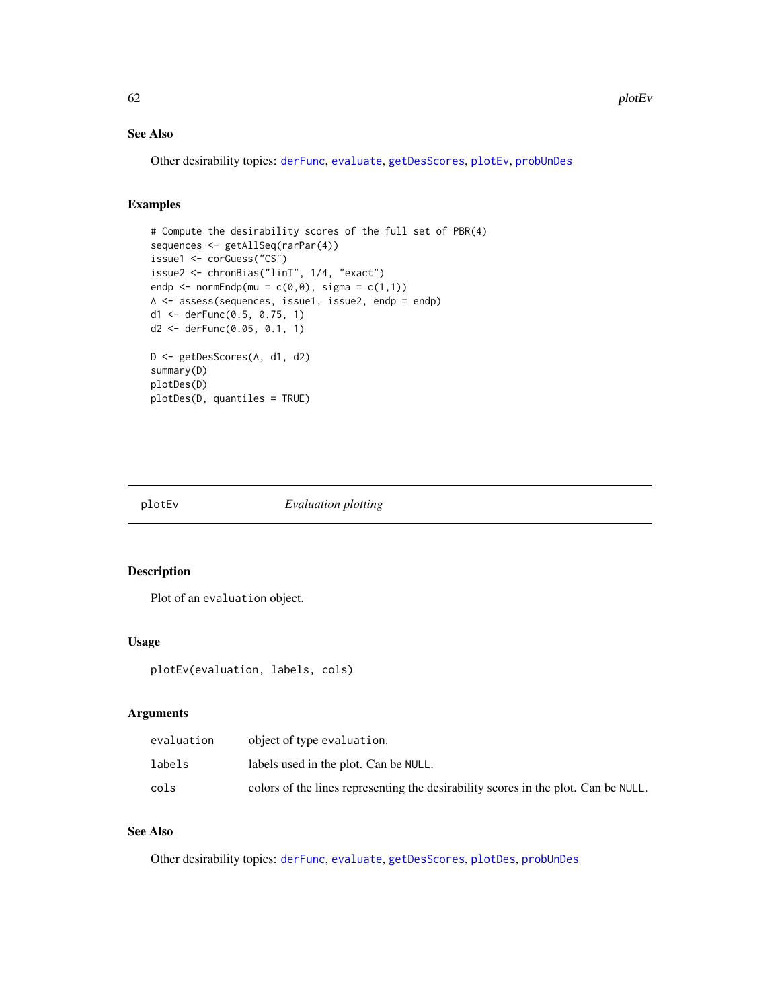# See Also

Other desirability topics: [derFunc](#page-19-0), [evaluate](#page-25-0), [getDesScores](#page-42-0), [plotEv](#page-61-0), [probUnDes](#page-63-0)

# Examples

```
# Compute the desirability scores of the full set of PBR(4)
sequences <- getAllSeq(rarPar(4))
issue1 <- corGuess("CS")
issue2 <- chronBias("linT", 1/4, "exact")
endp <- normEndp(mu = c(\emptyset, \emptyset), sigma = c(1,1))
A <- assess(sequences, issue1, issue2, endp = endp)
d1 <- derFunc(0.5, 0.75, 1)
d2 <- derFunc(0.05, 0.1, 1)
D <- getDesScores(A, d1, d2)
summary(D)
plotDes(D)
plotDes(D, quantiles = TRUE)
```
<span id="page-61-0"></span>

plotEv *Evaluation plotting*

# Description

Plot of an evaluation object.

#### Usage

```
plotEv(evaluation, labels, cols)
```
# Arguments

| evaluation | object of type evaluation.                                                         |
|------------|------------------------------------------------------------------------------------|
| labels     | labels used in the plot. Can be NULL.                                              |
| cols       | colors of the lines representing the desirability scores in the plot. Can be NULL. |

# See Also

Other desirability topics: [derFunc](#page-19-0), [evaluate](#page-25-0), [getDesScores](#page-42-0), [plotDes](#page-60-0), [probUnDes](#page-63-0)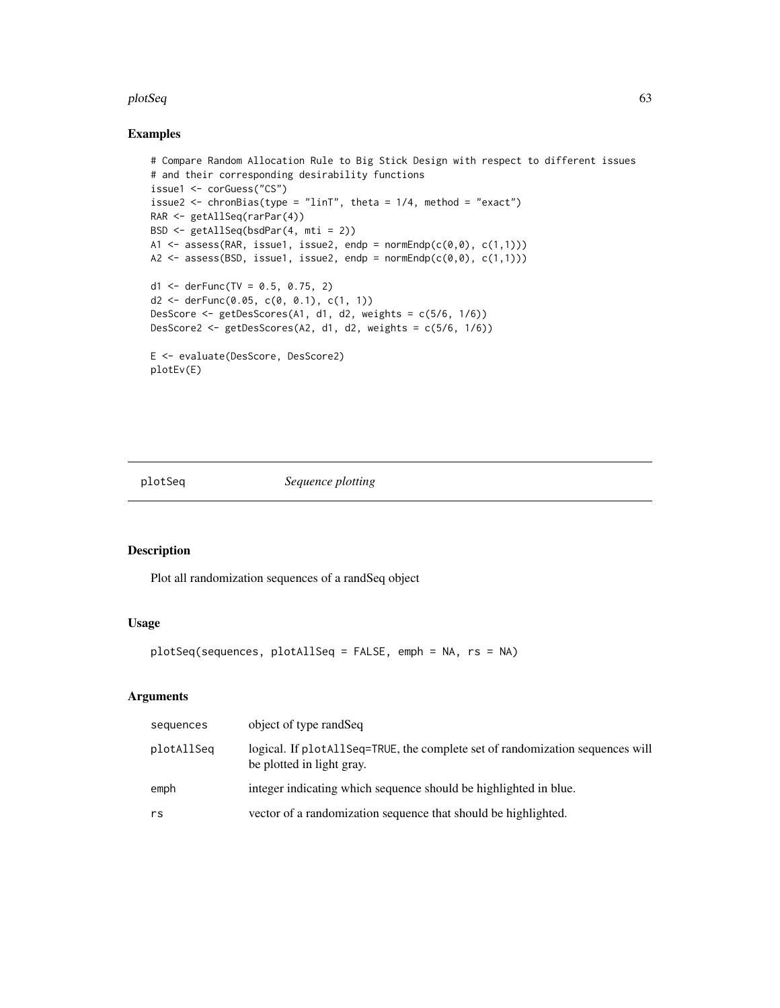#### plotSeq 63

#### Examples

```
# Compare Random Allocation Rule to Big Stick Design with respect to different issues
# and their corresponding desirability functions
issue1 <- corGuess("CS")
issue2 <- chronBias(type = "linT", theta = 1/4, method = "exact")
RAR <- getAllSeq(rarPar(4))
BSD <- getAllSeq(bsdPar(4, mti = 2))
A1 <- assess(RAR, issue1, issue2, endp = normEndp(c(\emptyset, \emptyset), c(1,1)))
A2 \leq assess(BSD, issue1, issue2, endp = normEndp(c(\theta, \theta), c(1,1)))
d1 <- derFunc(TV = 0.5, 0.75, 2)
d2 <- derFunc(0.05, c(0, 0.1), c(1, 1))
DesScore <- getDesScores(A1, d1, d2, weights = c(5/6, 1/6))
DesScore2 <- getDesScores(A2, d1, d2, weights = c(5/6, 1/6))
E <- evaluate(DesScore, DesScore2)
plotEv(E)
```
plotSeq *Sequence plotting*

#### Description

Plot all randomization sequences of a randSeq object

# Usage

```
plotSeq(sequences, plotAllSeq = FALSE, emph = NA, rs = NA)
```
# Arguments

| sequences  | object of type randSeq                                                                                     |
|------------|------------------------------------------------------------------------------------------------------------|
| plotAllSeq | logical. If plotAllSeq=TRUE, the complete set of randomization sequences will<br>be plotted in light gray. |
| emph       | integer indicating which sequence should be highlighted in blue.                                           |
| rs         | vector of a randomization sequence that should be highlighted.                                             |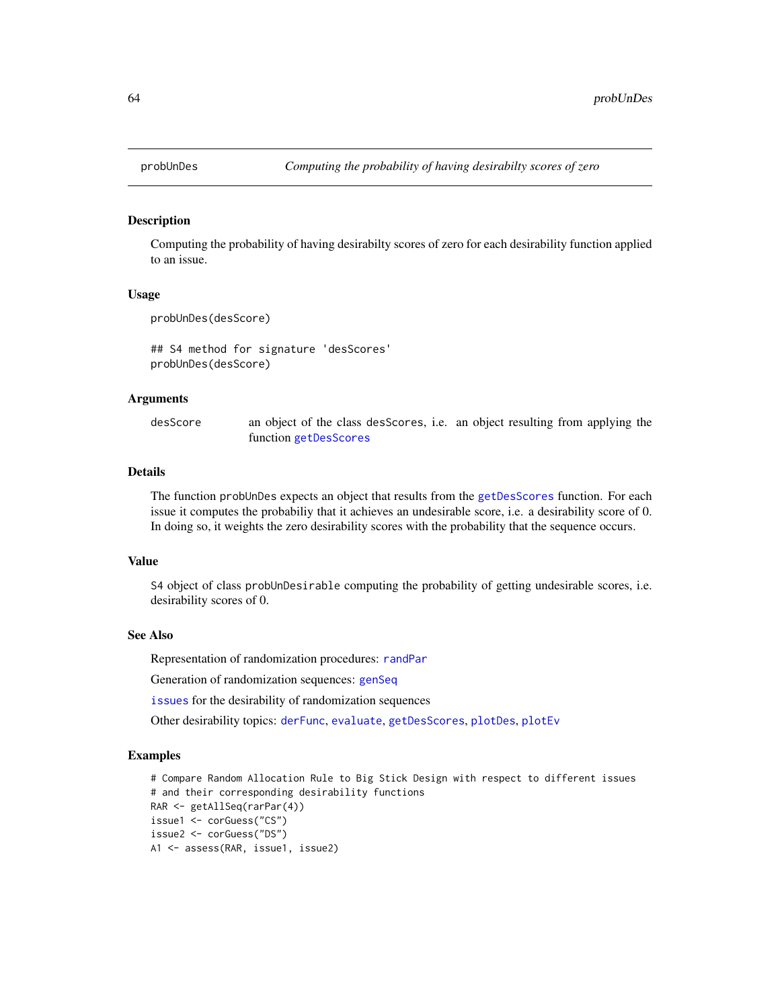<span id="page-63-0"></span>

Computing the probability of having desirabilty scores of zero for each desirability function applied to an issue.

#### Usage

probUnDes(desScore)

## S4 method for signature 'desScores' probUnDes(desScore)

#### Arguments

desScore an object of the class desScores, i.e. an object resulting from applying the function [getDesScores](#page-42-0)

# Details

The function probUnDes expects an object that results from the [getDesScores](#page-42-0) function. For each issue it computes the probabiliy that it achieves an undesirable score, i.e. a desirability score of 0. In doing so, it weights the zero desirability scores with the probability that the sequence occurs.

#### Value

S4 object of class probUnDesirable computing the probability of getting undesirable scores, i.e. desirability scores of 0.

#### See Also

Representation of randomization procedures: [randPar](#page-64-0)

Generation of randomization sequences: [genSeq](#page-31-0)

[issues](#page-50-0) for the desirability of randomization sequences

Other desirability topics: [derFunc](#page-19-0), [evaluate](#page-25-0), [getDesScores](#page-42-0), [plotDes](#page-60-0), [plotEv](#page-61-0)

## Examples

```
# Compare Random Allocation Rule to Big Stick Design with respect to different issues
# and their corresponding desirability functions
RAR <- getAllSeq(rarPar(4))
issue1 <- corGuess("CS")
issue2 <- corGuess("DS")
A1 <- assess(RAR, issue1, issue2)
```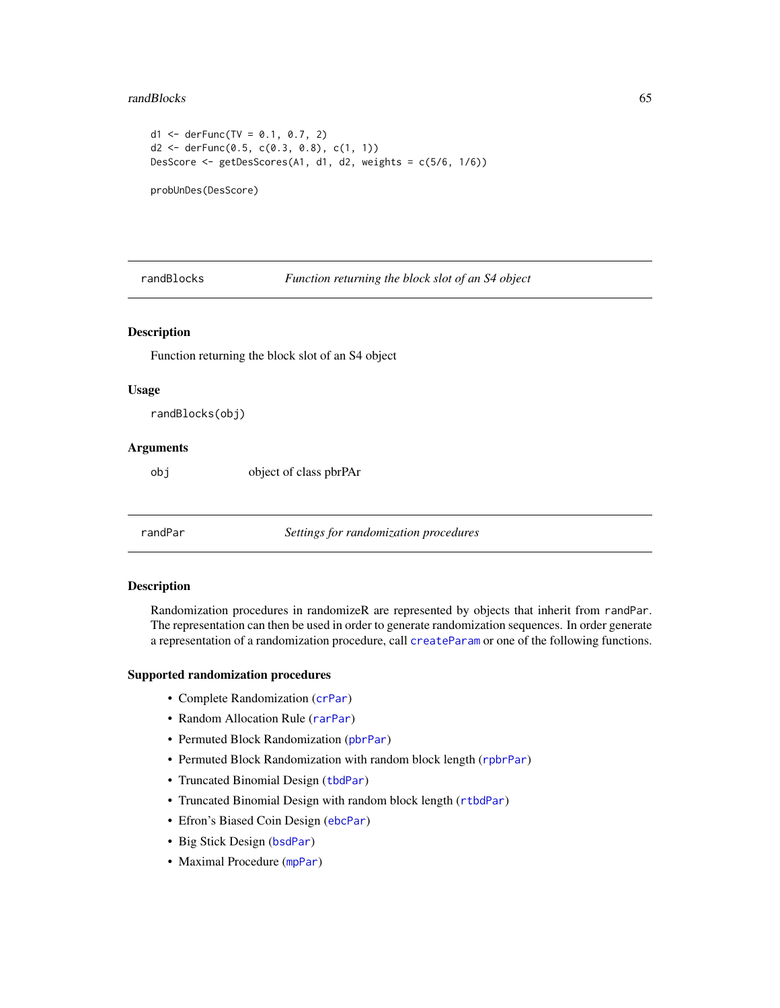#### randBlocks 65

```
d1 \le - \text{derFunc}(TV = 0.1, 0.7, 2)d2 <- derFunc(0.5, c(0.3, 0.8), c(1, 1))
DesScore <- getDesScores(A1, d1, d2, weights = c(5/6, 1/6))
probUnDes(DesScore)
```
randBlocks *Function returning the block slot of an S4 object*

### Description

Function returning the block slot of an S4 object

#### Usage

randBlocks(obj)

# Arguments

obj object of class pbrPAr

<span id="page-64-0"></span>randPar *Settings for randomization procedures*

#### Description

Randomization procedures in randomizeR are represented by objects that inherit from randPar. The representation can then be used in order to generate randomization sequences. In order generate a representation of a randomization procedure, call [createParam](#page-17-0) or one of the following functions.

#### Supported randomization procedures

- Complete Randomization ([crPar](#page-18-0))
- Random Allocation Rule ([rarPar](#page-66-0))
- Permuted Block Randomization ([pbrPar](#page-58-0))
- Permuted Block Randomization with random block length ([rpbrPar](#page-67-0))
- Truncated Binomial Design ([tbdPar](#page-74-0))
- Truncated Binomial Design with random block length ([rtbdPar](#page-68-0))
- Efron's Biased Coin Design ([ebcPar](#page-24-0))
- Big Stick Design ([bsdPar](#page-9-0))
- Maximal Procedure ([mpPar](#page-54-0))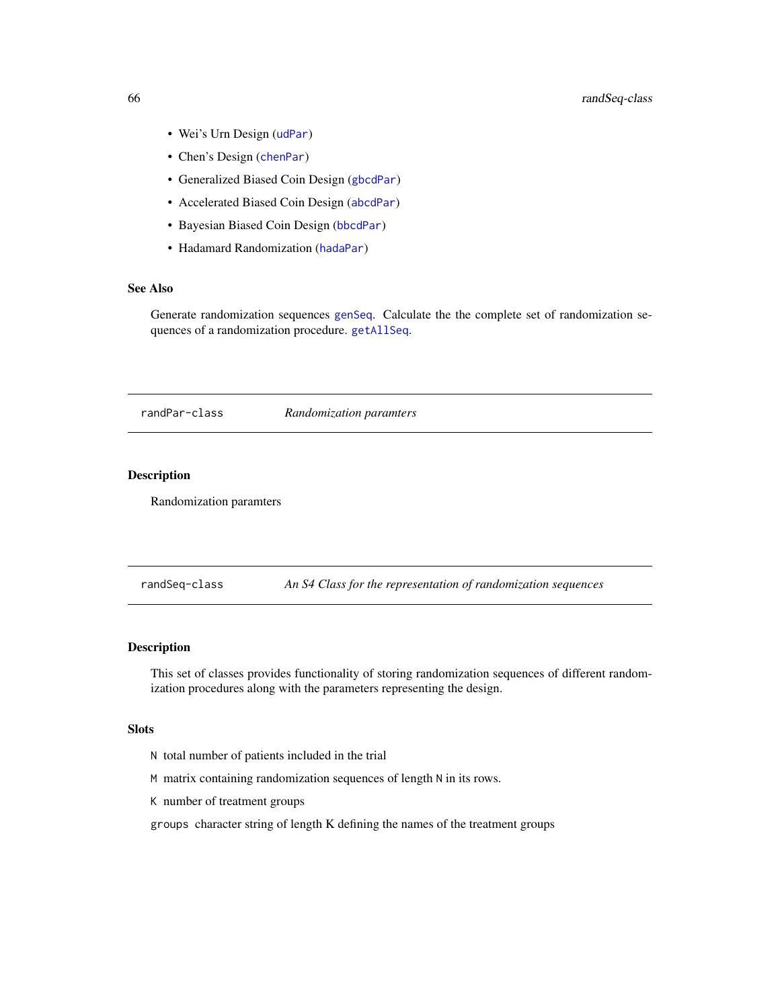- Wei's Urn Design ([udPar](#page-76-0))
- Chen's Design ([chenPar](#page-11-0))
- Generalized Biased Coin Design ([gbcdPar](#page-27-0))
- Accelerated Biased Coin Design ([abcdPar](#page-4-0))
- Bayesian Biased Coin Design ([bbcdPar](#page-7-0))
- Hadamard Randomization ([hadaPar](#page-47-0))

# See Also

Generate randomization sequences [genSeq](#page-31-0). Calculate the the complete set of randomization sequences of a randomization procedure. [getAllSeq](#page-28-0).

randPar-class *Randomization paramters*

# Description

Randomization paramters

randSeq-class *An S4 Class for the representation of randomization sequences*

### Description

This set of classes provides functionality of storing randomization sequences of different randomization procedures along with the parameters representing the design.

## Slots

- N total number of patients included in the trial
- M matrix containing randomization sequences of length N in its rows.
- K number of treatment groups
- groups character string of length K defining the names of the treatment groups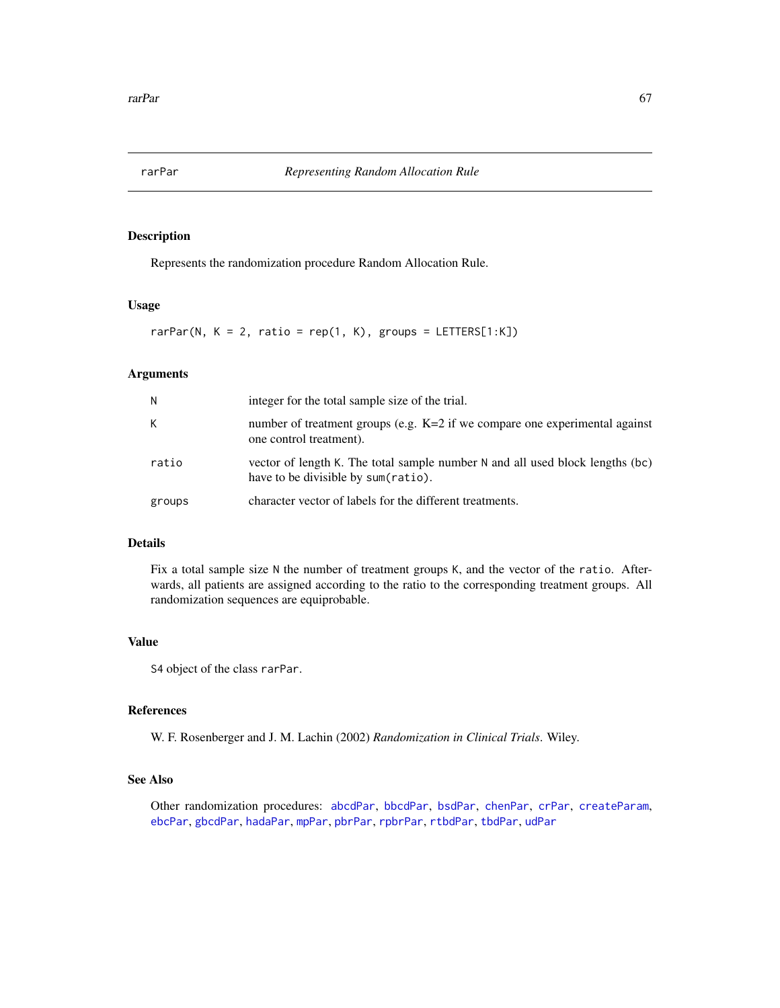<span id="page-66-0"></span>

Represents the randomization procedure Random Allocation Rule.

#### Usage

rarPar(N,  $K = 2$ , ratio = rep(1, K), groups = LETTERS[1:K])

# Arguments

| N      | integer for the total sample size of the trial.                                                                      |
|--------|----------------------------------------------------------------------------------------------------------------------|
| K      | number of treatment groups (e.g. $K=2$ if we compare one experimental against<br>one control treatment).             |
| ratio  | vector of length K. The total sample number N and all used block lengths (bc)<br>have to be divisible by sum(ratio). |
| groups | character vector of labels for the different treatments.                                                             |

# Details

Fix a total sample size N the number of treatment groups K, and the vector of the ratio. Afterwards, all patients are assigned according to the ratio to the corresponding treatment groups. All randomization sequences are equiprobable.

#### Value

S4 object of the class rarPar.

## References

W. F. Rosenberger and J. M. Lachin (2002) *Randomization in Clinical Trials*. Wiley.

#### See Also

Other randomization procedures: [abcdPar](#page-4-0), [bbcdPar](#page-7-0), [bsdPar](#page-9-0), [chenPar](#page-11-0), [crPar](#page-18-0), [createParam](#page-17-0), [ebcPar](#page-24-0), [gbcdPar](#page-27-0), [hadaPar](#page-47-0), [mpPar](#page-54-0), [pbrPar](#page-58-0), [rpbrPar](#page-67-0), [rtbdPar](#page-68-0), [tbdPar](#page-74-0), [udPar](#page-76-0)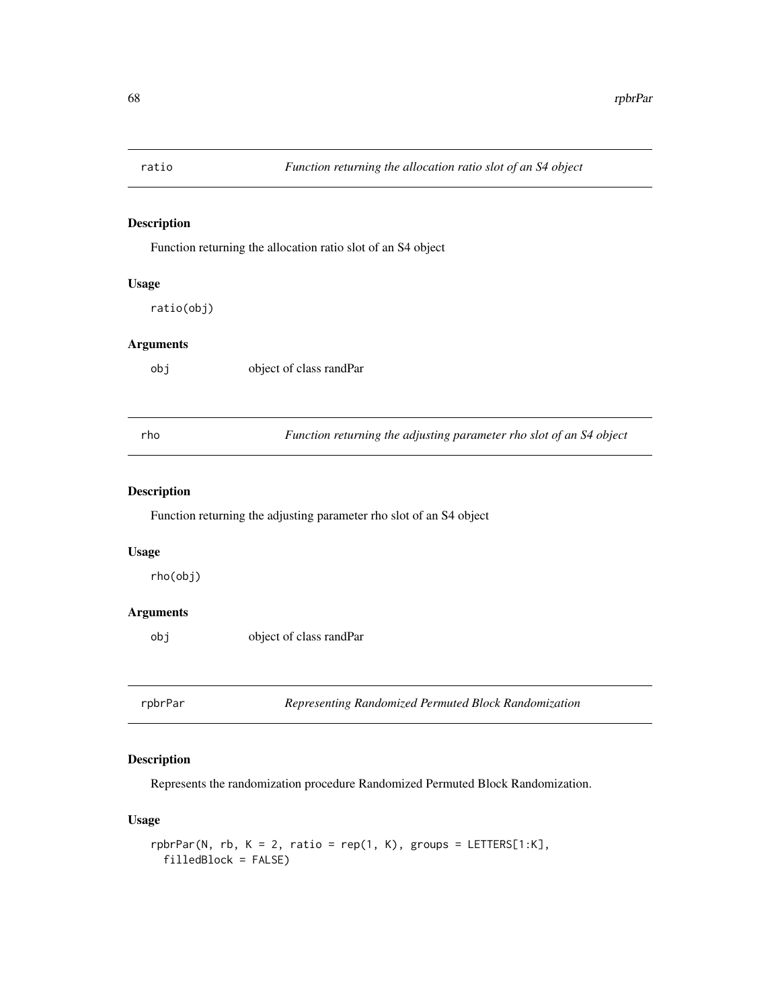Function returning the allocation ratio slot of an S4 object

# Usage

ratio(obj)

# Arguments

object of class randPar

rho *Function returning the adjusting parameter rho slot of an S4 object*

## Description

Function returning the adjusting parameter rho slot of an S4 object

#### Usage

rho(obj)

# Arguments

obj object of class randPar

<span id="page-67-0"></span>rpbrPar *Representing Randomized Permuted Block Randomization*

## Description

Represents the randomization procedure Randomized Permuted Block Randomization.

# Usage

```
rphPar(N, rb, K = 2, ratio = rep(1, K), groups = LETTERS[1:K],filledBlock = FALSE)
```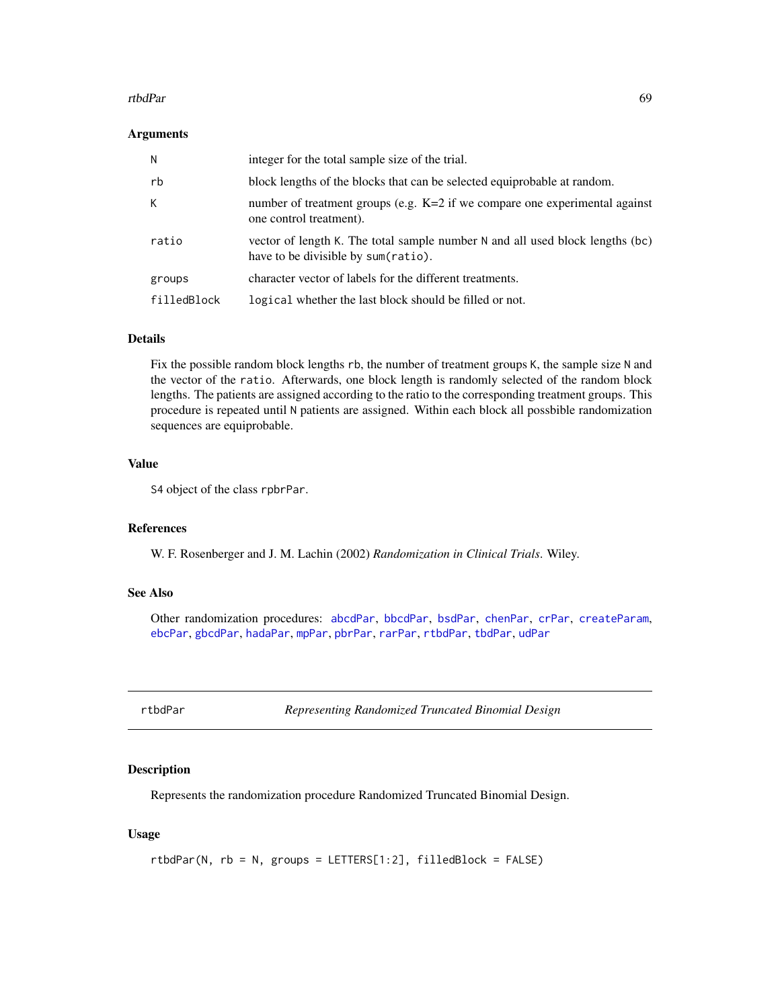#### rtbdPar 69

#### Arguments

| N           | integer for the total sample size of the trial.                                                                      |
|-------------|----------------------------------------------------------------------------------------------------------------------|
| rb          | block lengths of the blocks that can be selected equiprobable at random.                                             |
| К           | number of treatment groups (e.g. K=2 if we compare one experimental against<br>one control treatment).               |
| ratio       | vector of length K. The total sample number N and all used block lengths (bc)<br>have to be divisible by sum(ratio). |
| groups      | character vector of labels for the different treatments.                                                             |
| filledBlock | logical whether the last block should be filled or not.                                                              |

#### Details

Fix the possible random block lengths rb, the number of treatment groups K, the sample size N and the vector of the ratio. Afterwards, one block length is randomly selected of the random block lengths. The patients are assigned according to the ratio to the corresponding treatment groups. This procedure is repeated until N patients are assigned. Within each block all possbible randomization sequences are equiprobable.

# Value

S4 object of the class rpbrPar.

# References

W. F. Rosenberger and J. M. Lachin (2002) *Randomization in Clinical Trials*. Wiley.

# See Also

Other randomization procedures: [abcdPar](#page-4-0), [bbcdPar](#page-7-0), [bsdPar](#page-9-0), [chenPar](#page-11-0), [crPar](#page-18-0), [createParam](#page-17-0), [ebcPar](#page-24-0), [gbcdPar](#page-27-0), [hadaPar](#page-47-0), [mpPar](#page-54-0), [pbrPar](#page-58-0), [rarPar](#page-66-0), [rtbdPar](#page-68-0), [tbdPar](#page-74-0), [udPar](#page-76-0)

<span id="page-68-0"></span>rtbdPar *Representing Randomized Truncated Binomial Design*

# Description

Represents the randomization procedure Randomized Truncated Binomial Design.

#### Usage

rtbdPar(N, rb = N, groups = LETTERS[1:2], filledBlock = FALSE)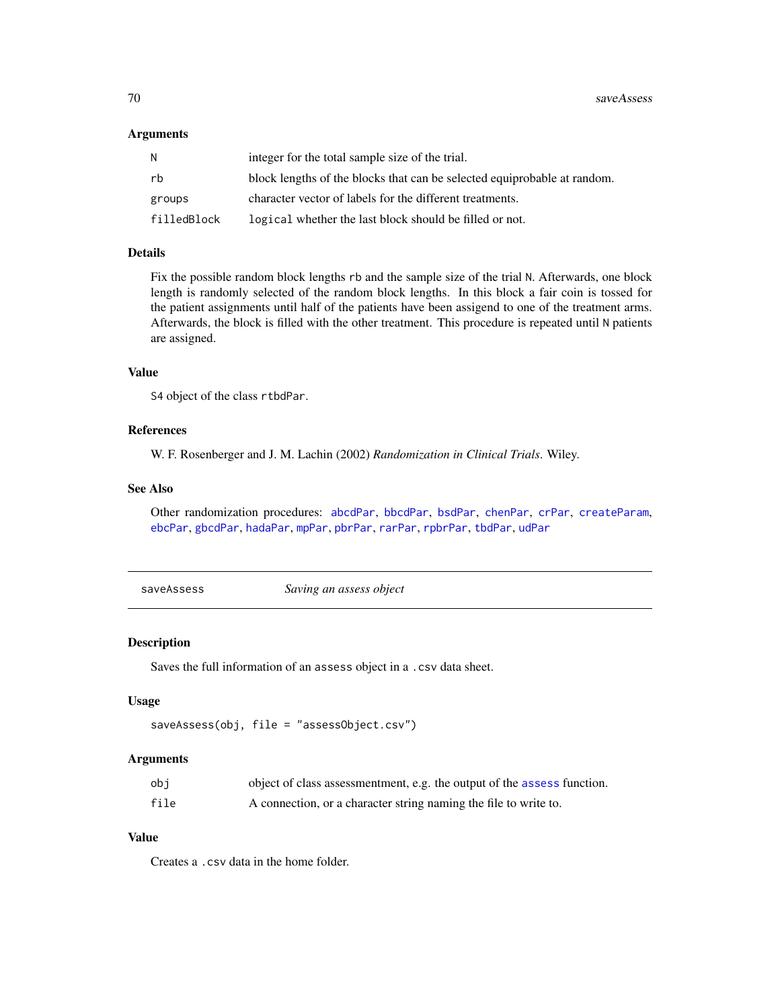#### Arguments

| N           | integer for the total sample size of the trial.                          |
|-------------|--------------------------------------------------------------------------|
| rb          | block lengths of the blocks that can be selected equiprobable at random. |
| groups      | character vector of labels for the different treatments.                 |
| filledBlock | logical whether the last block should be filled or not.                  |

# Details

Fix the possible random block lengths rb and the sample size of the trial N. Afterwards, one block length is randomly selected of the random block lengths. In this block a fair coin is tossed for the patient assignments until half of the patients have been assigend to one of the treatment arms. Afterwards, the block is filled with the other treatment. This procedure is repeated until N patients are assigned.

# Value

S4 object of the class rtbdPar.

#### References

W. F. Rosenberger and J. M. Lachin (2002) *Randomization in Clinical Trials*. Wiley.

# See Also

Other randomization procedures: [abcdPar](#page-4-0), [bbcdPar](#page-7-0), [bsdPar](#page-9-0), [chenPar](#page-11-0), [crPar](#page-18-0), [createParam](#page-17-0), [ebcPar](#page-24-0), [gbcdPar](#page-27-0), [hadaPar](#page-47-0), [mpPar](#page-54-0), [pbrPar](#page-58-0), [rarPar](#page-66-0), [rpbrPar](#page-67-0), [tbdPar](#page-74-0), [udPar](#page-76-0)

<span id="page-69-0"></span>saveAssess *Saving an assess object*

## Description

Saves the full information of an assess object in a .csv data sheet.

#### Usage

```
saveAssess(obj, file = "assessObject.csv")
```
#### Arguments

| obi  | object of class assessmentment, e.g. the output of the assess function. |
|------|-------------------------------------------------------------------------|
| file | A connection, or a character string naming the file to write to.        |

# Value

Creates a .csv data in the home folder.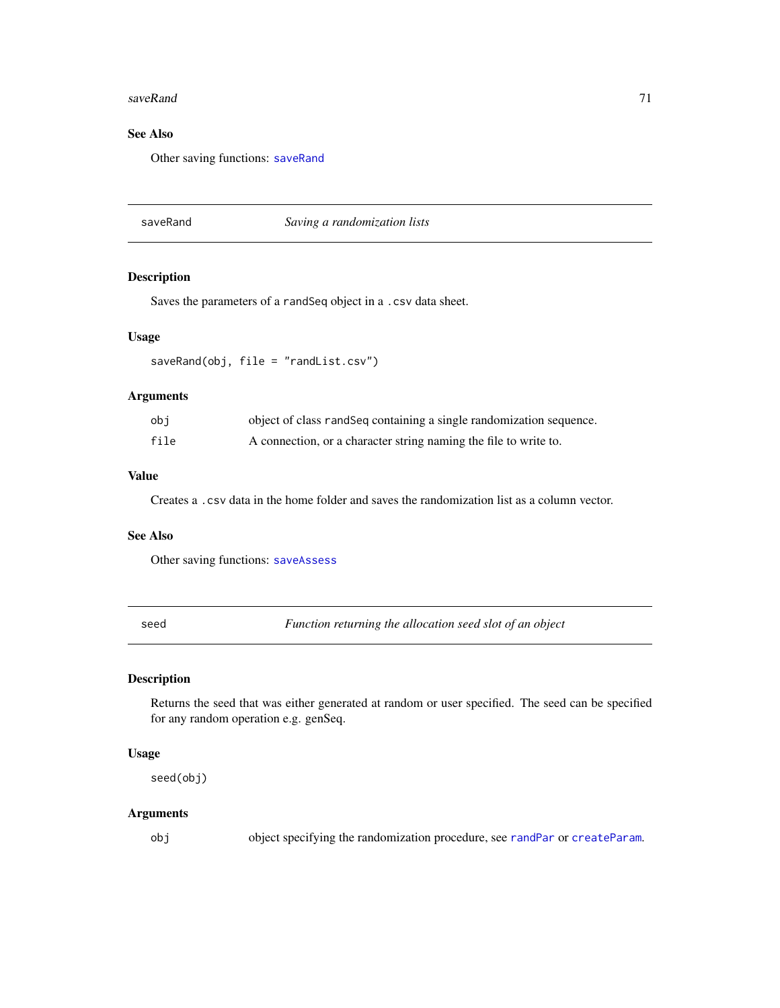#### saveRand 71

# See Also

Other saving functions: [saveRand](#page-70-0)

### <span id="page-70-0"></span>saveRand *Saving a randomization lists*

# Description

Saves the parameters of a randSeq object in a .csv data sheet.

# Usage

saveRand(obj, file = "randList.csv")

### Arguments

| obi  | object of class randSeq containing a single randomization sequence. |
|------|---------------------------------------------------------------------|
| file | A connection, or a character string naming the file to write to.    |

# Value

Creates a .csv data in the home folder and saves the randomization list as a column vector.

## See Also

Other saving functions: [saveAssess](#page-69-0)

seed *Function returning the allocation seed slot of an object*

# Description

Returns the seed that was either generated at random or user specified. The seed can be specified for any random operation e.g. genSeq.

### Usage

seed(obj)

# Arguments

obj object specifying the randomization procedure, see [randPar](#page-64-0) or [createParam](#page-17-0).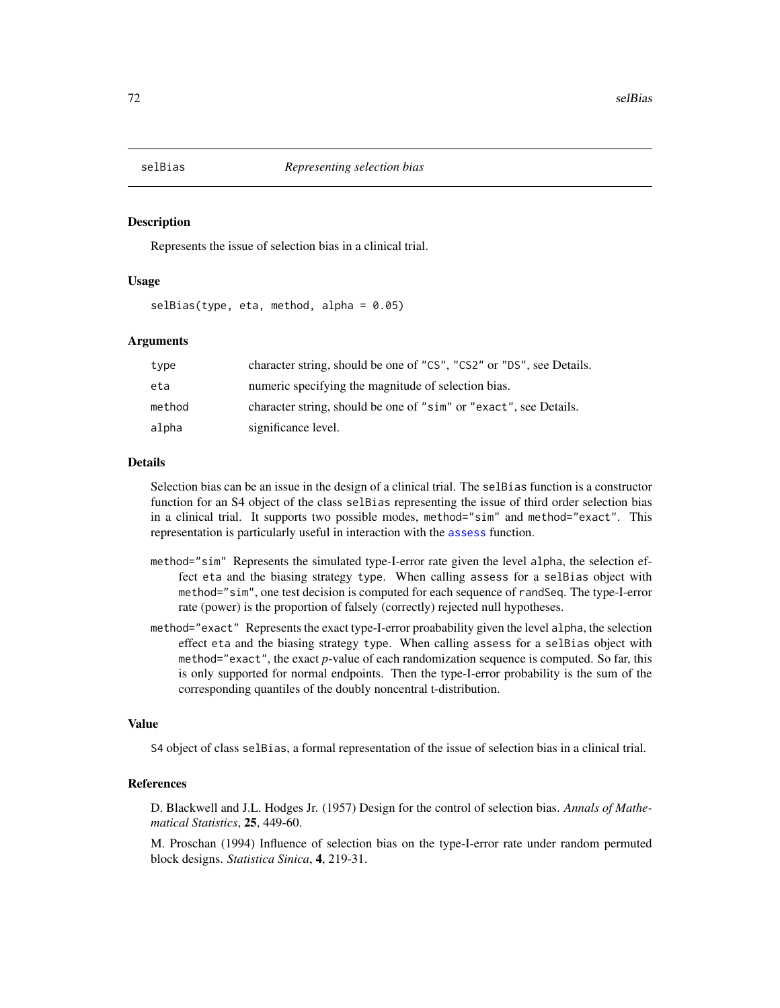<span id="page-71-0"></span>

Represents the issue of selection bias in a clinical trial.

#### Usage

 $selfias(type, eta, method, alpha = 0.05)$ 

#### Arguments

| type   | character string, should be one of "CS", "CS2" or "DS", see Details. |
|--------|----------------------------------------------------------------------|
| eta    | numeric specifying the magnitude of selection bias.                  |
| method | character string, should be one of "sim" or "exact", see Details.    |
| alpha  | significance level.                                                  |

#### Details

Selection bias can be an issue in the design of a clinical trial. The selBias function is a constructor function for an S4 object of the class selBias representing the issue of third order selection bias in a clinical trial. It supports two possible modes, method="sim" and method="exact". This representation is particularly useful in interaction with the [assess](#page-6-0) function.

- method="sim" Represents the simulated type-I-error rate given the level alpha, the selection effect eta and the biasing strategy type. When calling assess for a selBias object with method="sim", one test decision is computed for each sequence of randSeq. The type-I-error rate (power) is the proportion of falsely (correctly) rejected null hypotheses.
- method="exact" Represents the exact type-I-error proabability given the level alpha, the selection effect eta and the biasing strategy type. When calling assess for a selBias object with method="exact", the exact *p*-value of each randomization sequence is computed. So far, this is only supported for normal endpoints. Then the type-I-error probability is the sum of the corresponding quantiles of the doubly noncentral t-distribution.

#### Value

S4 object of class selBias, a formal representation of the issue of selection bias in a clinical trial.

# References

D. Blackwell and J.L. Hodges Jr. (1957) Design for the control of selection bias. *Annals of Mathematical Statistics*, 25, 449-60.

M. Proschan (1994) Influence of selection bias on the type-I-error rate under random permuted block designs. *Statistica Sinica*, 4, 219-31.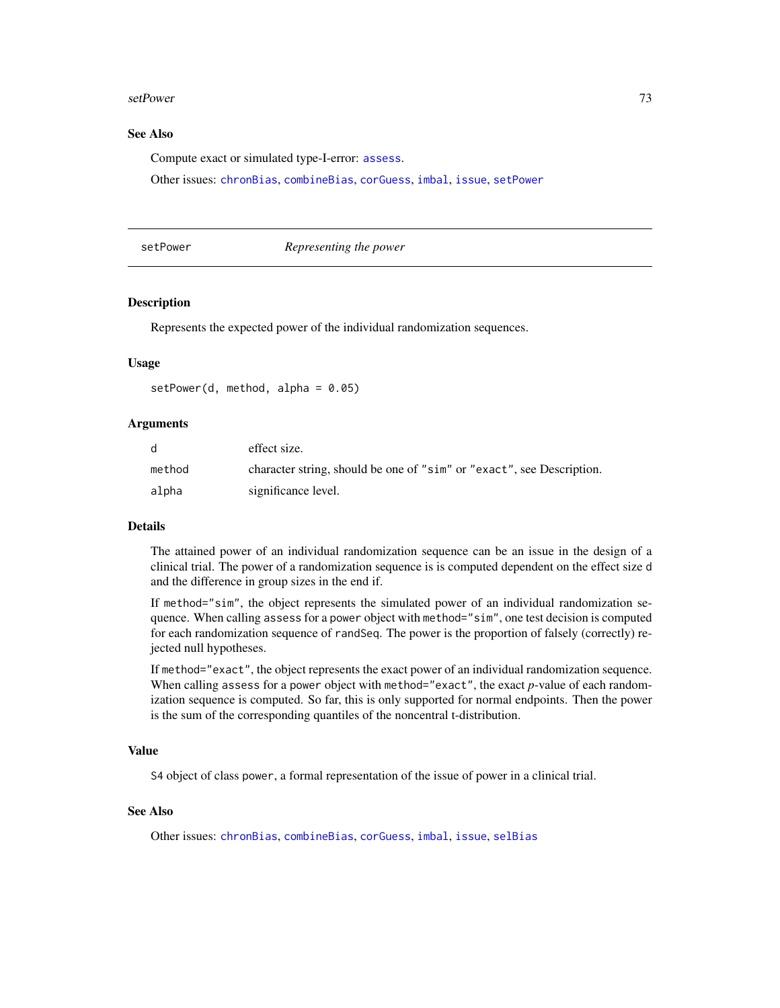#### <span id="page-72-1"></span>setPower 73

#### See Also

Compute exact or simulated type-I-error: [assess](#page-6-0).

Other issues: [chronBias](#page-12-0), [combineBias](#page-14-0), [corGuess](#page-16-0), [imbal](#page-49-0), [issue](#page-50-0), [setPower](#page-72-0)

<span id="page-72-0"></span>

setPower *Representing the power*

#### Description

Represents the expected power of the individual randomization sequences.

## Usage

 $setPower(d, method, alpha = 0.05)$ 

#### Arguments

| <sub>d</sub> | effect size.                                                          |
|--------------|-----------------------------------------------------------------------|
| method       | character string, should be one of "sim" or "exact", see Description. |
| alpha        | significance level.                                                   |

#### Details

The attained power of an individual randomization sequence can be an issue in the design of a clinical trial. The power of a randomization sequence is is computed dependent on the effect size d and the difference in group sizes in the end if.

If method="sim", the object represents the simulated power of an individual randomization sequence. When calling assess for a power object with method="sim", one test decision is computed for each randomization sequence of randSeq. The power is the proportion of falsely (correctly) rejected null hypotheses.

If method="exact", the object represents the exact power of an individual randomization sequence. When calling assess for a power object with method="exact", the exact *p*-value of each randomization sequence is computed. So far, this is only supported for normal endpoints. Then the power is the sum of the corresponding quantiles of the noncentral t-distribution.

#### Value

S4 object of class power, a formal representation of the issue of power in a clinical trial.

#### See Also

Other issues: [chronBias](#page-12-0), [combineBias](#page-14-0), [corGuess](#page-16-0), [imbal](#page-49-0), [issue](#page-50-0), [selBias](#page-71-0)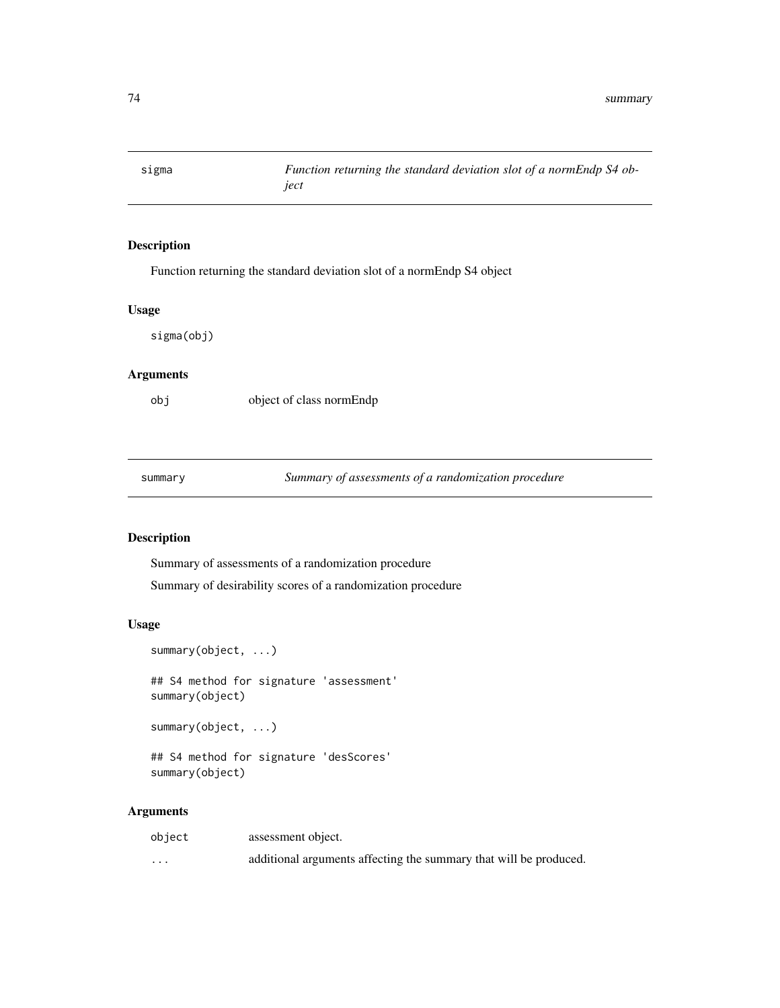<span id="page-73-0"></span>

## Description

Function returning the standard deviation slot of a normEndp S4 object

#### Usage

sigma(obj)

## Arguments

obj object of class normEndp

summary *Summary of assessments of a randomization procedure*

## Description

Summary of assessments of a randomization procedure

Summary of desirability scores of a randomization procedure

#### Usage

```
summary(object, ...)
```
## S4 method for signature 'assessment' summary(object)

summary(object, ...)

## S4 method for signature 'desScores' summary(object)

| object | assessment object.                                                |
|--------|-------------------------------------------------------------------|
| .      | additional arguments affecting the summary that will be produced. |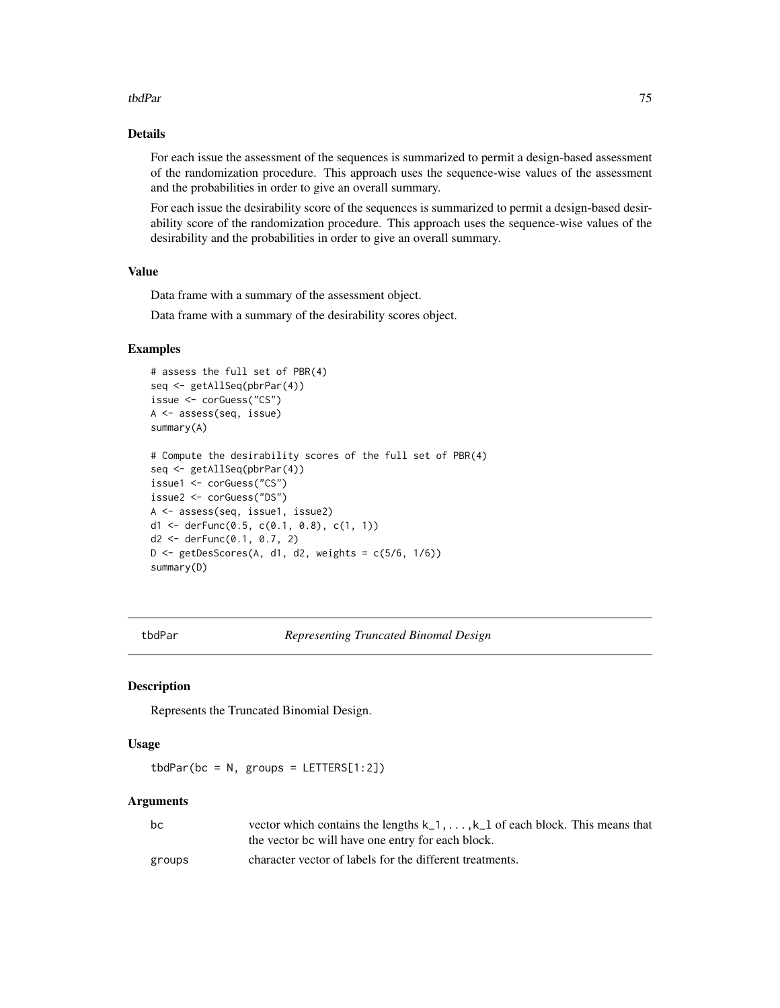#### <span id="page-74-1"></span>tbdPar 75

#### Details

For each issue the assessment of the sequences is summarized to permit a design-based assessment of the randomization procedure. This approach uses the sequence-wise values of the assessment and the probabilities in order to give an overall summary.

For each issue the desirability score of the sequences is summarized to permit a design-based desirability score of the randomization procedure. This approach uses the sequence-wise values of the desirability and the probabilities in order to give an overall summary.

#### Value

Data frame with a summary of the assessment object.

Data frame with a summary of the desirability scores object.

#### Examples

```
# assess the full set of PBR(4)
seq <- getAllSeq(pbrPar(4))
issue <- corGuess("CS")
A <- assess(seq, issue)
summary(A)
# Compute the desirability scores of the full set of PBR(4)
seq <- getAllSeq(pbrPar(4))
issue1 <- corGuess("CS")
issue2 <- corGuess("DS")
A <- assess(seq, issue1, issue2)
d1 <- derFunc(0.5, c(0.1, 0.8), c(1, 1))
d2 <- derFunc(0.1, 0.7, 2)
D \leq - getDesScores(A, d1, d2, weights = c(5/6, 1/6))
summary(D)
```
<span id="page-74-0"></span>tbdPar *Representing Truncated Binomal Design*

#### **Description**

Represents the Truncated Binomial Design.

#### Usage

 $tbdPar(bc = N, groups = LETTERS[1:2])$ 

| bc     | vector which contains the lengths $k_1, \ldots, k_l$ of each block. This means that |
|--------|-------------------------------------------------------------------------------------|
|        | the vector bc will have one entry for each block.                                   |
| groups | character vector of labels for the different treatments.                            |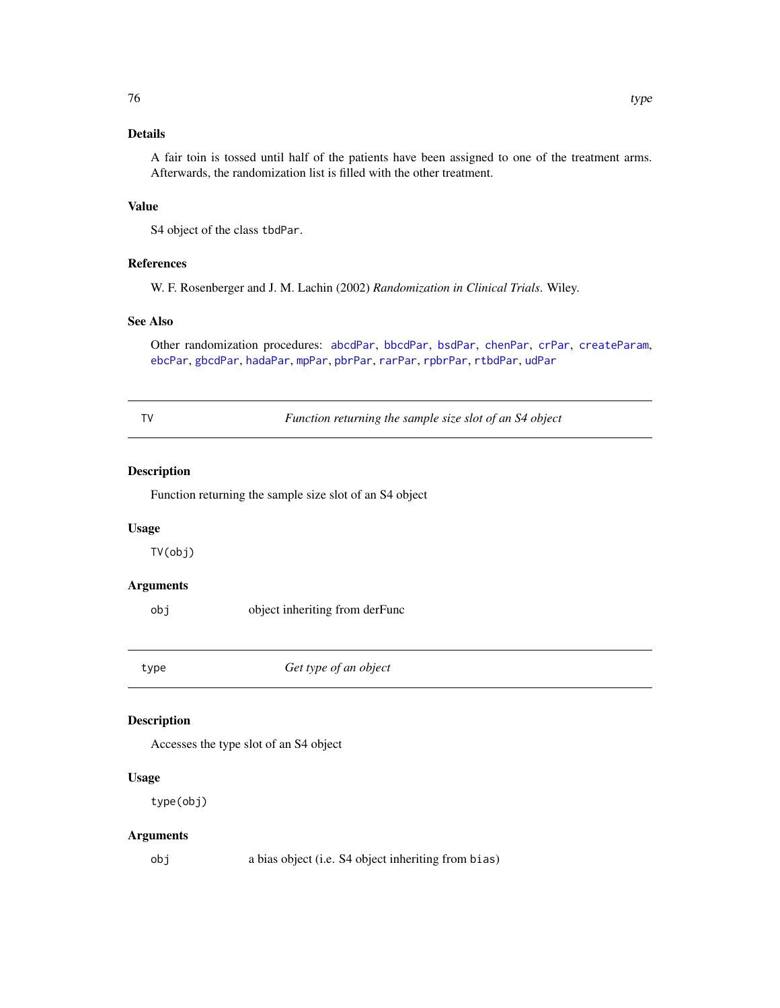# <span id="page-75-0"></span>Details

A fair toin is tossed until half of the patients have been assigned to one of the treatment arms. Afterwards, the randomization list is filled with the other treatment.

## Value

S4 object of the class tbdPar.

#### References

W. F. Rosenberger and J. M. Lachin (2002) *Randomization in Clinical Trials*. Wiley.

#### See Also

Other randomization procedures: [abcdPar](#page-4-0), [bbcdPar](#page-7-0), [bsdPar](#page-9-0), [chenPar](#page-11-0), [crPar](#page-18-0), [createParam](#page-17-0), [ebcPar](#page-24-0), [gbcdPar](#page-27-0), [hadaPar](#page-47-0), [mpPar](#page-54-0), [pbrPar](#page-58-0), [rarPar](#page-66-0), [rpbrPar](#page-67-0), [rtbdPar](#page-68-0), [udPar](#page-76-0)

TV *Function returning the sample size slot of an S4 object*

#### Description

Function returning the sample size slot of an S4 object

#### Usage

TV(obj)

#### Arguments

obj object inheriting from derFunc

type *Get type of an object*

## Description

Accesses the type slot of an S4 object

## Usage

type(obj)

## Arguments

obj a bias object (i.e. S4 object inheriting from bias)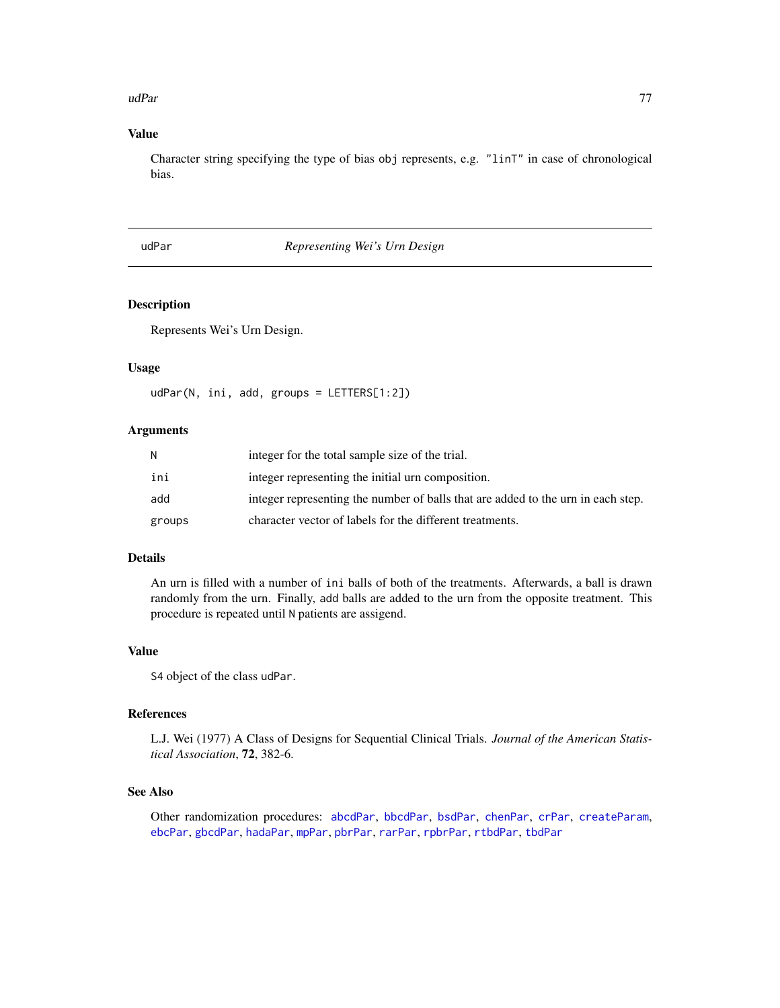#### <span id="page-76-1"></span>udPar 77

## Value

Character string specifying the type of bias obj represents, e.g. "linT" in case of chronological bias.

# <span id="page-76-0"></span>udPar *Representing Wei's Urn Design*

#### Description

Represents Wei's Urn Design.

#### Usage

udPar(N, ini, add, groups = LETTERS[1:2])

#### Arguments

| N      | integer for the total sample size of the trial.                                  |
|--------|----------------------------------------------------------------------------------|
| ini    | integer representing the initial urn composition.                                |
| add    | integer representing the number of balls that are added to the urn in each step. |
| groups | character vector of labels for the different treatments.                         |

#### Details

An urn is filled with a number of ini balls of both of the treatments. Afterwards, a ball is drawn randomly from the urn. Finally, add balls are added to the urn from the opposite treatment. This procedure is repeated until N patients are assigend.

## Value

S4 object of the class udPar.

## References

L.J. Wei (1977) A Class of Designs for Sequential Clinical Trials. *Journal of the American Statistical Association*, 72, 382-6.

## See Also

Other randomization procedures: [abcdPar](#page-4-0), [bbcdPar](#page-7-0), [bsdPar](#page-9-0), [chenPar](#page-11-0), [crPar](#page-18-0), [createParam](#page-17-0), [ebcPar](#page-24-0), [gbcdPar](#page-27-0), [hadaPar](#page-47-0), [mpPar](#page-54-0), [pbrPar](#page-58-0), [rarPar](#page-66-0), [rpbrPar](#page-67-0), [rtbdPar](#page-68-0), [tbdPar](#page-74-0)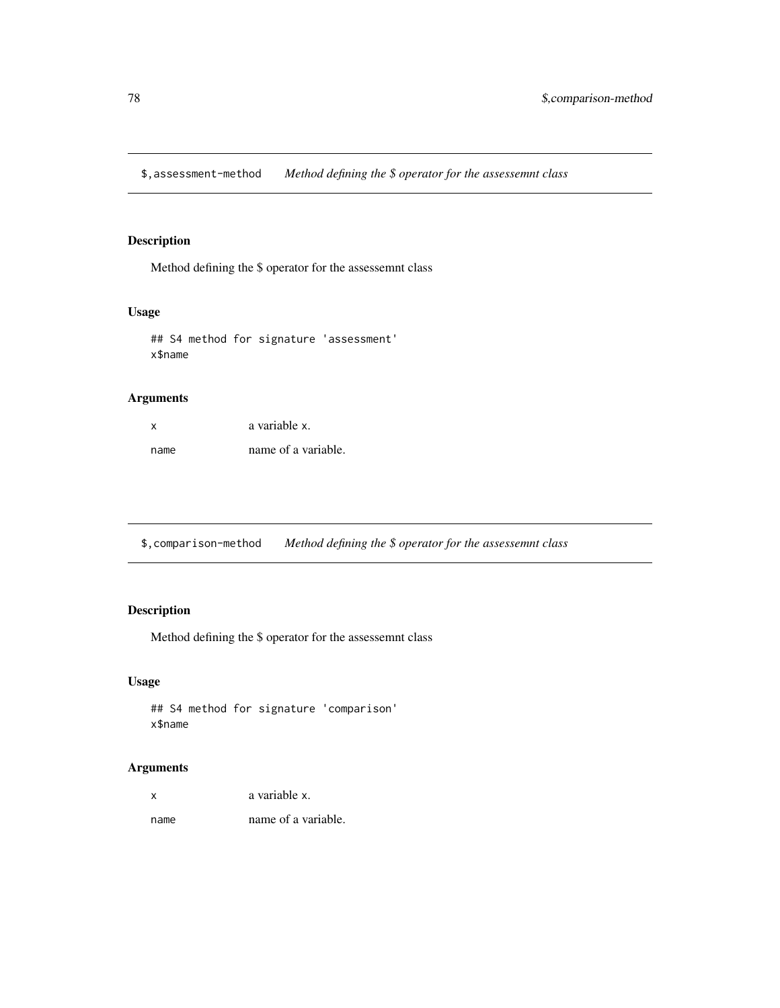<span id="page-77-0"></span>\$,assessment-method *Method defining the \$ operator for the assessemnt class*

#### Description

Method defining the \$ operator for the assessemnt class

## Usage

```
## S4 method for signature 'assessment'
x$name
```
# Arguments

| x    | a variable x.       |
|------|---------------------|
| name | name of a variable. |

\$,comparison-method *Method defining the \$ operator for the assessemnt class*

# Description

Method defining the \$ operator for the assessemnt class

# Usage

```
## S4 method for signature 'comparison'
x$name
```

| X    | a variable x.       |
|------|---------------------|
| name | name of a variable. |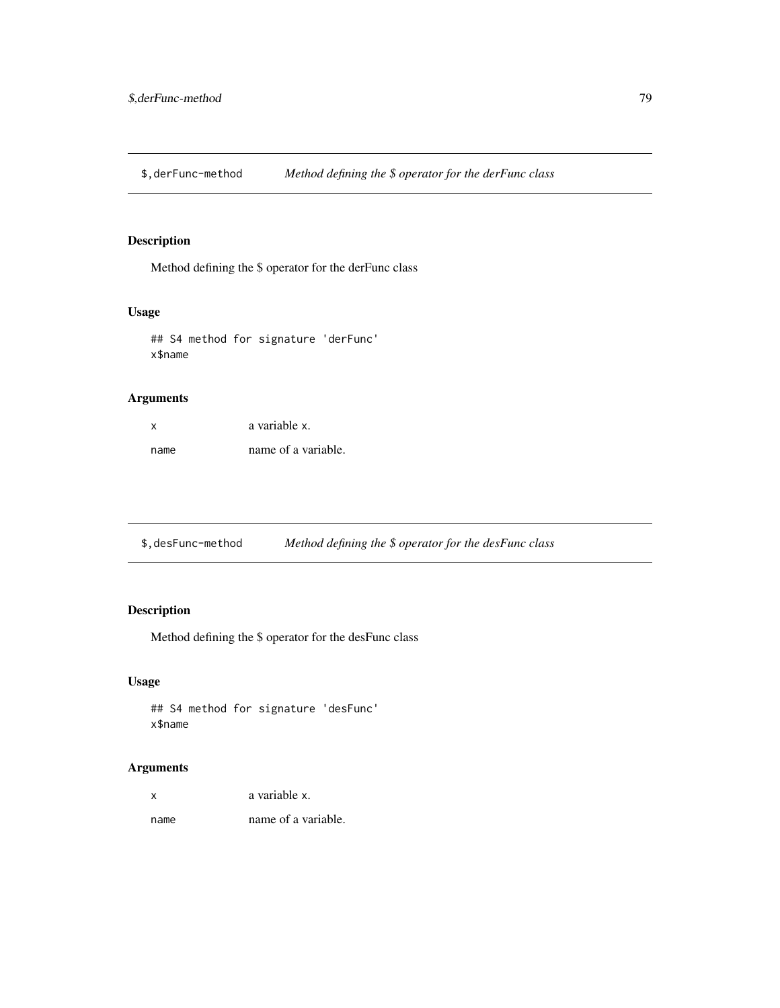<span id="page-78-0"></span>\$,derFunc-method *Method defining the \$ operator for the derFunc class*

#### Description

Method defining the \$ operator for the derFunc class

#### Usage

```
## S4 method for signature 'derFunc'
x$name
```
# Arguments

| x    | a variable x.       |
|------|---------------------|
| name | name of a variable. |

\$,desFunc-method *Method defining the \$ operator for the desFunc class*

# Description

Method defining the \$ operator for the desFunc class

## Usage

## S4 method for signature 'desFunc' x\$name

| X    | a variable x.       |
|------|---------------------|
| name | name of a variable. |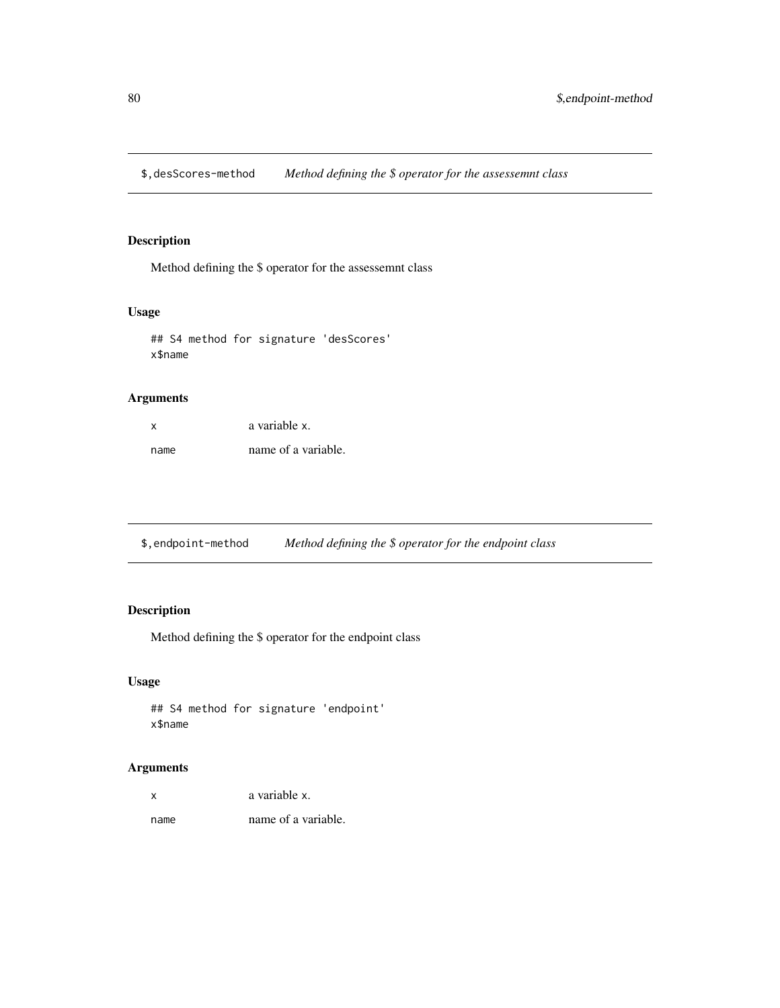<span id="page-79-0"></span>\$,desScores-method *Method defining the \$ operator for the assessemnt class*

#### Description

Method defining the \$ operator for the assessemnt class

## Usage

```
## S4 method for signature 'desScores'
x$name
```
# Arguments

| x    | a variable x.       |
|------|---------------------|
| name | name of a variable. |

\$,endpoint-method *Method defining the \$ operator for the endpoint class*

# Description

Method defining the \$ operator for the endpoint class

## Usage

```
## S4 method for signature 'endpoint'
x$name
```

| X    | a variable x.       |
|------|---------------------|
| name | name of a variable. |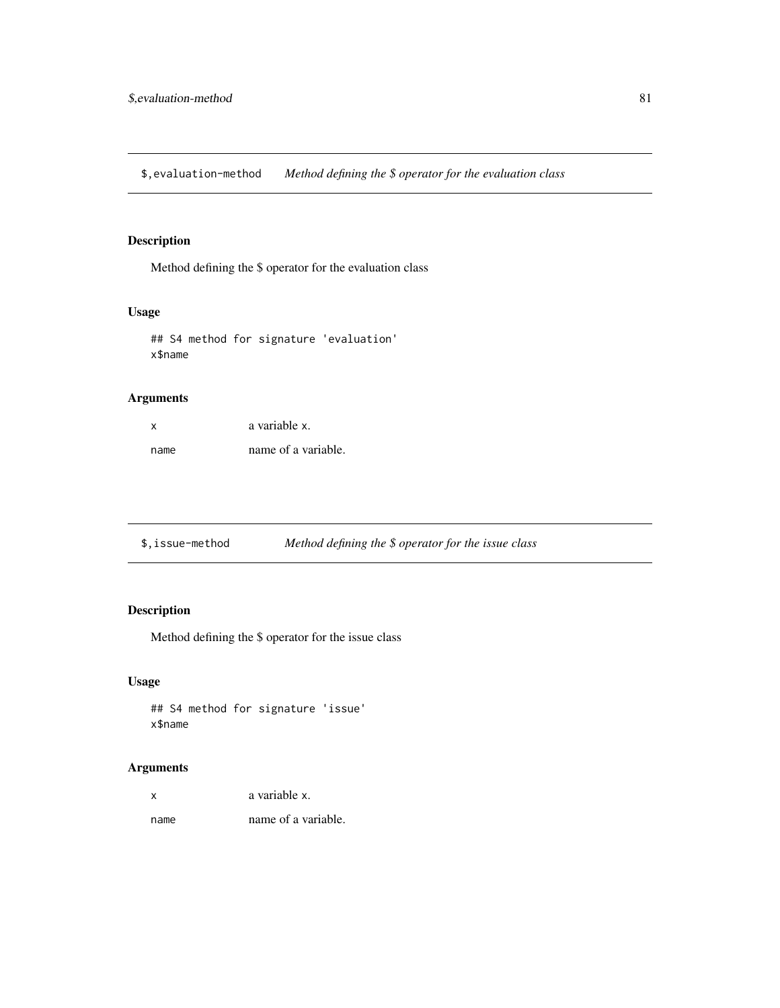<span id="page-80-0"></span>\$,evaluation-method *Method defining the \$ operator for the evaluation class*

# Description

Method defining the \$ operator for the evaluation class

## Usage

```
## S4 method for signature 'evaluation'
x$name
```
# Arguments

| x    | a variable x.       |
|------|---------------------|
| name | name of a variable. |

|  | \$.issue-method | Method defining the $$$ operator for the issue class |
|--|-----------------|------------------------------------------------------|
|--|-----------------|------------------------------------------------------|

# Description

Method defining the \$ operator for the issue class

## Usage

```
## S4 method for signature 'issue'
x$name
```
## Arguments

| X | a variable x. |
|---|---------------|
|   |               |

name name of a variable.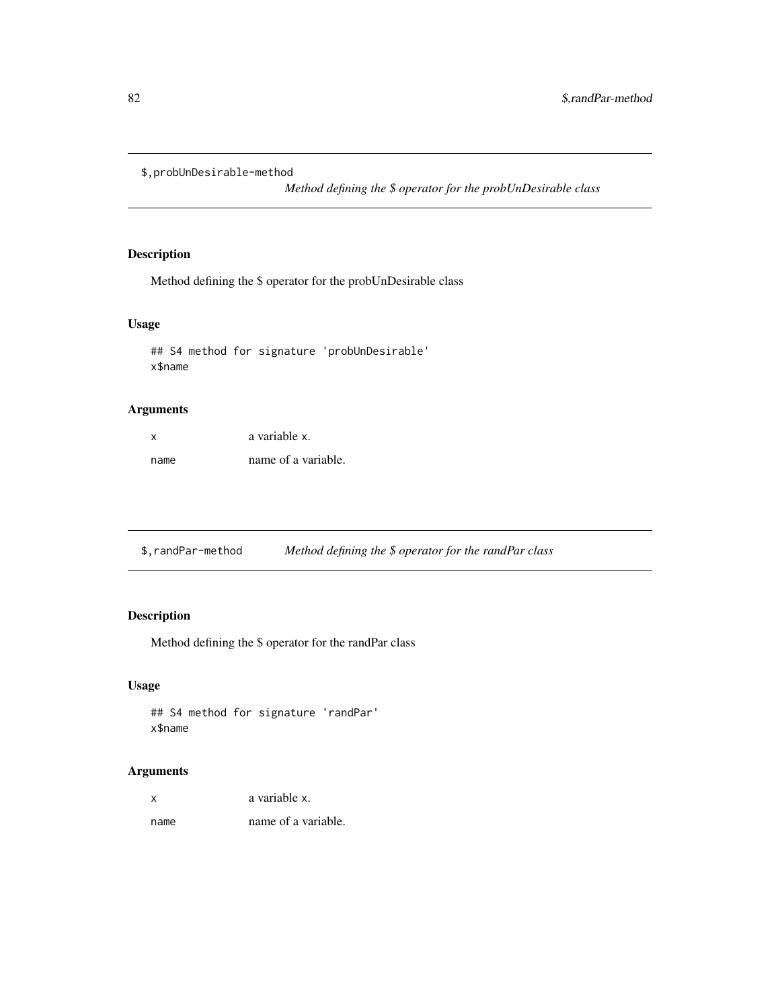<span id="page-81-0"></span>\$,probUnDesirable-method

*Method defining the \$ operator for the probUnDesirable class*

# Description

Method defining the \$ operator for the probUnDesirable class

#### Usage

## S4 method for signature 'probUnDesirable' x\$name

## Arguments

| x    | a variable x.       |
|------|---------------------|
| name | name of a variable. |

\$,randPar-method *Method defining the \$ operator for the randPar class*

# Description

Method defining the \$ operator for the randPar class

## Usage

```
## S4 method for signature 'randPar'
x$name
```

| x    | a variable x.       |
|------|---------------------|
| name | name of a variable. |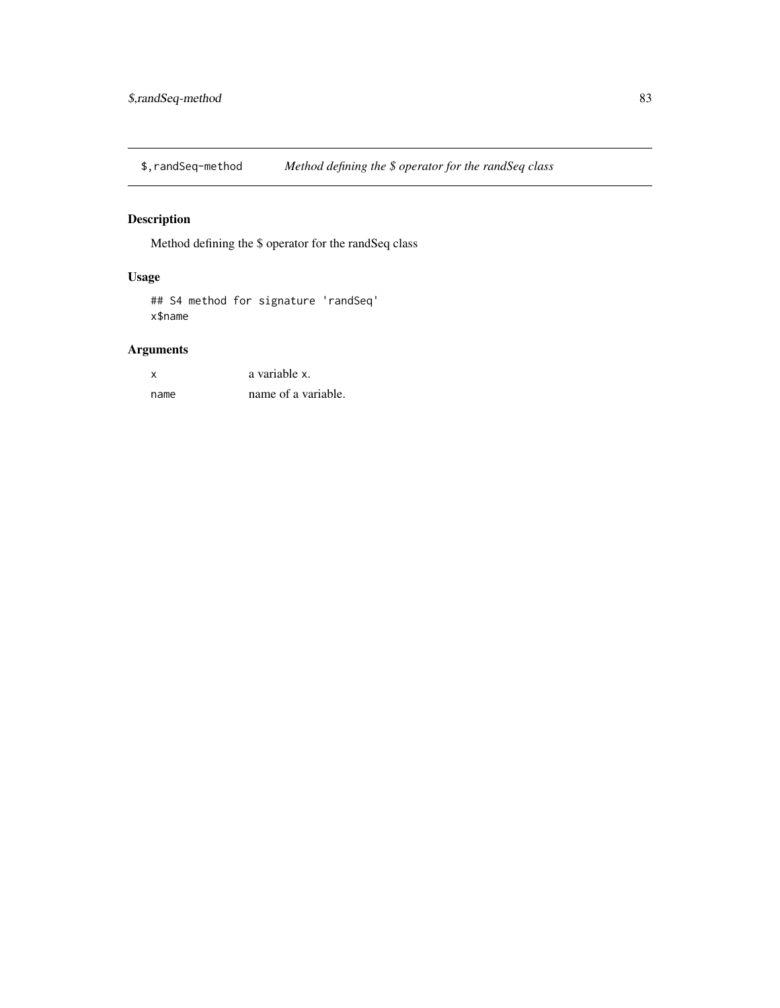<span id="page-82-0"></span>\$,randSeq-method *Method defining the \$ operator for the randSeq class*

# Description

Method defining the \$ operator for the randSeq class

# Usage

## S4 method for signature 'randSeq' x\$name

| X    | a variable x.       |
|------|---------------------|
| name | name of a variable. |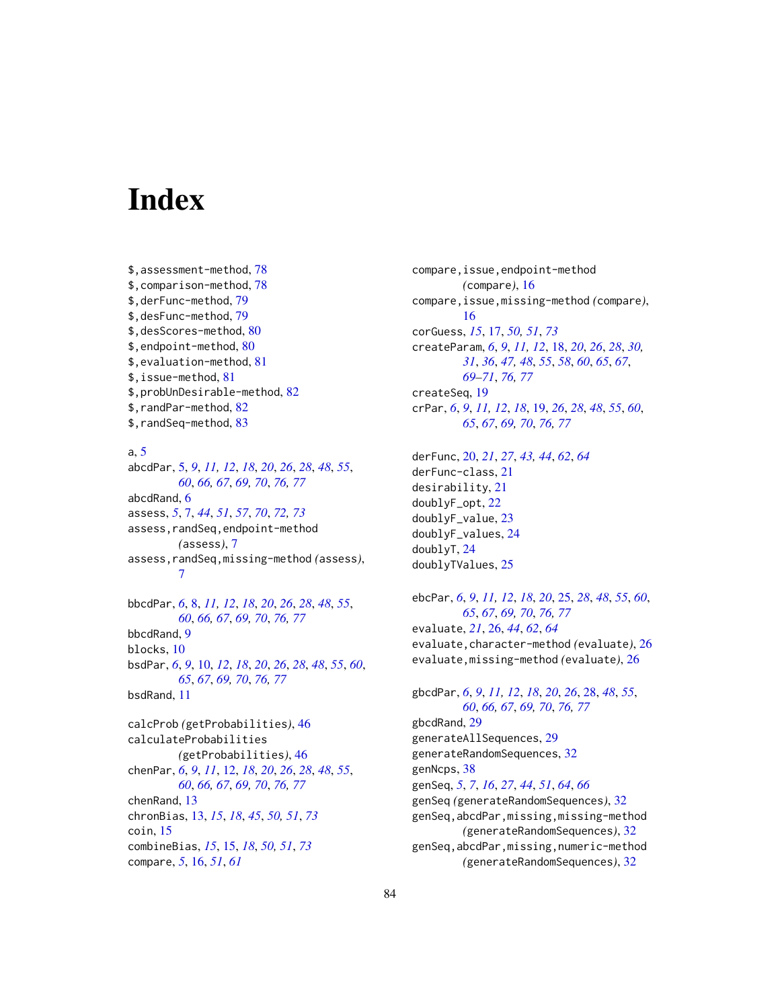# **Index**

\$,assessment-method, [78](#page-77-0) \$,comparison-method, [78](#page-77-0) \$,derFunc-method, [79](#page-78-0) \$,desFunc-method, [79](#page-78-0) \$,desScores-method, [80](#page-79-0) \$,endpoint-method, [80](#page-79-0) \$,evaluation-method, [81](#page-80-0) \$,issue-method, [81](#page-80-0) \$,probUnDesirable-method, [82](#page-81-0) \$,randPar-method, [82](#page-81-0) \$,randSeq-method, [83](#page-82-0)

#### a, [5](#page-4-1)

abcdPar, [5,](#page-4-1) *[9](#page-8-0)*, *[11,](#page-10-0) [12](#page-11-1)*, *[18](#page-17-1)*, *[20](#page-19-0)*, *[26](#page-25-0)*, *[28](#page-27-1)*, *[48](#page-47-1)*, *[55](#page-54-1)*, *[60](#page-59-0)*, *[66,](#page-65-0) [67](#page-66-1)*, *[69,](#page-68-1) [70](#page-69-0)*, *[76,](#page-75-0) [77](#page-76-1)* abcdRand, [6](#page-5-0) assess, *[5](#page-4-1)*, [7,](#page-6-1) *[44](#page-43-0)*, *[51](#page-50-1)*, *[57](#page-56-0)*, *[70](#page-69-0)*, *[72,](#page-71-1) [73](#page-72-1)* assess,randSeq,endpoint-method *(*assess*)*, [7](#page-6-1) assess,randSeq,missing-method *(*assess*)*, [7](#page-6-1) bbcdPar, *[6](#page-5-0)*, [8,](#page-7-1) *[11,](#page-10-0) [12](#page-11-1)*, *[18](#page-17-1)*, *[20](#page-19-0)*, *[26](#page-25-0)*, *[28](#page-27-1)*, *[48](#page-47-1)*, *[55](#page-54-1)*,

*[60](#page-59-0)*, *[66,](#page-65-0) [67](#page-66-1)*, *[69,](#page-68-1) [70](#page-69-0)*, *[76,](#page-75-0) [77](#page-76-1)* bbcdRand, [9](#page-8-0) blocks, [10](#page-9-1) bsdPar, *[6](#page-5-0)*, *[9](#page-8-0)*, [10,](#page-9-1) *[12](#page-11-1)*, *[18](#page-17-1)*, *[20](#page-19-0)*, *[26](#page-25-0)*, *[28](#page-27-1)*, *[48](#page-47-1)*, *[55](#page-54-1)*, *[60](#page-59-0)*, *[65](#page-64-0)*, *[67](#page-66-1)*, *[69,](#page-68-1) [70](#page-69-0)*, *[76,](#page-75-0) [77](#page-76-1)* bsdRand, [11](#page-10-0)

calcProb *(*getProbabilities*)*, [46](#page-45-0) calculateProbabilities *(*getProbabilities*)*, [46](#page-45-0) chenPar, *[6](#page-5-0)*, *[9](#page-8-0)*, *[11](#page-10-0)*, [12,](#page-11-1) *[18](#page-17-1)*, *[20](#page-19-0)*, *[26](#page-25-0)*, *[28](#page-27-1)*, *[48](#page-47-1)*, *[55](#page-54-1)*, *[60](#page-59-0)*, *[66,](#page-65-0) [67](#page-66-1)*, *[69,](#page-68-1) [70](#page-69-0)*, *[76,](#page-75-0) [77](#page-76-1)* chenRand, [13](#page-12-1) chronBias, [13,](#page-12-1) *[15](#page-14-1)*, *[18](#page-17-1)*, *[45](#page-44-0)*, *[50,](#page-49-1) [51](#page-50-1)*, *[73](#page-72-1)* coin, [15](#page-14-1) combineBias, *[15](#page-14-1)*, [15,](#page-14-1) *[18](#page-17-1)*, *[50,](#page-49-1) [51](#page-50-1)*, *[73](#page-72-1)* compare, *[5](#page-4-1)*, [16,](#page-15-0) *[51](#page-50-1)*, *[61](#page-60-0)*

compare,issue,endpoint-method *(*compare*)*, [16](#page-15-0) compare,issue,missing-method *(*compare*)*, [16](#page-15-0) corGuess, *[15](#page-14-1)*, [17,](#page-16-1) *[50,](#page-49-1) [51](#page-50-1)*, *[73](#page-72-1)* createParam, *[6](#page-5-0)*, *[9](#page-8-0)*, *[11,](#page-10-0) [12](#page-11-1)*, [18,](#page-17-1) *[20](#page-19-0)*, *[26](#page-25-0)*, *[28](#page-27-1)*, *[30,](#page-29-0) [31](#page-30-0)*, *[36](#page-35-0)*, *[47,](#page-46-0) [48](#page-47-1)*, *[55](#page-54-1)*, *[58](#page-57-0)*, *[60](#page-59-0)*, *[65](#page-64-0)*, *[67](#page-66-1)*, *[69](#page-68-1)[–71](#page-70-0)*, *[76,](#page-75-0) [77](#page-76-1)* createSeq, [19](#page-18-1) crPar, *[6](#page-5-0)*, *[9](#page-8-0)*, *[11,](#page-10-0) [12](#page-11-1)*, *[18](#page-17-1)*, [19,](#page-18-1) *[26](#page-25-0)*, *[28](#page-27-1)*, *[48](#page-47-1)*, *[55](#page-54-1)*, *[60](#page-59-0)*, *[65](#page-64-0)*, *[67](#page-66-1)*, *[69,](#page-68-1) [70](#page-69-0)*, *[76,](#page-75-0) [77](#page-76-1)*

derFunc, [20,](#page-19-0) *[21](#page-20-0)*, *[27](#page-26-0)*, *[43,](#page-42-0) [44](#page-43-0)*, *[62](#page-61-0)*, *[64](#page-63-0)* derFunc-class, [21](#page-20-0) desirability, [21](#page-20-0) doublyF\_opt, [22](#page-21-0) doublyF\_value, [23](#page-22-0) doublyF\_values, [24](#page-23-0) doublyT, [24](#page-23-0) doublyTValues, [25](#page-24-1)

ebcPar, *[6](#page-5-0)*, *[9](#page-8-0)*, *[11,](#page-10-0) [12](#page-11-1)*, *[18](#page-17-1)*, *[20](#page-19-0)*, [25,](#page-24-1) *[28](#page-27-1)*, *[48](#page-47-1)*, *[55](#page-54-1)*, *[60](#page-59-0)*, *[65](#page-64-0)*, *[67](#page-66-1)*, *[69,](#page-68-1) [70](#page-69-0)*, *[76,](#page-75-0) [77](#page-76-1)* evaluate, *[21](#page-20-0)*, [26,](#page-25-0) *[44](#page-43-0)*, *[62](#page-61-0)*, *[64](#page-63-0)* evaluate,character-method *(*evaluate*)*, [26](#page-25-0) evaluate,missing-method *(*evaluate*)*, [26](#page-25-0)

gbcdPar, *[6](#page-5-0)*, *[9](#page-8-0)*, *[11,](#page-10-0) [12](#page-11-1)*, *[18](#page-17-1)*, *[20](#page-19-0)*, *[26](#page-25-0)*, [28,](#page-27-1) *[48](#page-47-1)*, *[55](#page-54-1)*, *[60](#page-59-0)*, *[66,](#page-65-0) [67](#page-66-1)*, *[69,](#page-68-1) [70](#page-69-0)*, *[76,](#page-75-0) [77](#page-76-1)* gbcdRand, [29](#page-28-0) generateAllSequences, [29](#page-28-0) generateRandomSequences, [32](#page-31-0) genNcps, [38](#page-37-0) genSeq, *[5](#page-4-1)*, *[7](#page-6-1)*, *[16](#page-15-0)*, *[27](#page-26-0)*, *[44](#page-43-0)*, *[51](#page-50-1)*, *[64](#page-63-0)*, *[66](#page-65-0)* genSeq *(*generateRandomSequences*)*, [32](#page-31-0) genSeq,abcdPar,missing,missing-method *(*generateRandomSequences*)*, [32](#page-31-0) genSeq,abcdPar,missing,numeric-method *(*generateRandomSequences*)*, [32](#page-31-0)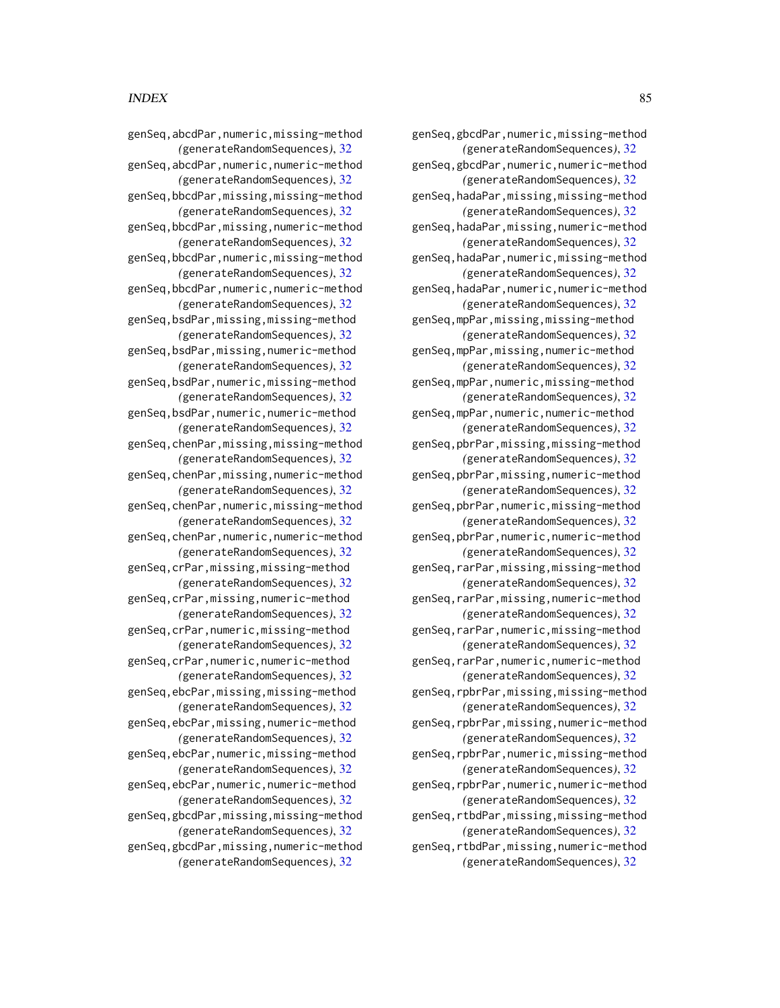genSeq,gbcdPar,numeric,missing-method *(*generateRandomSequences*)*, [32](#page-31-0) genSeq,gbcdPar,numeric,numeric-method *(*generateRandomSequences*)*, [32](#page-31-0) genSeq,hadaPar,missing,missing-method *(*generateRandomSequences*)*, [32](#page-31-0) genSeq,hadaPar,missing,numeric-method *(*generateRandomSequences*)*, [32](#page-31-0) genSeq,hadaPar,numeric,missing-method *(*generateRandomSequences*)*, [32](#page-31-0) genSeq,hadaPar,numeric,numeric-method *(*generateRandomSequences*)*, [32](#page-31-0) genSeq,mpPar,missing,missing-method *(*generateRandomSequences*)*, [32](#page-31-0) genSeq,mpPar,missing,numeric-method *(*generateRandomSequences*)*, [32](#page-31-0) genSeq,mpPar,numeric,missing-method *(*generateRandomSequences*)*, [32](#page-31-0) genSeq,mpPar,numeric,numeric-method *(*generateRandomSequences*)*, [32](#page-31-0) genSeq,pbrPar,missing,missing-method *(*generateRandomSequences*)*, [32](#page-31-0) genSeq,pbrPar,missing,numeric-method *(*generateRandomSequences*)*, [32](#page-31-0) genSeq,pbrPar,numeric,missing-method *(*generateRandomSequences*)*, [32](#page-31-0) genSeq,pbrPar,numeric,numeric-method *(*generateRandomSequences*)*, [32](#page-31-0) genSeq,rarPar,missing,missing-method *(*generateRandomSequences*)*, [32](#page-31-0) genSeq,rarPar,missing,numeric-method *(*generateRandomSequences*)*, [32](#page-31-0) genSeq,rarPar,numeric,missing-method *(*generateRandomSequences*)*, [32](#page-31-0) genSeq,rarPar,numeric,numeric-method *(*generateRandomSequences*)*, [32](#page-31-0) genSeq,rpbrPar,missing,missing-method *(*generateRandomSequences*)*, [32](#page-31-0) genSeq,rpbrPar,missing,numeric-method *(*generateRandomSequences*)*, [32](#page-31-0) genSeq,rpbrPar,numeric,missing-method *(*generateRandomSequences*)*, [32](#page-31-0) genSeq,rpbrPar,numeric,numeric-method *(*generateRandomSequences*)*, [32](#page-31-0) genSeq,rtbdPar,missing,missing-method *(*generateRandomSequences*)*, [32](#page-31-0) genSeq,rtbdPar,missing,numeric-method *(*generateRandomSequences*)*, [32](#page-31-0)

genSeq,abcdPar,numeric,missing-method *(*generateRandomSequences*)*, [32](#page-31-0) genSeq,abcdPar,numeric,numeric-method *(*generateRandomSequences*)*, [32](#page-31-0) genSeq,bbcdPar,missing,missing-method *(*generateRandomSequences*)*, [32](#page-31-0) genSeq,bbcdPar,missing,numeric-method *(*generateRandomSequences*)*, [32](#page-31-0) genSeq,bbcdPar,numeric,missing-method *(*generateRandomSequences*)*, [32](#page-31-0) genSeq,bbcdPar,numeric,numeric-method *(*generateRandomSequences*)*, [32](#page-31-0) genSeq,bsdPar,missing,missing-method *(*generateRandomSequences*)*, [32](#page-31-0) genSeq,bsdPar,missing,numeric-method *(*generateRandomSequences*)*, [32](#page-31-0) genSeq,bsdPar,numeric,missing-method *(*generateRandomSequences*)*, [32](#page-31-0) genSeq,bsdPar,numeric,numeric-method *(*generateRandomSequences*)*, [32](#page-31-0) genSeq,chenPar,missing,missing-method *(*generateRandomSequences*)*, [32](#page-31-0) genSeq,chenPar,missing,numeric-method *(*generateRandomSequences*)*, [32](#page-31-0) genSeq,chenPar,numeric,missing-method *(*generateRandomSequences*)*, [32](#page-31-0) genSeq,chenPar,numeric,numeric-method *(*generateRandomSequences*)*, [32](#page-31-0) genSeq,crPar,missing,missing-method *(*generateRandomSequences*)*, [32](#page-31-0) genSeq,crPar,missing,numeric-method *(*generateRandomSequences*)*, [32](#page-31-0) genSeq,crPar,numeric,missing-method *(*generateRandomSequences*)*, [32](#page-31-0) genSeq,crPar,numeric,numeric-method *(*generateRandomSequences*)*, [32](#page-31-0) genSeq,ebcPar,missing,missing-method *(*generateRandomSequences*)*, [32](#page-31-0) genSeq,ebcPar,missing,numeric-method *(*generateRandomSequences*)*, [32](#page-31-0) genSeq,ebcPar,numeric,missing-method *(*generateRandomSequences*)*, [32](#page-31-0) genSeq,ebcPar,numeric,numeric-method *(*generateRandomSequences*)*, [32](#page-31-0) genSeq,gbcdPar,missing,missing-method *(*generateRandomSequences*)*, [32](#page-31-0)

genSeq,gbcdPar,missing,numeric-method *(*generateRandomSequences*)*, [32](#page-31-0)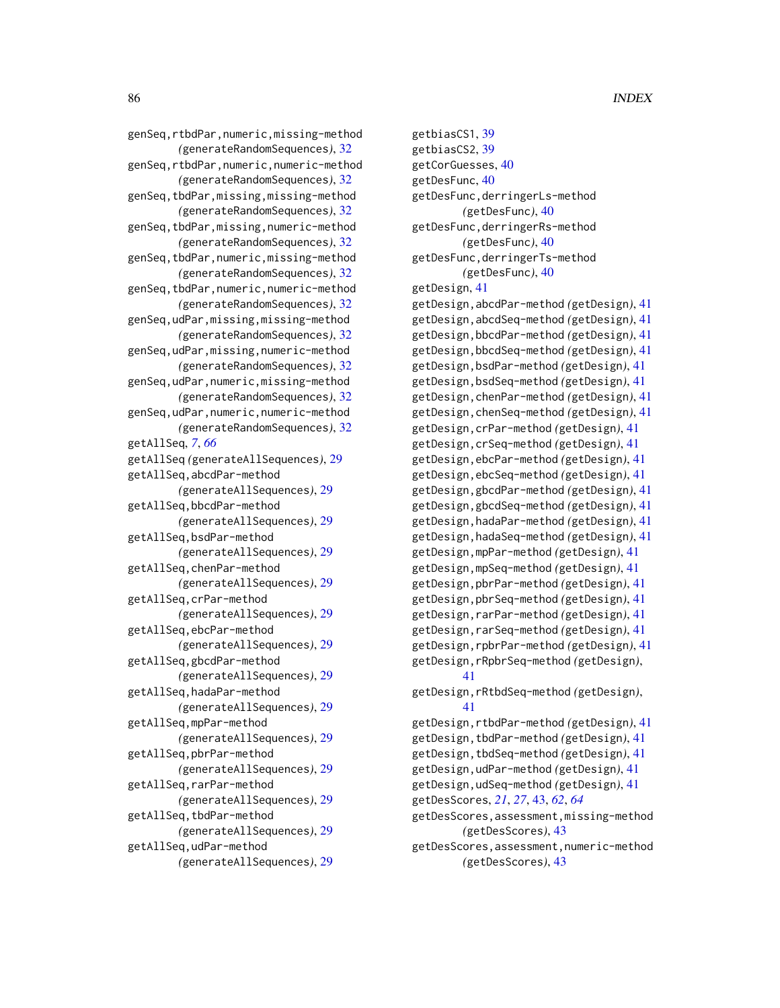genSeq,rtbdPar,numeric,missing-method *(*generateRandomSequences*)*, [32](#page-31-0) genSeq,rtbdPar,numeric,numeric-method *(*generateRandomSequences*)*, [32](#page-31-0) genSeq,tbdPar,missing,missing-method *(*generateRandomSequences*)*, [32](#page-31-0) genSeq,tbdPar,missing,numeric-method *(*generateRandomSequences*)*, [32](#page-31-0) genSeq,tbdPar,numeric,missing-method *(*generateRandomSequences*)*, [32](#page-31-0) genSeq,tbdPar,numeric,numeric-method *(*generateRandomSequences*)*, [32](#page-31-0) genSeq,udPar,missing,missing-method *(*generateRandomSequences*)*, [32](#page-31-0) genSeq,udPar,missing,numeric-method *(*generateRandomSequences*)*, [32](#page-31-0) genSeq,udPar,numeric,missing-method *(*generateRandomSequences*)*, [32](#page-31-0) genSeq,udPar,numeric,numeric-method *(*generateRandomSequences*)*, [32](#page-31-0) getAllSeq, *[7](#page-6-1)*, *[66](#page-65-0)* getAllSeq *(*generateAllSequences*)*, [29](#page-28-0) getAllSeq,abcdPar-method *(*generateAllSequences*)*, [29](#page-28-0) getAllSeq,bbcdPar-method *(*generateAllSequences*)*, [29](#page-28-0) getAllSeq,bsdPar-method *(*generateAllSequences*)*, [29](#page-28-0) getAllSeq,chenPar-method *(*generateAllSequences*)*, [29](#page-28-0) getAllSeq,crPar-method *(*generateAllSequences*)*, [29](#page-28-0) getAllSeq,ebcPar-method *(*generateAllSequences*)*, [29](#page-28-0) getAllSeq,gbcdPar-method *(*generateAllSequences*)*, [29](#page-28-0) getAllSeq,hadaPar-method *(*generateAllSequences*)*, [29](#page-28-0) getAllSeq,mpPar-method *(*generateAllSequences*)*, [29](#page-28-0) getAllSeq,pbrPar-method *(*generateAllSequences*)*, [29](#page-28-0) getAllSeq,rarPar-method *(*generateAllSequences*)*, [29](#page-28-0) getAllSeq,tbdPar-method *(*generateAllSequences*)*, [29](#page-28-0) getAllSeq,udPar-method *(*generateAllSequences*)*, [29](#page-28-0)

getbiasCS1, [39](#page-38-0) getbiasCS2, [39](#page-38-0) getCorGuesses, [40](#page-39-0) getDesFunc, [40](#page-39-0) getDesFunc,derringerLs-method *(*getDesFunc*)*, [40](#page-39-0) getDesFunc,derringerRs-method *(*getDesFunc*)*, [40](#page-39-0) getDesFunc,derringerTs-method *(*getDesFunc*)*, [40](#page-39-0) getDesign, [41](#page-40-0) getDesign,abcdPar-method *(*getDesign*)*, [41](#page-40-0) getDesign,abcdSeq-method *(*getDesign*)*, [41](#page-40-0) getDesign,bbcdPar-method *(*getDesign*)*, [41](#page-40-0) getDesign,bbcdSeq-method *(*getDesign*)*, [41](#page-40-0) getDesign,bsdPar-method *(*getDesign*)*, [41](#page-40-0) getDesign,bsdSeq-method *(*getDesign*)*, [41](#page-40-0) getDesign,chenPar-method *(*getDesign*)*, [41](#page-40-0) getDesign,chenSeq-method *(*getDesign*)*, [41](#page-40-0) getDesign,crPar-method *(*getDesign*)*, [41](#page-40-0) getDesign,crSeq-method *(*getDesign*)*, [41](#page-40-0) getDesign,ebcPar-method *(*getDesign*)*, [41](#page-40-0) getDesign,ebcSeq-method *(*getDesign*)*, [41](#page-40-0) getDesign,gbcdPar-method *(*getDesign*)*, [41](#page-40-0) getDesign,gbcdSeq-method *(*getDesign*)*, [41](#page-40-0) getDesign,hadaPar-method *(*getDesign*)*, [41](#page-40-0) getDesign,hadaSeq-method *(*getDesign*)*, [41](#page-40-0) getDesign,mpPar-method *(*getDesign*)*, [41](#page-40-0) getDesign,mpSeq-method *(*getDesign*)*, [41](#page-40-0) getDesign,pbrPar-method *(*getDesign*)*, [41](#page-40-0) getDesign,pbrSeq-method *(*getDesign*)*, [41](#page-40-0) getDesign,rarPar-method *(*getDesign*)*, [41](#page-40-0) getDesign,rarSeq-method *(*getDesign*)*, [41](#page-40-0) getDesign,rpbrPar-method *(*getDesign*)*, [41](#page-40-0) getDesign,rRpbrSeq-method *(*getDesign*)*, [41](#page-40-0) getDesign,rRtbdSeq-method *(*getDesign*)*, [41](#page-40-0) getDesign,rtbdPar-method *(*getDesign*)*, [41](#page-40-0) getDesign,tbdPar-method *(*getDesign*)*, [41](#page-40-0) getDesign,tbdSeq-method *(*getDesign*)*, [41](#page-40-0) getDesign,udPar-method *(*getDesign*)*, [41](#page-40-0) getDesign,udSeq-method *(*getDesign*)*, [41](#page-40-0) getDesScores, *[21](#page-20-0)*, *[27](#page-26-0)*, [43,](#page-42-0) *[62](#page-61-0)*, *[64](#page-63-0)* getDesScores,assessment,missing-method *(*getDesScores*)*, [43](#page-42-0) getDesScores,assessment,numeric-method *(*getDesScores*)*, [43](#page-42-0)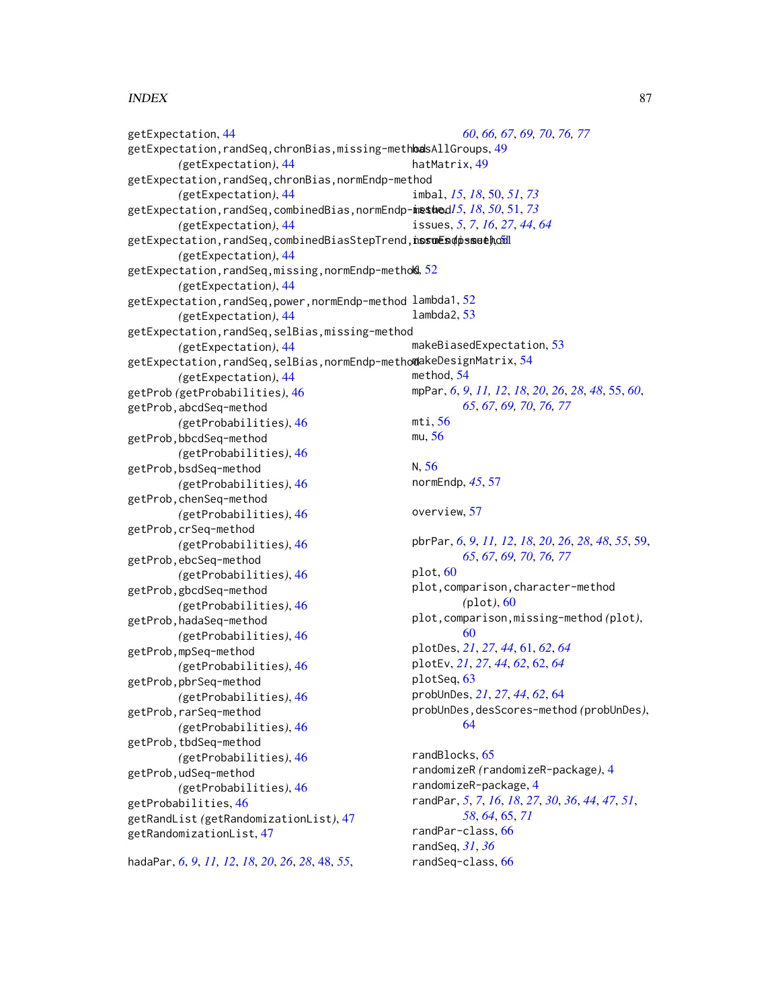#### INDEX  $87$

```
getExpectation, 44
getExpectation,randSeq,chronBias,missing-methba49
        (getExpectation), 44
getExpectation,randSeq,chronBias,normEndp-method
        (getExpectation), 44
getExpectation,randSeq,combinedBias,normEndp-method
issue, 15, 18, 50, 51, 73
        (getExpectation), 44
getExpectation,randSeq,combinedBiasStepTrend,nosuEs@ps<mark>methodl</mark>
        (getExpectation), 44
<code>getExpectation,randSeq,missing,normEndp-metho</code>k, 52(getExpectation), 44
getExpectation,randSeq,power,normEndp-method
lambda1, 52
        (getExpectation), 44
getExpectation,randSeq,selBias,missing-method
        (getExpectation), 44
54
        (getExpectation), 44
getProb (getProbabilities), 46
getProb,abcdSeq-method
        (getProbabilities), 46
getProb,bbcdSeq-method
        (getProbabilities), 46
getProb,bsdSeq-method
        (getProbabilities), 46
getProb,chenSeq-method
        (getProbabilities), 46
getProb,crSeq-method
        (getProbabilities), 46
getProb,ebcSeq-method
        (getProbabilities), 46
getProb,gbcdSeq-method
        (getProbabilities), 46
getProb,hadaSeq-method
        (getProbabilities), 46
getProb,mpSeq-method
        (getProbabilities), 46
getProb,pbrSeq-method
        (getProbabilities), 46
getProb,rarSeq-method
        (getProbabilities), 46
getProb, tbdSeq-method
        (getProbabilities), 46
getProb,udSeq-method
        (getProbabilities), 46
getProbabilities, 46
getRandList (getRandomizationList), 47
getRandomizationList, 47
hadaPar, 6, 9, 11, 12, 18, 20, 26, 28, 48, 55,
                                                         60, 66, 67, 69, 70, 76, 77
                                                hatMatrix, 49
                                                imbal, 15, 18, 50, 51, 73
                                                issues, 5, 7, 16, 27, 44, 64
                                                lambda2, 53
                                                makeBiasedExpectation, 53
                                                method, 54
                                                mpPar, 6, 9, 11, 12, 18, 20, 26, 28, 48, 55, 60,
                                                        65, 67, 69, 70, 76, 77
                                                mti, 56
                                                mu, 56
                                                N, 56
                                                normEndp, 45, 57
                                                overview, 57
                                                pbrPar, 6, 9, 11, 12, 18, 20, 26, 28, 48, 55, 59,
                                                         65, 67, 69, 70, 76, 77
                                                plot, 60
                                                plot,comparison,character-method
                                                        (plot), 60
                                                plot,comparison,missing-method (plot),
                                                        60
                                                plotDes, 21, 27, 44, 61, 62, 64
                                                plotEv, 21, 27, 44, 62, 62, 64
                                                plotSeq, 63
                                                probUnDes, 21, 27, 44, 62, 64
                                                probUnDes,desScores-method (probUnDes),
                                                         64
                                                randBlocks, 65
                                                randomizeR (randomizeR-package), 4
                                                randomizeR-package, 4
                                                randPar, 5, 7, 16, 18, 27, 30, 36, 44, 47, 51,
                                                        58, 64, 65, 71
                                                randPar-class, 66
                                                randSeq, 31, 36
                                                randSeq-class, 66
```